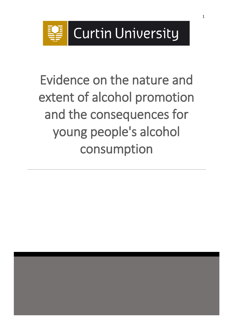



Evidence on the nature and extent of alcohol promotion and the consequences for young people's alcohol consumption

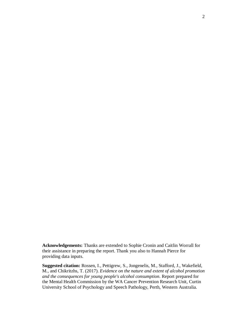**Acknowledgements:** Thanks are extended to Sophie Cronin and Caitlin Worrall for their assistance in preparing the report. Thank you also to Hannah Pierce for providing data inputs.

**Suggested citation:** Rossen, I., Pettigrew, S., Jongenelis, M., Stafford, J., Wakefield, M., and Chikritzhs, T. (2017). *Evidence on the nature and extent of alcohol promotion and the consequences for young people's alcohol consumption*. Report prepared for the Mental Health Commission by the WA Cancer Prevention Research Unit, Curtin University School of Psychology and Speech Pathology, Perth, Western Australia.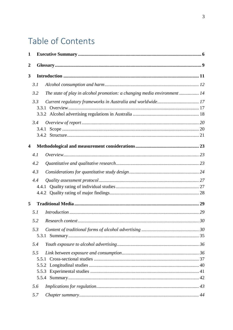# Table of Contents

| 1                  |                                                                                 |  |  |
|--------------------|---------------------------------------------------------------------------------|--|--|
| $\frac{1}{9}$<br>2 |                                                                                 |  |  |
| 3                  |                                                                                 |  |  |
|                    | 3.1                                                                             |  |  |
|                    | The state of play in alcohol promotion: a changing media environment  14<br>3.2 |  |  |
|                    | 3.3<br>3.4<br>3.4.1                                                             |  |  |
|                    |                                                                                 |  |  |
| 4                  |                                                                                 |  |  |
|                    | 4.1                                                                             |  |  |
|                    | 4.2                                                                             |  |  |
|                    | 4.3                                                                             |  |  |
|                    | 4.4                                                                             |  |  |
| 5                  |                                                                                 |  |  |
|                    | 5.1<br>Introduction 1, 29                                                       |  |  |
|                    | 5.2                                                                             |  |  |
|                    | 5.3<br>5.3.1                                                                    |  |  |
|                    | 5.4                                                                             |  |  |
|                    | 5.5<br>5.5.1<br>5.5.2                                                           |  |  |
|                    | 5.6                                                                             |  |  |
|                    | 5.7                                                                             |  |  |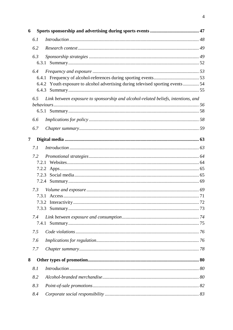| 6 |                |                                                                                   |  |
|---|----------------|-----------------------------------------------------------------------------------|--|
|   | 6.1            |                                                                                   |  |
|   | 6.2            |                                                                                   |  |
|   | 6.3            |                                                                                   |  |
|   |                |                                                                                   |  |
|   | 6.4            |                                                                                   |  |
|   |                |                                                                                   |  |
|   |                | 6.4.2 Youth exposure to alcohol advertising during televised sporting events54    |  |
|   | 6.5            | Link between exposure to sponsorship and alcohol-related beliefs, intentions, and |  |
|   |                |                                                                                   |  |
|   |                |                                                                                   |  |
|   | 6.6            |                                                                                   |  |
|   | 6.7            |                                                                                   |  |
| 7 |                |                                                                                   |  |
|   | 7.1            |                                                                                   |  |
|   | 7.2            |                                                                                   |  |
|   |                |                                                                                   |  |
|   |                |                                                                                   |  |
|   | 7.2.3<br>7.2.4 |                                                                                   |  |
|   |                |                                                                                   |  |
|   | 7.3            |                                                                                   |  |
|   |                |                                                                                   |  |
|   |                |                                                                                   |  |
|   | 7.4            |                                                                                   |  |
|   |                |                                                                                   |  |
|   | 7.5            |                                                                                   |  |
|   | 7.6            |                                                                                   |  |
|   | 7.7            |                                                                                   |  |
| 8 |                |                                                                                   |  |
|   | 8.1            |                                                                                   |  |
|   | 8.2            |                                                                                   |  |
|   | 8.3            |                                                                                   |  |
|   | 8.4            |                                                                                   |  |
|   |                |                                                                                   |  |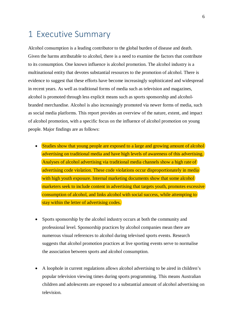# <span id="page-5-0"></span>1 Executive Summary

Alcohol consumption is a leading contributor to the global burden of disease and death. Given the harms attributable to alcohol, there is a need to examine the factors that contribute to its consumption. One known influence is alcohol promotion. The alcohol industry is a multinational entity that devotes substantial resources to the promotion of alcohol. There is evidence to suggest that these efforts have become increasingly sophisticated and widespread in recent years. As well as traditional forms of media such as television and magazines, alcohol is promoted through less explicit means such as sports sponsorship and alcoholbranded merchandise. Alcohol is also increasingly promoted via newer forms of media, such as social media platforms. This report provides an overview of the nature, extent, and impact of alcohol promotion, with a specific focus on the influence of alcohol promotion on young people. Major findings are as follows:

- Studies show that young people are exposed to a large and growing amount of alcohol advertising on traditional media and have high levels of awareness of this advertising. Analyses of alcohol advertising via traditional media channels show a high rate of advertising code violation. These code violations occur disproportionately in media with high youth exposure. Internal marketing documents show that some alcohol marketers seek to include content in advertising that targets youth, promotes excessive consumption of alcohol, and links alcohol with social success, while attempting to stay within the letter of advertising codes.
- Sports sponsorship by the alcohol industry occurs at both the community and professional level. Sponsorship practices by alcohol companies mean there are numerous visual references to alcohol during televised sports events. Research suggests that alcohol promotion practices at live sporting events serve to normalise the association between sports and alcohol consumption.
- A loophole in current regulations allows alcohol advertising to be aired in children's popular television viewing times during sports programming. This means Australian children and adolescents are exposed to a substantial amount of alcohol advertising on television.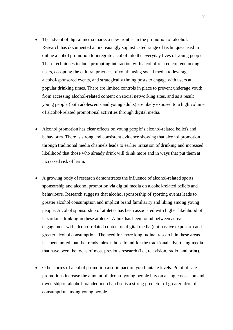- The advent of digital media marks a new frontier in the promotion of alcohol. Research has documented an increasingly sophisticated range of techniques used in online alcohol promotion to integrate alcohol into the everyday lives of young people. These techniques include prompting interaction with alcohol-related content among users, co-opting the cultural practices of youth, using social media to leverage alcohol-sponsored events, and strategically timing posts to engage with users at popular drinking times. There are limited controls in place to prevent underage youth from accessing alcohol-related content on social networking sites, and as a result young people (both adolescents and young adults) are likely exposed to a high volume of alcohol-related promotional activities through digital media.
- Alcohol promotion has clear effects on young people's alcohol-related beliefs and behaviours. There is strong and consistent evidence showing that alcohol promotion through traditional media channels leads to earlier initiation of drinking and increased likelihood that those who already drink will drink more and in ways that put them at increased risk of harm.
- A growing body of research demonstrates the influence of alcohol-related sports sponsorship and alcohol promotion via digital media on alcohol-related beliefs and behaviours. Research suggests that alcohol sponsorship of sporting events leads to greater alcohol consumption and implicit brand familiarity and liking among young people. Alcohol sponsorship of athletes has been associated with higher likelihood of hazardous drinking in these athletes. A link has been found between active engagement with alcohol-related content on digital media (not passive exposure) and greater alcohol consumption. The need for more longitudinal research in these areas has been noted, but the trends mirror those found for the traditional advertising media that have been the focus of most previous research (i.e., television, radio, and print).
- Other forms of alcohol promotion also impact on youth intake levels. Point of sale promotions increase the amount of alcohol young people buy on a single occasion and ownership of alcohol-branded merchandise is a strong predictor of greater alcohol consumption among young people.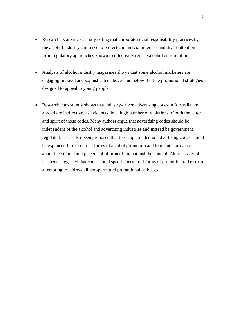- Researchers are increasingly noting that corporate social responsibility practices by the alcohol industry can serve to protect commercial interests and divert attention from regulatory approaches known to effectively reduce alcohol consumption.
- Analysis of alcohol industry magazines shows that some alcohol marketers are engaging in novel and sophisticated above- and below-the-line promotional strategies designed to appeal to young people.
- Research consistently shows that industry-driven advertising codes in Australia and abroad are ineffective, as evidenced by a high number of violations of both the letter and spirit of those codes. Many authors argue that advertising codes should be independent of the alcohol and advertising industries and instead be government regulated. It has also been proposed that the scope of alcohol advertising codes should be expanded to relate to all forms of alcohol promotion and to include provisions about the volume and placement of promotion, not just the content. Alternatively, it has been suggested that codes could specify permitted forms of promotion rather than attempting to address all non-permitted promotional activities.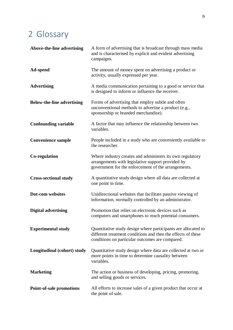# <span id="page-8-0"></span>2 Glossary

| Above-the-line advertising        | A form of advertising that is broadcast through mass media<br>and is characterised by explicit and evident advertising<br>campaigns.                                             |
|-----------------------------------|----------------------------------------------------------------------------------------------------------------------------------------------------------------------------------|
| Ad-spend                          | The amount of money spent on advertising a product or<br>activity, usually expressed per year.                                                                                   |
| <b>Advertising</b>                | A media communication pertaining to a good or service that<br>is designed to inform or influence the receiver.                                                                   |
| <b>Below-the-line advertising</b> | Forms of advertising that employ subtle and often<br>unconventional methods to advertise a product (e.g.,<br>sponsorship or branded merchandise).                                |
| <b>Confounding variable</b>       | A factor that may influence the relationship between two<br>variables.                                                                                                           |
| <b>Convenience sample</b>         | People included in a study who are conveniently available to<br>the researcher.                                                                                                  |
| Co-regulation                     | Where industry creates and administers its own regulatory<br>arrangements with legislative support provided by<br>government for the enforcement of the arrangements.            |
| <b>Cross-sectional study</b>      | A quantitative study design where all data are collected at<br>one point in time.                                                                                                |
| <b>Dot-com websites</b>           | Unidirectional websites that facilitate passive viewing of<br>information, normally controlled by an administrator.                                                              |
| <b>Digital advertising</b>        | Promotion that relies on electronic devices such as<br>computers and smartphones to reach potential consumers.                                                                   |
| <b>Experimental study</b>         | Quantitative study design where participants are allocated to<br>different treatment conditions and then the effects of these<br>conditions on particular outcomes are compared. |
| Longitudinal (cohort) study       | Quantitative study design where data are collected at two or<br>more points in time to determine causality between<br>variables.                                                 |
| <b>Marketing</b>                  | The action or business of developing, pricing, promoting,<br>and selling goods or services.                                                                                      |
| <b>Point-of-sale promotions</b>   | All efforts to increase sales of a given product that occur at<br>the point of sale.                                                                                             |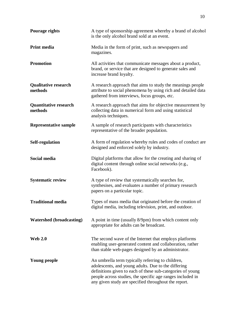| Pourage rights                          | A type of sponsorship agreement whereby a brand of alcohol<br>is the only alcohol brand sold at an event.                                                                                                                                                                                    |  |
|-----------------------------------------|----------------------------------------------------------------------------------------------------------------------------------------------------------------------------------------------------------------------------------------------------------------------------------------------|--|
| <b>Print media</b>                      | Media in the form of print, such as newspapers and<br>magazines.                                                                                                                                                                                                                             |  |
| <b>Promotion</b>                        | All activities that communicate messages about a product,<br>brand, or service that are designed to generate sales and<br>increase brand loyalty.                                                                                                                                            |  |
| <b>Qualitative research</b><br>methods  | A research approach that aims to study the meanings people<br>attribute to social phenomena by using rich and detailed data<br>gathered from interviews, focus groups, etc.                                                                                                                  |  |
| <b>Quantitative research</b><br>methods | A research approach that aims for objective measurement by<br>collecting data in numerical form and using statistical<br>analysis techniques.                                                                                                                                                |  |
| <b>Representative sample</b>            | A sample of research participants with characteristics<br>representative of the broader population.                                                                                                                                                                                          |  |
| <b>Self-regulation</b>                  | A form of regulation whereby rules and codes of conduct are<br>designed and enforced solely by industry.                                                                                                                                                                                     |  |
| Social media                            | Digital platforms that allow for the creating and sharing of<br>digital content through online social networks (e.g.,<br>Facebook).                                                                                                                                                          |  |
| <b>Systematic review</b>                | A type of review that systematically searches for,<br>synthesises, and evaluates a number of primary research<br>papers on a particular topic.                                                                                                                                               |  |
| <b>Traditional media</b>                | Types of mass media that originated before the creation of<br>digital media, including television, print, and outdoor.                                                                                                                                                                       |  |
| <b>Watershed (broadcasting)</b>         | A point in time (usually 8/9pm) from which content only<br>appropriate for adults can be broadcast.                                                                                                                                                                                          |  |
| <b>Web 2.0</b>                          | The second wave of the Internet that employs platforms<br>enabling user-generated content and collaboration, rather<br>than stable web-pages designed by an administrator.                                                                                                                   |  |
| <b>Young people</b>                     | An umbrella term typically referring to children,<br>adolescents, and young adults. Due to the differing<br>definitions given to each of these sub-categories of young<br>people across studies, the specific age ranges included in<br>any given study are specified throughout the report. |  |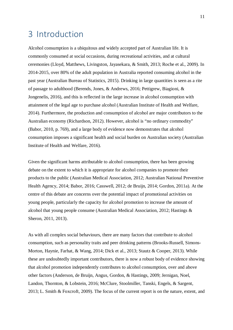# <span id="page-10-0"></span>3 Introduction

Alcohol consumption is a ubiquitous and widely accepted part of Australian life. It is commonly consumed at social occasions, during recreational activities, and at cultural ceremonies (Lloyd, Matthews, Livingston, Jayasekara, & Smith, 2013; Roche et al., 2009). In 2014-2015, over 80% of the adult population in Australia reported consuming alcohol in the past year (Australian Bureau of Statistics, 2015). Drinking in large quantities is seen as a rite of passage to adulthood (Berends, Jones, & Andrews, 2016; Pettigrew, Biagioni, & Jongenelis, 2016), and this is reflected in the large increase in alcohol consumption with attainment of the legal age to purchase alcohol (Australian Institute of Health and Welfare, 2014). Furthermore, the production and consumption of alcohol are major contributors to the Australian economy (Richardson, 2012). However, alcohol is "no ordinary commodity" (Babor, 2010, p. 769), and a large body of evidence now demonstrates that alcohol consumption imposes a significant health and social burden on Australian society (Australian Institute of Health and Welfare, 2016).

Given the significant harms attributable to alcohol consumption, there has been growing debate on the extent to which it is appropriate for alcohol companies to promote their products to the public (Australian Medical Association, 2012; Australian National Preventive Health Agency, 2014; Babor, 2016; Casswell, 2012; de Bruijn, 2014; Gordon, 2011a). At the centre of this debate are concerns over the potential impact of promotional activities on young people, particularly the capacity for alcohol promotion to increase the amount of alcohol that young people consume (Australian Medical Association, 2012; Hastings & Sheron, 2011, 2013).

As with all complex social behaviours, there are many factors that contribute to alcohol consumption, such as personality traits and peer drinking patterns (Brooks-Russell, Simons-Morton, Haynie, Farhat, & Wang, 2014; Dick et al., 2013; Stautz & Cooper, 2013). While these are undoubtedly important contributors, there is now a robust body of evidence showing that alcohol promotion independently contributes to alcohol consumption, over and above other factors (Anderson, de Bruijn, Angus, Gordon, & Hastings, 2009; Jernigan, Noel, Landon, Thornton, & Lobstein, 2016; McClure, Stoolmiller, Tanski, Engels, & Sargent, 2013; L. Smith & Foxcroft, 2009). The focus of the current report is on the nature, extent, and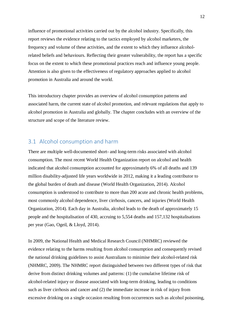influence of promotional activities carried out by the alcohol industry. Specifically, this report reviews the evidence relating to the tactics employed by alcohol marketers, the frequency and volume of these activities, and the extent to which they influence alcoholrelated beliefs and behaviours. Reflecting their greater vulnerability, the report has a specific focus on the extent to which these promotional practices reach and influence young people. Attention is also given to the effectiveness of regulatory approaches applied to alcohol promotion in Australia and around the world.

This introductory chapter provides an overview of alcohol consumption patterns and associated harm, the current state of alcohol promotion, and relevant regulations that apply to alcohol promotion in Australia and globally. The chapter concludes with an overview of the structure and scope of the literature review.

## <span id="page-11-0"></span>3.1 Alcohol consumption and harm

There are multiple well-documented short- and long-term risks associated with alcohol consumption. The most recent World Health Organization report on alcohol and health indicated that alcohol consumption accounted for approximately 6% of all deaths and 139 million disability-adjusted life years worldwide in 2012, making it a leading contributor to the global burden of death and disease (World Health Organization, 2014). Alcohol consumption is understood to contribute to more than 200 acute and chronic health problems, most commonly alcohol dependence, liver cirrhosis, cancers, and injuries (World Health Organization, 2014). Each day in Australia, alcohol leads to the death of approximately 15 people and the hospitalisation of 430, accruing to 5,554 deaths and 157,132 hospitalisations per year (Gao, Ogeil, & Lloyd, 2014).

In 2009, the National Health and Medical Research Council (NHMRC) reviewed the evidence relating to the harms resulting from alcohol consumption and consequently revised the national drinking guidelines to assist Australians to minimise their alcohol-related risk (NHMRC, 2009). The NHMRC report distinguished between two different types of risk that derive from distinct drinking volumes and patterns: (1) the cumulative lifetime risk of alcohol-related injury or disease associated with long-term drinking, leading to conditions such as liver cirrhosis and cancer and (2) the immediate increase in risk of injury from excessive drinking on a single occasion resulting from occurrences such as alcohol poisoning,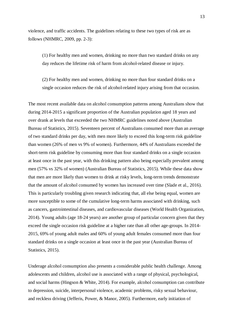violence, and traffic accidents. The guidelines relating to these two types of risk are as follows (NHMRC, 2009, pp. 2-3):

(1) For healthy men and women, drinking no more than two standard drinks on any day reduces the lifetime risk of harm from alcohol-related disease or injury.

(2) For healthy men and women, drinking no more than four standard drinks on a single occasion reduces the risk of alcohol-related injury arising from that occasion.

The most recent available data on alcohol consumption patterns among Australians show that during 2014-2015 a significant proportion of the Australian population aged 18 years and over drank at levels that exceeded the two NHMRC guidelines noted above (Australian Bureau of Statistics, 2015). Seventeen percent of Australians consumed more than an average of two standard drinks per day, with men more likely to exceed this long-term risk guideline than women (26% of men vs 9% of women). Furthermore, 44% of Australians exceeded the short-term risk guideline by consuming more than four standard drinks on a single occasion at least once in the past year, with this drinking pattern also being especially prevalent among men (57% vs 32% of women) (Australian Bureau of Statistics, 2015). While these data show that men are more likely than women to drink at risky levels, long-term trends demonstrate that the amount of alcohol consumed by women has increased over time (Slade et al., 2016). This is particularly troubling given research indicating that, all else being equal, women are more susceptible to some of the cumulative long-term harms associated with drinking, such as cancers, gastrointestinal diseases, and cardiovascular diseases (World Health Organization, 2014). Young adults (age 18-24 years) are another group of particular concern given that they exceed the single occasion risk guideline at a higher rate than all other age-groups. In 2014- 2015, 69% of young adult males and 60% of young adult females consumed more than four standard drinks on a single occasion at least once in the past year (Australian Bureau of Statistics, 2015).

Underage alcohol consumption also presents a considerable public health challenge. Among adolescents and children, alcohol use is associated with a range of physical, psychological, and social harms (Hingson & White, 2014). For example, alcohol consumption can contribute to depression, suicide, interpersonal violence, academic problems, risky sexual behaviour, and reckless driving (Jefferis, Power, & Manor, 2005). Furthermore, early initiation of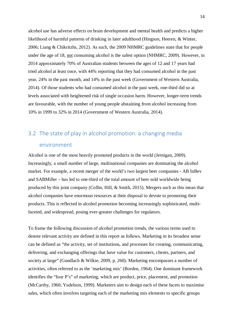alcohol use has adverse effects on brain development and mental health and predicts a higher likelihood of harmful patterns of drinking in later adulthood (Hingson, Heeren, & Winter, 2006; Liang & Chikritzhs, 2012). As such, the 2009 NHMRC guidelines state that for people under the age of 18, not consuming alcohol is the safest option (NHMRC, 2009). However, in 2014 approximately 70% of Australian students between the ages of 12 and 17 years had tried alcohol at least once, with 44% reporting that they had consumed alcohol in the past year, 24% in the past month, and 14% in the past week (Government of Western Australia, 2014). Of those students who had consumed alcohol in the past week, one-third did so at levels associated with heightened risk of single occasion harm. However, longer-term trends are favourable, with the number of young people abstaining from alcohol increasing from 10% in 1999 to 32% in 2014 (Government of Western Australia, 2014).

# <span id="page-13-0"></span>3.2 The state of play in alcohol promotion: a changing media environment

Alcohol is one of the most heavily promoted products in the world (Jernigan, 2009). Increasingly, a small number of large, multinational companies are dominating the alcohol market. For example, a recent merger of the world's two largest beer companies - AB InBev and SABMiller – has led to one-third of the total amount of beer sold worldwide being produced by this joint company (Collin, Hill, & Smith, 2015). Mergers such as this mean that alcohol companies have enormous resources at their disposal to devote to promoting their products. This is reflected in alcohol promotion becoming increasingly sophisticated, multifaceted, and widespread, posing ever-greater challenges for regulators.

To frame the following discussion of alcohol promotion trends, the various terms used to denote relevant activity are defined in this report as follows. Marketing in its broadest sense can be defined as "the activity, set of institutions, and processes for creating, communicating, delivering, and exchanging offerings that have value for customers, clients, partners, and society at large" (Gundlach & Wilkie, 2009, p. 260). Marketing encompasses a number of activities, often referred to as the 'marketing mix' (Borden, 1964). One dominant framework identifies the "four P's" of marketing, which are product, price, placement, and promotion (McCarthy, 1960; Yudelson, 1999). Marketers aim to design each of these facets to maximise sales, which often involves targeting each of the marketing mix elements to specific groups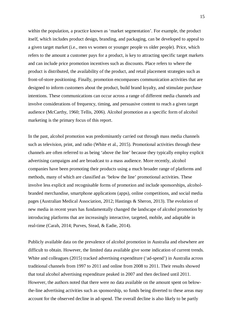within the population, a practice known as 'market segmentation'. For example, the product itself, which includes product design, branding, and packaging, can be developed to appeal to a given target market (i.e., men vs women or younger people vs older people). Price, which refers to the amount a customer pays for a product, is key to attracting specific target markets and can include price promotion incentives such as discounts. Place refers to where the product is distributed, the availability of the product, and retail placement strategies such as front-of-store positioning. Finally, promotion encompasses communication activities that are designed to inform customers about the product, build brand loyalty, and stimulate purchase intentions. These communications can occur across a range of different media channels and involve considerations of frequency, timing, and persuasive content to reach a given target audience (McCarthy, 1960; Tellis, 2006). Alcohol promotion as a specific form of alcohol marketing is the primary focus of this report.

In the past, alcohol promotion was predominantly carried out through mass media channels such as television, print, and radio (White et al., 2015). Promotional activities through these channels are often referred to as being 'above the line' because they typically employ explicit advertising campaigns and are broadcast to a mass audience. More recently, alcohol companies have been promoting their products using a much broader range of platforms and methods, many of which are classified as 'below the line' promotional activities. These involve less explicit and recognisable forms of promotion and include sponsorships, alcoholbranded merchandise, smartphone applications (apps), online competitions, and social media pages (Australian Medical Association, 2012; Hastings & Sheron, 2013). The evolution of new media in recent years has fundamentally changed the landscape of alcohol promotion by introducing platforms that are increasingly interactive, targeted, mobile, and adaptable in real-time (Carah, 2014; Purves, Stead, & Eadie, 2014).

Publicly available data on the prevalence of alcohol promotion in Australia and elsewhere are difficult to obtain. However, the limited data available give some indication of current trends. White and colleagues (2015) tracked advertising expenditure ('ad-spend') in Australia across traditional channels from 1997 to 2011 and online from 2008 to 2011. Their results showed that total alcohol advertising expenditure peaked in 2007 and then declined until 2011. However, the authors noted that there were no data available on the amount spent on belowthe-line advertising activities such as sponsorship, so funds being diverted to these areas may account for the observed decline in ad-spend. The overall decline is also likely to be partly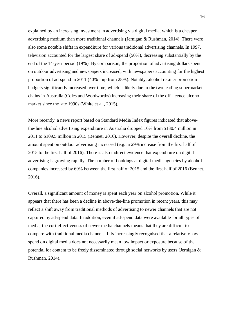explained by an increasing investment in advertising via digital media, which is a cheaper advertising medium than more traditional channels (Jernigan & Rushman, 2014). There were also some notable shifts in expenditure for various traditional advertising channels. In 1997, television accounted for the largest share of ad-spend (50%), decreasing substantially by the end of the 14-year period (19%). By comparison, the proportion of advertising dollars spent on outdoor advertising and newspapers increased, with newspapers accounting for the highest proportion of ad-spend in 2011 (40% - up from 28%). Notably, alcohol retailer promotion budgets significantly increased over time, which is likely due to the two leading supermarket chains in Australia (Coles and Woolworths) increasing their share of the off-licence alcohol market since the late 1990s (White et al., 2015).

More recently, a news report based on Standard Media Index figures indicated that abovethe-line alcohol advertising expenditure in Australia dropped 16% from \$130.4 million in 2011 to \$109.5 million in 2015 (Bennet, 2016). However, despite the overall decline, the amount spent on outdoor advertising increased (e.g., a 29% increase from the first half of 2015 to the first half of 2016). There is also indirect evidence that expenditure on digital advertising is growing rapidly. The number of bookings at digital media agencies by alcohol companies increased by 69% between the first half of 2015 and the first half of 2016 (Bennet, 2016).

Overall, a significant amount of money is spent each year on alcohol promotion. While it appears that there has been a decline in above-the-line promotion in recent years, this may reflect a shift away from traditional methods of advertising to newer channels that are not captured by ad-spend data. In addition, even if ad-spend data were available for all types of media, the cost effectiveness of newer media channels means that they are difficult to compare with traditional media channels. It is increasingly recognised that a relatively low spend on digital media does not necessarily mean low impact or exposure because of the potential for content to be freely disseminated through social networks by users (Jernigan & Rushman, 2014).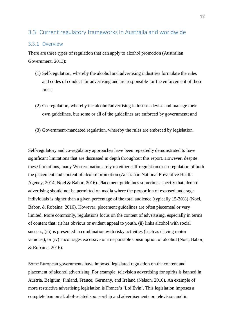# <span id="page-16-0"></span>3.3 Current regulatory frameworks in Australia and worldwide

#### <span id="page-16-1"></span>3.3.1 Overview

There are three types of regulation that can apply to alcohol promotion (Australian Government, 2013):

- (1) Self-regulation, whereby the alcohol and advertising industries formulate the rules and codes of conduct for advertising and are responsible for the enforcement of these rules;
- (2) Co-regulation, whereby the alcohol/advertising industries devise and manage their own guidelines, but some or all of the guidelines are enforced by government; and
- (3) Government-mandated regulation, whereby the rules are enforced by legislation.

Self-regulatory and co-regulatory approaches have been repeatedly demonstrated to have significant limitations that are discussed in depth throughout this report. However, despite these limitations, many Western nations rely on either self-regulation or co-regulation of both the placement and content of alcohol promotion (Australian National Preventive Health Agency, 2014; Noel & Babor, 2016). Placement guidelines sometimes specify that alcohol advertising should not be permitted on media where the proportion of exposed underage individuals is higher than a given percentage of the total audience (typically 15-30%) (Noel, Babor, & Robaina, 2016). However, placement guidelines are often piecemeal or very limited. More commonly, regulations focus on the content of advertising, especially in terms of content that: (i) has obvious or evident appeal to youth, (ii) links alcohol with social success, (iii) is presented in combination with risky activities (such as driving motor vehicles), or (iv) encourages excessive or irresponsible consumption of alcohol (Noel, Babor, & Robaina, 2016).

Some European governments have imposed legislated regulation on the content and placement of alcohol advertising. For example, television advertising for spirits is banned in Austria, Belgium, Finland, France, Germany, and Ireland (Nelson, 2010). An example of more restrictive advertising legislation is France's 'Loi Évin'. This legislation imposes a complete ban on alcohol-related sponsorship and advertisements on television and in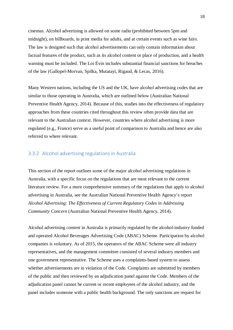cinemas. Alcohol advertising is allowed on some radio (prohibited between 5pm and midnight), on billboards, in print media for adults, and at certain events such as wine fairs. The law is designed such that alcohol advertisements can only contain information about factual features of the product, such as its alcohol content or place of production, and a health warning must be included. The Loi Évin includes substantial financial sanctions for breaches of the law (Gallopel-Morvan, Spilka, Mutatayi, Rigaud, & Lecas, 2016).

Many Western nations, including the US and the UK, have alcohol advertising codes that are similar to those operating in Australia, which are outlined below (Australian National Preventive Health Agency, 2014). Because of this, studies into the effectiveness of regulatory approaches from these countries cited throughout this review often provide data that are relevant to the Australian context. However, countries where alcohol advertising is more regulated (e.g., France) serve as a useful point of comparison to Australia and hence are also referred to where relevant.

#### <span id="page-17-0"></span>3.3.2 Alcohol advertising regulations in Australia

This section of the report outlines some of the major alcohol advertising regulations in Australia, with a specific focus on the regulations that are most relevant to the current literature review. For a more comprehensive summary of the regulations that apply to alcohol advertising in Australia, see the Australian National Preventive Health Agency's report *Alcohol Advertising: The Effectiveness of Current Regulatory Codes in Addressing Community Concern* (Australian National Preventive Health Agency, 2014).

Alcohol advertising *content* in Australia is primarily regulated by the alcohol-industry funded and operated Alcohol Beverages Advertising Code (ABAC) Scheme. Participation by alcohol companies is voluntary. As of 2015, the operators of the ABAC Scheme were all industry representatives, and the management committee consisted of several industry members and one government representative. The Scheme uses a complaints-based system to assess whether advertisements are in violation of the Code. Complaints are submitted by members of the public and then reviewed by an adjudication panel against the Code. Members of the adjudication panel cannot be current or recent employees of the alcohol industry, and the panel includes someone with a public health background. The only sanctions are request for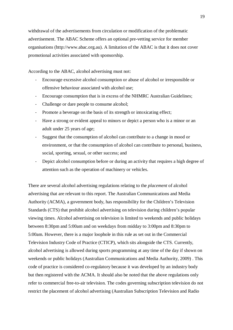withdrawal of the advertisements from circulation or modification of the problematic advertisement. The ABAC Scheme offers an optional pre-vetting service for member organisations (http://www.abac.org.au). A limitation of the ABAC is that it does not cover promotional activities associated with sponsorship.

According to the ABAC, alcohol advertising must not:

- Encourage excessive alcohol consumption or abuse of alcohol or irresponsible or offensive behaviour associated with alcohol use;
- Encourage consumption that is in excess of the NHMRC Australian Guidelines;
- Challenge or dare people to consume alcohol;
- Promote a beverage on the basis of its strength or intoxicating effect;
- Have a strong or evident appeal to minors or depict a person who is a minor or an adult under 25 years of age;
- Suggest that the consumption of alcohol can contribute to a change in mood or environment, or that the consumption of alcohol can contribute to personal, business, social, sporting, sexual, or other success; and
- Depict alcohol consumption before or during an activity that requires a high degree of attention such as the operation of machinery or vehicles.

There are several alcohol advertising regulations relating to the *placement* of alcohol advertising that are relevant to this report. The Australian Communications and Media Authority (ACMA), a government body, has responsibility for the Children's Television Standards (CTS) that prohibit alcohol advertising on television during children's popular viewing times. Alcohol advertising on television is limited to weekends and public holidays between 8:30pm and 5:00am and on weekdays from midday to 3:00pm and 8:30pm to 5:00am. However, there is a major loophole in this rule as set out in the Commercial Television Industry Code of Practice (CTICP), which sits alongside the CTS. Currently, alcohol advertising is allowed during sports programming at any time of the day if shown on weekends or public holidays (Australian Communications and Media Authority, 2009) . This code of practice is considered co-regulatory because it was developed by an industry body but then registered with the ACMA. It should also be noted that the above regulations only refer to commercial free-to-air television. The codes governing subscription television do not restrict the placement of alcohol advertising (Australian Subscription Television and Radio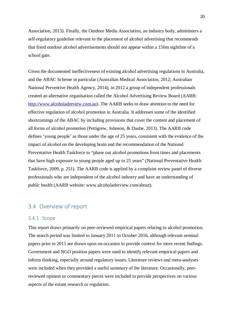Association, 2013). Finally, the Outdoor Media Association, an industry body, administers a self-regulatory guideline relevant to the placement of alcohol advertising that recommends that fixed outdoor alcohol advertisements should not appear within a 150m sightline of a school gate.

Given the documented ineffectiveness of existing alcohol advertising regulations in Australia, and the ABAC Scheme in particular (Australian Medical Association, 2012; Australian National Preventive Health Agency, 2014), in 2012 a group of independent professionals created an alternative organisation called the Alcohol Advertising Review Board (AARB: [http://www.alcoholadreview.com.au\)](http://www.alcoholadreview.com.au/). The AARB seeks to draw attention to the need for effective regulation of alcohol promotion in Australia. It addresses some of the identified shortcomings of the ABAC by including provisions that cover the content and placement of all forms of alcohol promotion (Pettigrew, Johnson, & Daube, 2013). The AARB code defines 'young people' as those under the age of 25 years, consistent with the evidence of the impact of alcohol on the developing brain and the recommendation of the National Preventative Health Taskforce to "phase out alcohol promotions from times and placements that have high exposure to young people aged up to 25 years" (National Preventative Health Taskforce, 2009, p. 251). The AARB code is applied by a complaint review panel of diverse professionals who are independent of the alcohol industry and have an understanding of public health (AARB website: www.alcoholadreview.com/about).

# <span id="page-19-0"></span>3.4 Overview of report

#### <span id="page-19-1"></span>3.4.1 Scope

This report draws primarily on peer-reviewed empirical papers relating to alcohol promotion. The search period was limited to January 2011 to October 2016, although relevant seminal papers prior to 2011 are drawn upon on occasion to provide context for more recent findings. Government and NGO position papers were used to identify relevant empirical papers and inform thinking, especially around regulatory issues. Literature reviews and meta-analyses were included when they provided a useful summary of the literature. Occasionally, peerreviewed opinion or commentary pieces were included to provide perspectives on various aspects of the extant research or regulation.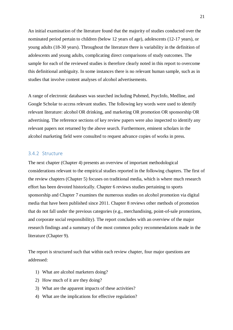An initial examination of the literature found that the majority of studies conducted over the nominated period pertain to children (below 12 years of age), adolescents (12-17 years), or young adults (18-30 years). Throughout the literature there is variability in the definition of adolescents and young adults, complicating direct comparisons of study outcomes. The sample for each of the reviewed studies is therefore clearly noted in this report to overcome this definitional ambiguity. In some instances there is no relevant human sample, such as in studies that involve content analyses of alcohol advertisements.

A range of electronic databases was searched including Pubmed, PsycInfo, Medline, and Google Scholar to access relevant studies. The following key words were used to identify relevant literature: alcohol OR drinking, and marketing OR promotion OR sponsorship OR advertising. The reference sections of key review papers were also inspected to identify any relevant papers not returned by the above search. Furthermore, eminent scholars in the alcohol marketing field were consulted to request advance copies of works in press.

#### <span id="page-20-0"></span>3.4.2 Structure

The next chapter (Chapter 4) presents an overview of important methodological considerations relevant to the empirical studies reported in the following chapters. The first of the review chapters (Chapter 5) focuses on traditional media, which is where much research effort has been devoted historically. Chapter 6 reviews studies pertaining to sports sponsorship and Chapter 7 examines the numerous studies on alcohol promotion via digital media that have been published since 2011. Chapter 8 reviews other methods of promotion that do not fall under the previous categories (e.g., merchandising, point-of-sale promotions, and corporate social responsibility). The report concludes with an overview of the major research findings and a summary of the most common policy recommendations made in the literature (Chapter 9).

The report is structured such that within each review chapter, four major questions are addressed:

- 1) What are alcohol marketers doing?
- 2) How much of it are they doing?
- 3) What are the apparent impacts of these activities?
- 4) What are the implications for effective regulation?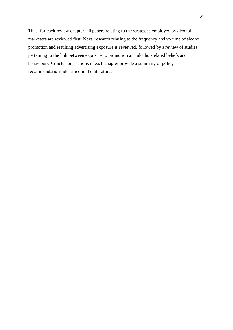Thus, for each review chapter, all papers relating to the strategies employed by alcohol marketers are reviewed first. Next, research relating to the frequency and volume of alcohol promotion and resulting advertising exposure is reviewed, followed by a review of studies pertaining to the link between exposure to promotion and alcohol-related beliefs and behaviours. Conclusion sections in each chapter provide a summary of policy recommendations identified in the literature.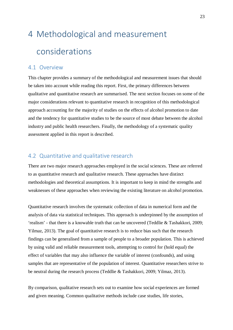# <span id="page-22-0"></span>4 Methodological and measurement considerations

### <span id="page-22-1"></span>4.1 Overview

This chapter provides a summary of the methodological and measurement issues that should be taken into account while reading this report. First, the primary differences between qualitative and quantitative research are summarised. The next section focuses on some of the major considerations relevant to quantitative research in recognition of this methodological approach accounting for the majority of studies on the effects of alcohol promotion to date and the tendency for quantitative studies to be the source of most debate between the alcohol industry and public health researchers. Finally, the methodology of a systematic quality assessment applied in this report is described.

## <span id="page-22-2"></span>4.2 Quantitative and qualitative research

There are two major research approaches employed in the social sciences. These are referred to as quantitative research and qualitative research. These approaches have distinct methodologies and theoretical assumptions. It is important to keep in mind the strengths and weaknesses of these approaches when reviewing the existing literature on alcohol promotion.

Quantitative research involves the systematic collection of data in numerical form and the analysis of data via statistical techniques. This approach is underpinned by the assumption of 'realism' - that there is a knowable truth that can be uncovered (Teddlie & Tashakkori, 2009; Yilmaz, 2013). The goal of quantitative research is to reduce bias such that the research findings can be generalised from a sample of people to a broader population. This is achieved by using valid and reliable measurement tools, attempting to control for (hold equal) the effect of variables that may also influence the variable of interest (confounds), and using samples that are representative of the population of interest. Quantitative researchers strive to be neutral during the research process (Teddlie & Tashakkori, 2009; Yilmaz, 2013).

By comparison, qualitative research sets out to examine how social experiences are formed and given meaning. Common qualitative methods include case studies, life stories,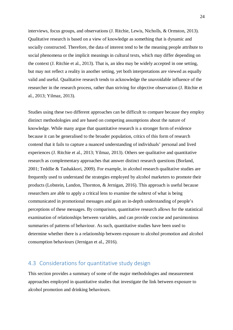interviews, focus groups, and observations (J. Ritchie, Lewis, Nicholls, & Ormston, 2013). Qualitative research is based on a view of knowledge as something that is dynamic and socially constructed. Therefore, the data of interest tend to be the meaning people attribute to social phenomena or the implicit meanings in cultural texts, which may differ depending on the context (J. Ritchie et al., 2013). That is, an idea may be widely accepted in one setting, but may not reflect a reality in another setting, yet both interpretations are viewed as equally valid and useful. Qualitative research tends to acknowledge the unavoidable influence of the researcher in the research process, rather than striving for objective observation (J. Ritchie et al., 2013; Yilmaz, 2013).

Studies using these two different approaches can be difficult to compare because they employ distinct methodologies and are based on competing assumptions about the nature of knowledge. While many argue that quantitative research is a stronger form of evidence because it can be generalised to the broader population, critics of this form of research contend that it fails to capture a nuanced understanding of individuals' personal and lived experiences (J. Ritchie et al., 2013; Yilmaz, 2013). Others see qualitative and quantitative research as complementary approaches that answer distinct research questions (Borland, 2001; Teddlie & Tashakkori, 2009). For example, in alcohol research qualitative studies are frequently used to understand the strategies employed by alcohol marketers to promote their products (Lobstein, Landon, Thornton, & Jernigan, 2016). This approach is useful because researchers are able to apply a critical lens to examine the subtext of what is being communicated in promotional messages and gain an in-depth understanding of people's perceptions of these messages. By comparison, quantitative research allows for the statistical examination of relationships between variables, and can provide concise and parsimonious summaries of patterns of behaviour. As such, quantitative studies have been used to determine whether there is a relationship between exposure to alcohol promotion and alcohol consumption behaviours (Jernigan et al., 2016).

# <span id="page-23-0"></span>4.3 Considerations for quantitative study design

This section provides a summary of some of the major methodologies and measurement approaches employed in quantitative studies that investigate the link between exposure to alcohol promotion and drinking behaviours.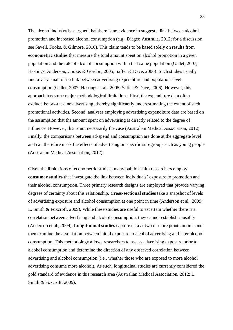The alcohol industry has argued that there is no evidence to suggest a link between alcohol promotion and increased alcohol consumption (e.g., Diageo Australia, 2012; for a discussion see Savell, Fooks, & Gilmore, 2016). This claim tends to be based solely on results from **econometric studies** that measure the total amount spent on alcohol promotion in a given population and the rate of alcohol consumption within that same population (Gallet, 2007; Hastings, Anderson, Cooke, & Gordon, 2005; Saffer & Dave, 2006). Such studies usually find a very small or no link between advertising expenditure and population-level consumption (Gallet, 2007; Hastings et al., 2005; Saffer & Dave, 2006). However, this approach has some major methodological limitations. First, the expenditure data often exclude below-the-line advertising, thereby significantly underestimating the extent of such promotional activities. Second, analyses employing advertising expenditure data are based on the assumption that the amount spent on advertising is directly related to the degree of influence. However, this is not necessarily the case (Australian Medical Association, 2012). Finally, the comparisons between ad-spend and consumption are done at the aggregate level and can therefore mask the effects of advertising on specific sub-groups such as young people (Australian Medical Association, 2012).

Given the limitations of econometric studies, many public health researchers employ **consumer studies** that investigate the link between individuals' exposure to promotion and their alcohol consumption. Three primary research designs are employed that provide varying degrees of certainty about this relationship. **Cross-sectional studies** take a snapshot of levels of advertising exposure and alcohol consumption at one point in time (Anderson et al., 2009; L. Smith & Foxcroft, 2009). While these studies are useful to ascertain whether there is a correlation between advertising and alcohol consumption, they cannot establish causality (Anderson et al., 2009). **Longitudinal studies** capture data at two or more points in time and then examine the association between initial exposure to alcohol advertising and later alcohol consumption. This methodology allows researchers to assess advertising exposure prior to alcohol consumption and determine the direction of any observed correlation between advertising and alcohol consumption (i.e., whether those who are exposed to more alcohol advertising consume more alcohol). As such, longitudinal studies are currently considered the gold standard of evidence in this research area (Australian Medical Association, 2012; L. Smith & Foxcroft, 2009).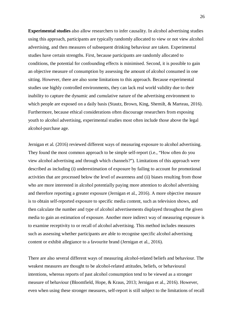**Experimental studies** also allow researchers to infer causality. In alcohol advertising studies using this approach, participants are typically randomly allocated to view or not view alcohol advertising, and then measures of subsequent drinking behaviour are taken. Experimental studies have certain strengths. First, because participants are randomly allocated to conditions, the potential for confounding effects is minimised. Second, it is possible to gain an objective measure of consumption by assessing the amount of alcohol consumed in one sitting. However, there are also some limitations to this approach. Because experimental studies use highly controlled environments, they can lack real world validity due to their inability to capture the dynamic and cumulative nature of the advertising environment to which people are exposed on a daily basis (Stautz, Brown, King, Shemilt, & Marteau, 2016). Furthermore, because ethical considerations often discourage researchers from exposing youth to alcohol advertising, experimental studies most often include those above the legal alcohol-purchase age.

Jernigan et al. (2016) reviewed different ways of measuring exposure to alcohol advertising. They found the most common approach to be simple self-report (i.e., "How often do you view alcohol advertising and through which channels?"). Limitations of this approach were described as including (i) underestimation of exposure by failing to account for promotional activities that are processed below the level of awareness and (ii) biases resulting from those who are more interested in alcohol potentially paying more attention to alcohol advertising and therefore reporting a greater exposure (Jernigan et al., 2016). A more objective measure is to obtain self-reported exposure to specific media content, such as television shows, and then calculate the number and type of alcohol advertisements displayed throughout the given media to gain an estimation of exposure. Another more indirect way of measuring exposure is to examine receptivity to or recall of alcohol advertising. This method includes measures such as assessing whether participants are able to recognise specific alcohol advertising content or exhibit allegiance to a favourite brand (Jernigan et al., 2016).

There are also several different ways of measuring alcohol-related beliefs and behaviour. The weakest measures are thought to be alcohol-related attitudes, beliefs, or behavioural intentions, whereas reports of past alcohol consumption tend to be viewed as a stronger measure of behaviour (Bloomfield, Hope, & Kraus, 2013; Jernigan et al., 2016). However, even when using these stronger measures, self-report is still subject to the limitations of recall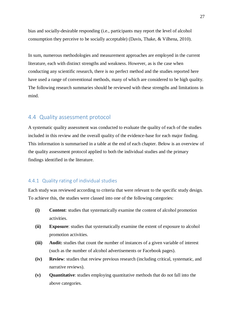bias and socially-desirable responding (i.e., participants may report the level of alcohol consumption they perceive to be socially acceptable) (Davis, Thake, & Vilhena, 2010).

In sum, numerous methodologies and measurement approaches are employed in the current literature, each with distinct strengths and weakness. However, as is the case when conducting any scientific research, there is no perfect method and the studies reported here have used a range of conventional methods, many of which are considered to be high quality. The following research summaries should be reviewed with these strengths and limitations in mind.

### <span id="page-26-0"></span>4.4 Quality assessment protocol

A systematic quality assessment was conducted to evaluate the quality of each of the studies included in this review and the overall quality of the evidence-base for each major finding. This information is summarised in a table at the end of each chapter. Below is an overview of the quality assessment protocol applied to both the individual studies and the primary findings identified in the literature.

#### <span id="page-26-1"></span>4.4.1 Quality rating of individual studies

Each study was reviewed according to criteria that were relevant to the specific study design. To achieve this, the studies were classed into one of the following categories:

- **(i) Content**: studies that systematically examine the content of alcohol promotion activities.
- **(ii) Exposure**: studies that systematically examine the extent of exposure to alcohol promotion activities.
- **(iii) Audit:** studies that count the number of instances of a given variable of interest (such as the number of alcohol advertisements or Facebook pages).
- **(iv) Review**: studies that review previous research (including critical, systematic, and narrative reviews).
- **(v) Quantitative**: studies employing quantitative methods that do not fall into the above categories.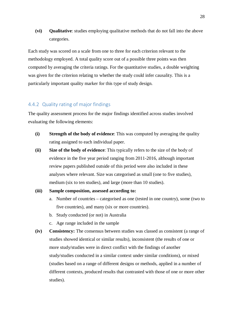**(vi) Qualitative**: studies employing qualitative methods that do not fall into the above categories.

Each study was scored on a scale from one to three for each criterion relevant to the methodology employed. A total quality score out of a possible three points was then computed by averaging the criteria ratings. For the quantitative studies, a double weighting was given for the criterion relating to whether the study could infer causality. This is a particularly important quality marker for this type of study design.

#### <span id="page-27-0"></span>4.4.2 Quality rating of major findings

The quality assessment process for the major findings identified across studies involved evaluating the following elements:

- **(i) Strength of the body of evidence**: This was computed by averaging the quality rating assigned to each individual paper.
- **(ii) Size of the body of evidence**: This typically refers to the size of the body of evidence in the five year period ranging from 2011-2016, although important review papers published outside of this period were also included in these analyses where relevant. Size was categorised as small (one to five studies), medium (six to ten studies), and large (more than 10 studies).

#### **(iii) Sample composition, assessed according to:**

- a. Number of countries categorised as one (tested in one country), some (two to five countries), and many (six or more countries).
- b. Study conducted (or not) in Australia
- c. Age range included in the sample
- **(iv) Consistency:** The consensus between studies was classed as consistent (a range of studies showed identical or similar results), inconsistent (the results of one or more study/studies were in direct conflict with the findings of another study/studies conducted in a similar context under similar conditions), or mixed (studies based on a range of different designs or methods, applied in a number of different contexts, produced results that contrasted with those of one or more other studies).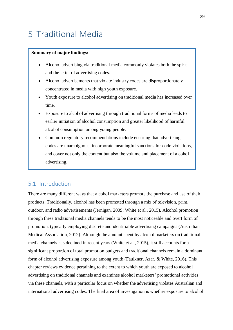# <span id="page-28-0"></span>5 Traditional Media

#### **Summary of major findings:**

- Alcohol advertising via traditional media commonly violates both the spirit and the letter of advertising codes.
- Alcohol advertisements that violate industry codes are disproportionately concentrated in media with high youth exposure.
- Youth exposure to alcohol advertising on traditional media has increased over time.
- Exposure to alcohol advertising through traditional forms of media leads to earlier initiation of alcohol consumption and greater likelihood of harmful alcohol consumption among young people.
- Common regulatory recommendations include ensuring that advertising codes are unambiguous, incorporate meaningful sanctions for code violations, and cover not only the content but also the volume and placement of alcohol advertising.

# <span id="page-28-1"></span>5.1 Introduction

There are many different ways that alcohol marketers promote the purchase and use of their products. Traditionally, alcohol has been promoted through a mix of television, print, outdoor, and radio advertisements (Jernigan, 2009; White et al., 2015). Alcohol promotion through these traditional media channels tends to be the most noticeable and overt form of promotion, typically employing discrete and identifiable advertising campaigns (Australian Medical Association, 2012). Although the amount spent by alcohol marketers on traditional media channels has declined in recent years (White et al., 2015), it still accounts for a significant proportion of total promotion budgets and traditional channels remain a dominant form of alcohol advertising exposure among youth (Faulkner, Azar, & White, 2016). This chapter reviews evidence pertaining to the extent to which youth are exposed to alcohol advertising on traditional channels and examines alcohol marketers' promotional activities via these channels, with a particular focus on whether the advertising violates Australian and international advertising codes. The final area of investigation is whether exposure to alcohol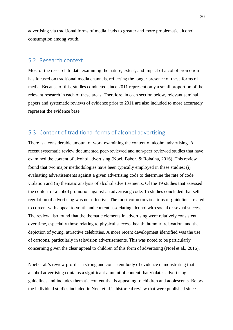advertising via traditional forms of media leads to greater and more problematic alcohol consumption among youth.

# <span id="page-29-0"></span>5.2 Research context

Most of the research to date examining the nature, extent, and impact of alcohol promotion has focused on traditional media channels, reflecting the longer presence of these forms of media. Because of this, studies conducted since 2011 represent only a small proportion of the relevant research in each of these areas. Therefore, in each section below, relevant seminal papers and systematic reviews of evidence prior to 2011 are also included to more accurately represent the evidence base.

### <span id="page-29-1"></span>5.3 Content of traditional forms of alcohol advertising

There is a considerable amount of work examining the content of alcohol advertising. A recent systematic review documented peer-reviewed and non-peer reviewed studies that have examined the content of alcohol advertising (Noel, Babor, & Robaina, 2016). This review found that two major methodologies have been typically employed in these studies: (i) evaluating advertisements against a given advertising code to determine the rate of code violation and (ii) thematic analysis of alcohol advertisements. Of the 19 studies that assessed the content of alcohol promotion against an advertising code, 15 studies concluded that selfregulation of advertising was not effective. The most common violations of guidelines related to content with appeal to youth and content associating alcohol with social or sexual success. The review also found that the thematic elements in advertising were relatively consistent over time, especially those relating to physical success, health, humour, relaxation, and the depiction of young, attractive celebrities. A more recent development identified was the use of cartoons, particularly in television advertisements. This was noted to be particularly concerning given the clear appeal to children of this form of advertising (Noel et al., 2016).

Noel et al.'s review profiles a strong and consistent body of evidence demonstrating that alcohol advertising contains a significant amount of content that violates advertising guidelines and includes thematic content that is appealing to children and adolescents. Below, the individual studies included in Noel et al.'s historical review that were published since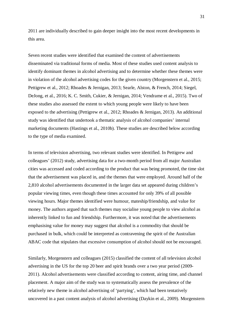2011 are individually described to gain deeper insight into the most recent developments in this area.

Seven recent studies were identified that examined the content of advertisements disseminated via traditional forms of media. Most of these studies used content analysis to identify dominant themes in alcohol advertising and to determine whether these themes were in violation of the alcohol advertising codes for the given country (Morgenstern et al., 2015; Pettigrew et al., 2012; Rhoades & Jernigan, 2013; Searle, Alston, & French, 2014; Siegel, DeJong, et al., 2016; K. C. Smith, Cukier, & Jernigan, 2014; Vendrame et al., 2015). Two of these studies also assessed the extent to which young people were likely to have been exposed to the advertising (Pettigrew et al., 2012; Rhoades & Jernigan, 2013). An additional study was identified that undertook a thematic analysis of alcohol companies' internal marketing documents (Hastings et al., 2010b). These studies are described below according to the type of media examined.

In terms of television advertising, two relevant studies were identified. In Pettigrew and colleagues' (2012) study, advertising data for a two-month period from all major Australian cities was accessed and coded according to the product that was being promoted, the time slot that the advertisement was placed in, and the themes that were employed. Around half of the 2,810 alcohol advertisements documented in the larger data set appeared during children's popular viewing times, even though these times accounted for only 39% of all possible viewing hours. Major themes identified were humour, mateship/friendship, and value for money. The authors argued that such themes may socialise young people to view alcohol as inherently linked to fun and friendship. Furthermore, it was noted that the advertisements emphasising value for money may suggest that alcohol is a commodity that should be purchased in bulk, which could be interpreted as contravening the spirit of the Australian ABAC code that stipulates that excessive consumption of alcohol should not be encouraged.

Similarly, Morgenstern and colleagues (2015) classified the content of all television alcohol advertising in the US for the top 20 beer and spirit brands over a two year period (2009- 2011). Alcohol advertisements were classified according to content, airing time, and channel placement. A major aim of the study was to systematically assess the prevalence of the relatively new theme in alcohol advertising of 'partying', which had been tentatively uncovered in a past content analysis of alcohol advertising (Daykin et al., 2009). Morgenstern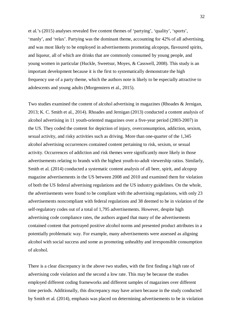et al.'s (2015) analyses revealed five content themes of 'partying', 'quality', 'sports', 'manly', and 'relax'. Partying was the dominant theme, accounting for 42% of all advertising, and was most likely to be employed in advertisements promoting alcopops, flavoured spirits, and liqueur, all of which are drinks that are commonly consumed by young people, and young women in particular (Huckle, Sweetsur, Moyes, & Casswell, 2008). This study is an important development because it is the first to systematically demonstrate the high frequency use of a party theme, which the authors note is likely to be especially attractive to adolescents and young adults (Morgenstern et al., 2015).

Two studies examined the content of alcohol advertising in magazines (Rhoades & Jernigan, 2013; K. C. Smith et al., 2014). Rhoades and Jernigan (2013) conducted a content analysis of alcohol advertising in 11 youth-oriented magazines over a five-year period (2003-2007) in the US. They coded the content for depiction of injury, overconsumption, addiction, sexism, sexual activity, and risky activities such as driving. More than one-quarter of the 1,345 alcohol advertising occurrences contained content pertaining to risk, sexism, or sexual activity. Occurrences of addiction and risk themes were significantly more likely in those advertisements relating to brands with the highest youth-to-adult viewership ratios. Similarly, Smith et al. (2014) conducted a systematic content analysis of all beer, spirit, and alcopop magazine advertisements in the US between 2008 and 2010 and examined them for violation of both the US federal advertising regulations and the US industry guidelines. On the whole, the advertisements were found to be compliant with the advertising regulations, with only 23 advertisements noncompliant with federal regulations and 38 deemed to be in violation of the self-regulatory codes out of a total of 1,795 advertisements. However, despite high advertising code compliance rates, the authors argued that many of the advertisements contained content that portrayed positive alcohol norms and presented product attributes in a potentially problematic way. For example, many advertisements were assessed as aligning alcohol with social success and some as promoting unhealthy and irresponsible consumption of alcohol.

There is a clear discrepancy in the above two studies, with the first finding a high rate of advertising code violation and the second a low rate. This may be because the studies employed different coding frameworks and different samples of magazines over different time periods. Additionally, this discrepancy may have arisen because in the study conducted by Smith et al. (2014), emphasis was placed on determining advertisements to be in violation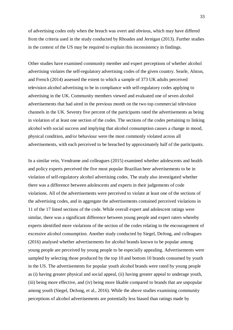of advertising codes only when the breach was overt and obvious, which may have differed from the criteria used in the study conducted by Rhoades and Jernigan (2013). Further studies in the context of the US may be required to explain this inconsistency in findings.

Other studies have examined community member and expert perceptions of whether alcohol advertising violates the self-regulatory advertising codes of the given country. Searle, Alston, and French (2014) assessed the extent to which a sample of 373 UK adults perceived television alcohol advertising to be in compliance with self-regulatory codes applying to advertising in the UK. Community members viewed and evaluated one of seven alcohol advertisements that had aired in the previous month on the two top commercial television channels in the UK. Seventy five percent of the participants rated the advertisements as being in violation of at least one section of the codes. The sections of the codes pertaining to linking alcohol with social success and implying that alcohol consumption causes a change in mood, physical condition, and/or behaviour were the most commonly violated across all advertisements, with each perceived to be breached by approximately half of the participants.

In a similar vein, Vendrame and colleagues (2015) examined whether adolescents and health and policy experts perceived the five most popular Brazilian beer advertisements to be in violation of self-regulatory alcohol advertising codes. The study also investigated whether there was a difference between adolescents and experts in their judgements of code violations. All of the advertisements were perceived to violate at least one of the sections of the advertising codes, and in aggregate the advertisements contained perceived violations in 11 of the 17 listed sections of the code. While overall expert and adolescent ratings were similar, there was a significant difference between young people and expert raters whereby experts identified more violations of the section of the codes relating to the encouragement of excessive alcohol consumption. Another study conducted by Siegel, DeJong, and colleagues (2016) analysed whether advertisements for alcohol brands known to be popular among young people are perceived by young people to be especially appealing. Advertisements were sampled by selecting those produced by the top 10 and bottom 10 brands consumed by youth in the US. The advertisements for popular youth alcohol brands were rated by young people as (i) having greater physical and social appeal, (ii) having greater appeal to underage youth, (iii) being more effective, and (iv) being more likable compared to brands that are unpopular among youth (Siegel, DeJong, et al., 2016). While the above studies examining community perceptions of alcohol advertisements are potentially less biased than ratings made by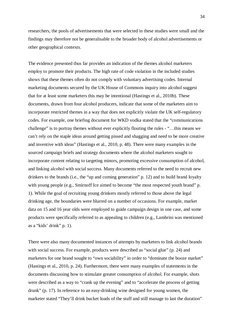researchers, the pools of advertisements that were selected in these studies were small and the findings may therefore not be generalisable to the broader body of alcohol advertisements or other geographical contexts.

The evidence presented thus far provides an indication of the themes alcohol marketers employ to promote their products. The high rate of code violation in the included studies shows that these themes often do not comply with voluntary advertising codes. Internal marketing documents secured by the UK House of Commons inquiry into alcohol suggest that for at least some marketers this may be intentional (Hastings et al., 2010b). These documents, drawn from four alcohol producers, indicate that some of the marketers aim to incorporate restricted themes in a way that does not explicitly violate the UK self-regulatory codes. For example, one briefing document for WKD vodka stated that the "communications challenge" is to portray themes without ever explicitly flouting the rules - "…this means we can't rely on the staple ideas around getting pissed and shagging and need to be more creative and inventive with ideas" (Hastings et al., 2010, p. 48). There were many examples in the sourced campaign briefs and strategy documents where the alcohol marketers sought to incorporate content relating to targeting minors, promoting excessive consumption of alcohol, and linking alcohol with social success. Many documents referred to the need to recruit new drinkers to the brands (i.e., the "up and coming generation" p. 12) and to build brand loyalty with young people (e.g., Smirnoff Ice aimed to become "the most respected youth brand" p. 1). While the goal of recruiting young drinkers mostly referred to those above the legal drinking age, the boundaries were blurred on a number of occasions. For example, market data on 15 and 16 year olds were employed to guide campaign design in one case, and some products were specifically referred to as appealing to children (e.g., Lambrini was mentioned as a "kids' drink" p. 1).

There were also many documented instances of attempts by marketers to link alcohol brands with social success. For example, products were described as "social glue" (p. 24) and marketers for one brand sought to "own sociability" in order to "dominate the booze market" (Hastings et al., 2010, p. 24). Furthermore, there were many examples of statements in the documents discussing how to stimulate greater consumption of alcohol. For example, shots were described as a way to "crank up the evening" and to "accelerate the process of getting drunk" (p. 17). In reference to an easy-drinking wine designed for young women, the marketer stated "They'll drink bucket loads of the stuff and still manage to last the duration"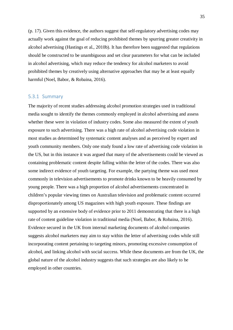(p. 17). Given this evidence, the authors suggest that self-regulatory advertising codes may actually work against the goal of reducing prohibited themes by spurring greater creativity in alcohol advertising (Hastings et al., 2010b). It has therefore been suggested that regulations should be constructed to be unambiguous and set clear parameters for what can be included in alcohol advertising, which may reduce the tendency for alcohol marketers to avoid prohibited themes by creatively using alternative approaches that may be at least equally harmful (Noel, Babor, & Robaina, 2016).

#### <span id="page-34-0"></span>5.3.1 Summary

The majority of recent studies addressing alcohol promotion strategies used in traditional media sought to identify the themes commonly employed in alcohol advertising and assess whether these were in violation of industry codes. Some also measured the extent of youth exposure to such advertising. There was a high rate of alcohol advertising code violation in most studies as determined by systematic content analyses and as perceived by expert and youth community members. Only one study found a low rate of advertising code violation in the US, but in this instance it was argued that many of the advertisements could be viewed as containing problematic content despite falling within the letter of the codes. There was also some indirect evidence of youth targeting. For example, the partying theme was used most commonly in television advertisements to promote drinks known to be heavily consumed by young people. There was a high proportion of alcohol advertisements concentrated in children's popular viewing times on Australian television and problematic content occurred disproportionately among US magazines with high youth exposure. These findings are supported by an extensive body of evidence prior to 2011 demonstrating that there is a high rate of content guideline violation in traditional media (Noel, Babor, & Robaina, 2016). Evidence secured in the UK from internal marketing documents of alcohol companies suggests alcohol marketers may aim to stay within the letter of advertising codes while still incorporating content pertaining to targeting minors, promoting excessive consumption of alcohol, and linking alcohol with social success. While these documents are from the UK, the global nature of the alcohol industry suggests that such strategies are also likely to be employed in other countries.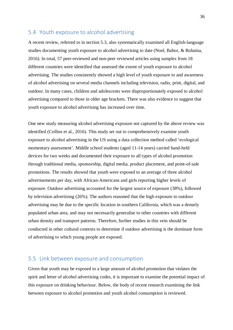# <span id="page-35-0"></span>5.4 Youth exposure to alcohol advertising

A recent review, referred to in section 5.3, also systematically examined all English-language studies documenting youth exposure to alcohol advertising to date (Noel, Babor, & Robaina, 2016). In total, 57 peer-reviewed and non-peer reviewed articles using samples from 18 different countries were identified that assessed the extent of youth exposure to alcohol advertising. The studies consistently showed a high level of youth exposure to and awareness of alcohol advertising on several media channels including television, radio, print, digital, and outdoor. In many cases, children and adolescents were disproportionately exposed to alcohol advertising compared to those in older age brackets. There was also evidence to suggest that youth exposure to alcohol advertising has increased over time.

One new study measuring alcohol advertising exposure not captured by the above review was identified (Collins et al., 2016). This study set out to comprehensively examine youth exposure to alcohol advertising in the US using a data collection method called 'ecological momentary assessment'. Middle school students (aged 11-14 years) carried hand-held devices for two weeks and documented their exposure to all types of alcohol promotion through traditional media, sponsorship, digital media, product placement, and point-of-sale promotions. The results showed that youth were exposed to an average of three alcohol advertisements per day, with African-Americans and girls reporting higher levels of exposure. Outdoor advertising accounted for the largest source of exposure (38%), followed by television advertising (26%). The authors reasoned that the high exposure to outdoor advertising may be due to the specific location in southern California, which was a densely populated urban area, and may not necessarily generalise to other countries with different urban density and transport patterns. Therefore, further studies in this vein should be conducted in other cultural contexts to determine if outdoor advertising is the dominant form of advertising to which young people are exposed.

# <span id="page-35-1"></span>5.5 Link between exposure and consumption

Given that youth may be exposed to a large amount of alcohol promotion that violates the spirit and letter of alcohol advertising codes, it is important to examine the potential impact of this exposure on drinking behaviour. Below, the body of recent research examining the link between exposure to alcohol promotion and youth alcohol consumption is reviewed.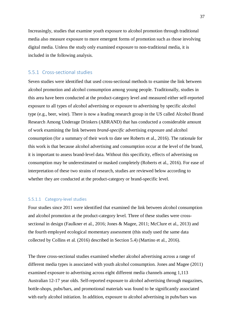Increasingly, studies that examine youth exposure to alcohol promotion through traditional media also measure exposure to more emergent forms of promotion such as those involving digital media. Unless the study only examined exposure to non-traditional media, it is included in the following analysis.

#### 5.5.1 Cross-sectional studies

Seven studies were identified that used cross-sectional methods to examine the link between alcohol promotion and alcohol consumption among young people. Traditionally, studies in this area have been conducted at the product-category level and measured either self-reported exposure to all types of alcohol advertising or exposure to advertising by specific alcohol type (e.g., beer, wine). There is now a leading research group in the US called Alcohol Brand Research Among Underage Drinkers (ABRAND) that has conducted a considerable amount of work examining the link between *brand-specific* advertising exposure and alcohol consumption (for a summary of their work to date see Roberts et al., 2016). The rationale for this work is that because alcohol advertising and consumption occur at the level of the brand, it is important to assess brand-level data. Without this specificity, effects of advertising on consumption may be underestimated or masked completely (Roberts et al., 2016). For ease of interpretation of these two strains of research, studies are reviewed below according to whether they are conducted at the product-category or brand-specific level.

#### 5.5.1.1 Category-level studies

Four studies since 2011 were identified that examined the link between alcohol consumption and alcohol promotion at the product-category level. Three of these studies were crosssectional in design (Faulkner et al., 2016; Jones & Magee, 2011; McClure et al., 2013) and the fourth employed ecological momentary assessment (this study used the same data collected by Collins et al. (2016) described in Section 5.4) (Martino et al., 2016).

The three cross-sectional studies examined whether alcohol advertising across a range of different media types is associated with youth alcohol consumption. Jones and Magee (2011) examined exposure to advertising across eight different media channels among 1,113 Australian 12-17 year olds. Self-reported exposure to alcohol advertising through magazines, bottle-shops, pubs/bars, and promotional materials was found to be significantly associated with early alcohol initiation. In addition, exposure to alcohol advertising in pubs/bars was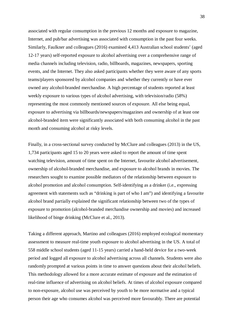associated with regular consumption in the previous 12 months and exposure to magazine, Internet, and pub/bar advertising was associated with consumption in the past four weeks. Similarly, Faulkner and colleagues (2016) examined 4,413 Australian school students' (aged 12-17 years) self-reported exposure to alcohol advertising over a comprehensive range of media channels including television, radio, billboards, magazines, newspapers, sporting events, and the Internet. They also asked participants whether they were aware of any sports teams/players sponsored by alcohol companies and whether they currently or have ever owned any alcohol-branded merchandise. A high percentage of students reported at least weekly exposure to various types of alcohol advertising, with television/radio (58%) representing the most commonly mentioned sources of exposure. All else being equal, exposure to advertising via billboards/newspapers/magazines and ownership of at least one alcohol-branded item were significantly associated with both consuming alcohol in the past month and consuming alcohol at risky levels.

Finally, in a cross-sectional survey conducted by McClure and colleagues (2013) in the US, 1,734 participants aged 15 to 20 years were asked to report the amount of time spent watching television, amount of time spent on the Internet, favourite alcohol advertisement, ownership of alcohol-branded merchandise, and exposure to alcohol brands in movies. The researchers sought to examine possible mediators of the relationship between exposure to alcohol promotion and alcohol consumption. Self-identifying as a drinker (i.e., expressing agreement with statements such as "drinking is part of who I am") and identifying a favourite alcohol brand partially explained the significant relationship between two of the types of exposure to promotion (alcohol-branded merchandise ownership and movies) and increased likelihood of binge drinking (McClure et al., 2013).

Taking a different approach, Martino and colleagues (2016) employed ecological momentary assessment to measure real-time youth exposure to alcohol advertising in the US. A total of 558 middle school students (aged 11-15 years) carried a hand-held device for a two-week period and logged all exposure to alcohol advertising across all channels. Students were also randomly prompted at various points in time to answer questions about their alcohol beliefs. This methodology allowed for a more accurate estimate of exposure and the estimation of real-time influence of advertising on alcohol beliefs. At times of alcohol exposure compared to non-exposure, alcohol use was perceived by youth to be more normative and a typical person their age who consumes alcohol was perceived more favourably. There are potential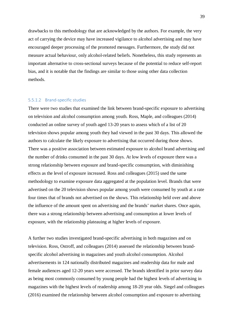drawbacks to this methodology that are acknowledged by the authors. For example, the very act of carrying the device may have increased vigilance to alcohol advertising and may have encouraged deeper processing of the promoted messages. Furthermore, the study did not measure actual behaviour, only alcohol-related beliefs. Nonetheless, this study represents an important alternative to cross-sectional surveys because of the potential to reduce self-report bias, and it is notable that the findings are similar to those using other data collection methods.

#### 5.5.1.2 Brand-specific studies

There were two studies that examined the link between brand-specific exposure to advertising on television and alcohol consumption among youth. Ross, Maple, and colleagues (2014) conducted an online survey of youth aged 13-20 years to assess which of a list of 20 television shows popular among youth they had viewed in the past 30 days. This allowed the authors to calculate the likely exposure to advertising that occurred during those shows. There was a positive association between estimated exposure to alcohol brand advertising and the number of drinks consumed in the past 30 days. At low levels of exposure there was a strong relationship between exposure and brand-specific consumption, with diminishing effects as the level of exposure increased. Ross and colleagues (2015) used the same methodology to examine exposure data aggregated at the population level. Brands that were advertised on the 20 television shows popular among youth were consumed by youth at a rate four times that of brands not advertised on the shows. This relationship held over and above the influence of the amount spent on advertising and the brands' market shares. Once again, there was a strong relationship between advertising and consumption at lower levels of exposure, with the relationship plateauing at higher levels of exposure.

A further two studies investigated brand-specific advertising in both magazines and on television. Ross, Ostroff, and colleagues (2014) assessed the relationship between brandspecific alcohol advertising in magazines and youth alcohol consumption. Alcohol advertisements in 124 nationally distributed magazines and readership data for male and female audiences aged 12-20 years were accessed. The brands identified in prior survey data as being most commonly consumed by young people had the highest levels of advertising in magazines with the highest levels of readership among 18-20 year olds. Siegel and colleagues (2016) examined the relationship between alcohol consumption and exposure to advertising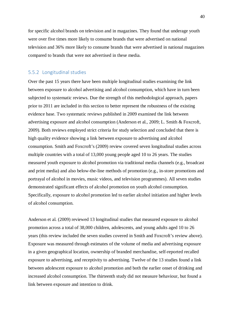for specific alcohol brands on television and in magazines. They found that underage youth were over five times more likely to consume brands that were advertised on national television and 36% more likely to consume brands that were advertised in national magazines compared to brands that were not advertised in these media.

#### 5.5.2 Longitudinal studies

Over the past 15 years there have been multiple longitudinal studies examining the link between exposure to alcohol advertising and alcohol consumption, which have in turn been subjected to systematic reviews. Due the strength of this methodological approach, papers prior to 2011 are included in this section to better represent the robustness of the existing evidence base. Two systematic reviews published in 2009 examined the link between advertising exposure and alcohol consumption (Anderson et al., 2009; L. Smith & Foxcroft, 2009). Both reviews employed strict criteria for study selection and concluded that there is high quality evidence showing a link between exposure to advertising and alcohol consumption. Smith and Foxcroft's (2009) review covered seven longitudinal studies across multiple countries with a total of 13,000 young people aged 10 to 26 years. The studies measured youth exposure to alcohol promotion via traditional media channels (e.g., broadcast and print media) and also below-the-line methods of promotion (e.g., in-store promotions and portrayal of alcohol in movies, music videos, and television programmes). All seven studies demonstrated significant effects of alcohol promotion on youth alcohol consumption. Specifically, exposure to alcohol promotion led to earlier alcohol initiation and higher levels of alcohol consumption.

Anderson et al. (2009) reviewed 13 longitudinal studies that measured exposure to alcohol promotion across a total of 38,000 children, adolescents, and young adults aged 10 to 26 years (this review included the seven studies covered in Smith and Foxcroft's review above). Exposure was measured through estimates of the volume of media and advertising exposure in a given geographical location, ownership of branded merchandise, self-reported recalled exposure to advertising, and receptivity to advertising. Twelve of the 13 studies found a link between adolescent exposure to alcohol promotion and both the earlier onset of drinking and increased alcohol consumption. The thirteenth study did not measure behaviour, but found a link between exposure and intention to drink.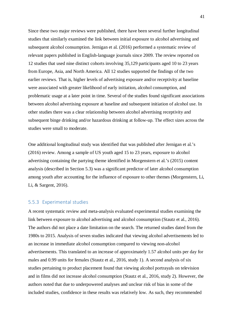Since these two major reviews were published, there have been several further longitudinal studies that similarly examined the link between initial exposure to alcohol advertising and subsequent alcohol consumption. Jernigan et al. (2016) performed a systematic review of relevant papers published in English-language journals since 2009. The review reported on 12 studies that used nine distinct cohorts involving 35,129 participants aged 10 to 23 years from Europe, Asia, and North America. All 12 studies supported the findings of the two earlier reviews. That is, higher levels of advertising exposure and/or receptivity at baseline were associated with greater likelihood of early initiation, alcohol consumption, and problematic usage at a later point in time. Several of the studies found significant associations between alcohol advertising exposure at baseline and subsequent initiation of alcohol use. In other studies there was a clear relationship between alcohol advertising receptivity and subsequent binge drinking and/or hazardous drinking at follow-up. The effect sizes across the studies were small to moderate.

One additional longitudinal study was identified that was published after Jernigan et al.'s (2016) review. Among a sample of US youth aged 15 to 23 years, exposure to alcohol advertising containing the partying theme identified in Morgenstern et al.'s (2015) content analysis (described in Section 5.3) was a significant predictor of later alcohol consumption among youth after accounting for the influence of exposure to other themes (Morgenstern, Li, Li, & Sargent, 2016).

### 5.5.3 Experimental studies

A recent systematic review and meta-analysis evaluated experimental studies examining the link between exposure to alcohol advertising and alcohol consumption (Stautz et al., 2016). The authors did not place a date limitation on the search. The returned studies dated from the 1980s to 2015. Analysis of seven studies indicated that viewing alcohol advertisements led to an increase in immediate alcohol consumption compared to viewing non-alcohol advertisements. This translated to an increase of approximately 1.57 alcohol units per day for males and 0.99 units for females (Stautz et al., 2016, study 1). A second analysis of six studies pertaining to product placement found that viewing alcohol portrayals on television and in films did not increase alcohol consumption (Stautz et al., 2016, study 2). However, the authors noted that due to underpowered analyses and unclear risk of bias in some of the included studies, confidence in these results was relatively low. As such, they recommended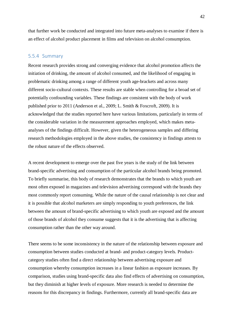that further work be conducted and integrated into future meta-analyses to examine if there is an effect of alcohol product placement in films and television on alcohol consumption.

#### 5.5.4 Summary

Recent research provides strong and converging evidence that alcohol promotion affects the initiation of drinking, the amount of alcohol consumed, and the likelihood of engaging in problematic drinking among a range of different youth age-brackets and across many different socio-cultural contexts. These results are stable when controlling for a broad set of potentially confounding variables. These findings are consistent with the body of work published prior to 2011 (Anderson et al., 2009; L. Smith & Foxcroft, 2009). It is acknowledged that the studies reported here have various limitations, particularly in terms of the considerable variation in the measurement approaches employed, which makes metaanalyses of the findings difficult. However, given the heterogeneous samples and differing research methodologies employed in the above studies, the consistency in findings attests to the robust nature of the effects observed.

A recent development to emerge over the past five years is the study of the link between brand-specific advertising and consumption of the particular alcohol brands being promoted. To briefly summarise, this body of research demonstrates that the brands to which youth are most often exposed in magazines and television advertising correspond with the brands they most commonly report consuming. While the nature of the causal relationship is not clear and it is possible that alcohol marketers are simply responding to youth preferences, the link between the amount of brand-specific advertising to which youth are exposed and the amount of those brands of alcohol they consume suggests that it is the advertising that is affecting consumption rather than the other way around.

There seems to be some inconsistency in the nature of the relationship between exposure and consumption between studies conducted at brand- and product-category levels. Productcategory studies often find a direct relationship between advertising exposure and consumption whereby consumption increases in a linear fashion as exposure increases. By comparison, studies using brand-specific data also find effects of advertising on consumption, but they diminish at higher levels of exposure. More research is needed to determine the reasons for this discrepancy in findings. Furthermore, currently all brand-specific data are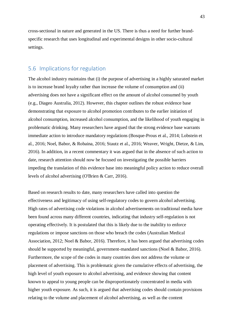cross-sectional in nature and generated in the US. There is thus a need for further brandspecific research that uses longitudinal and experimental designs in other socio-cultural settings.

# 5.6 Implications for regulation

The alcohol industry maintains that (i) the purpose of advertising in a highly saturated market is to increase brand loyalty rather than increase the volume of consumption and (ii) advertising does not have a significant effect on the amount of alcohol consumed by youth (e.g., Diageo Australia, 2012). However, this chapter outlines the robust evidence base demonstrating that exposure to alcohol promotion contributes to the earlier initiation of alcohol consumption, increased alcohol consumption, and the likelihood of youth engaging in problematic drinking. Many researchers have argued that the strong evidence base warrants immediate action to introduce mandatory regulations (Bosque-Prous et al., 2014; Lobstein et al., 2016; Noel, Babor, & Robaina, 2016; Stautz et al., 2016; Weaver, Wright, Dietze, & Lim, 2016). In addition, in a recent commentary it was argued that in the absence of such action to date, research attention should now be focused on investigating the possible barriers impeding the translation of this evidence base into meaningful policy action to reduce overall levels of alcohol advertising (O'Brien & Carr, 2016).

Based on research results to date, many researchers have called into question the effectiveness and legitimacy of using self-regulatory codes to govern alcohol advertising. High rates of advertising code violations in alcohol advertisements on traditional media have been found across many different countries, indicating that industry self-regulation is not operating effectively. It is postulated that this is likely due to the inability to enforce regulations or impose sanctions on those who breach the codes (Australian Medical Association, 2012; Noel & Babor, 2016). Therefore, it has been argued that advertising codes should be supported by meaningful, government-mandated sanctions (Noel & Babor, 2016). Furthermore, the scope of the codes in many countries does not address the volume or placement of advertising. This is problematic given the cumulative effects of advertising, the high level of youth exposure to alcohol advertising, and evidence showing that content known to appeal to young people can be disproportionately concentrated in media with higher youth exposure. As such, it is argued that advertising codes should contain provisions relating to the volume and placement of alcohol advertising, as well as the content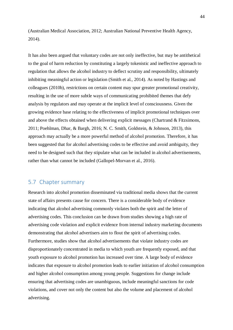(Australian Medical Association, 2012; Australian National Preventive Health Agency, 2014).

It has also been argued that voluntary codes are not only ineffective, but may be antithetical to the goal of harm reduction by constituting a largely tokenistic and ineffective approach to regulation that allows the alcohol industry to deflect scrutiny and responsibility, ultimately inhibiting meaningful action or legislation (Smith et al., 2014). As noted by Hastings and colleagues (2010b), restrictions on certain content may spur greater promotional creativity, resulting in the use of more subtle ways of communicating prohibited themes that defy analysis by regulators and may operate at the implicit level of consciousness. Given the growing evidence base relating to the effectiveness of implicit promotional techniques over and above the effects obtained when delivering explicit messages (Chartrand & Fitzsimons, 2011; Poehlman, Dhar, & Bargh, 2016; N. C. Smith, Goldstein, & Johnson, 2013), this approach may actually be a more powerful method of alcohol promotion. Therefore, it has been suggested that for alcohol advertising codes to be effective and avoid ambiguity, they need to be designed such that they stipulate what can be included in alcohol advertisements, rather than what cannot be included (Gallopel-Morvan et al., 2016).

## 5.7 Chapter summary

Research into alcohol promotion disseminated via traditional media shows that the current state of affairs presents cause for concern. There is a considerable body of evidence indicating that alcohol advertising commonly violates both the spirit and the letter of advertising codes. This conclusion can be drawn from studies showing a high rate of advertising code violation and explicit evidence from internal industry marketing documents demonstrating that alcohol advertisers aim to flout the spirit of advertising codes. Furthermore, studies show that alcohol advertisements that violate industry codes are disproportionately concentrated in media to which youth are frequently exposed, and that youth exposure to alcohol promotion has increased over time. A large body of evidence indicates that exposure to alcohol promotion leads to earlier initiation of alcohol consumption and higher alcohol consumption among young people. Suggestions for change include ensuring that advertising codes are unambiguous, include meaningful sanctions for code violations, and cover not only the content but also the volume and placement of alcohol advertising.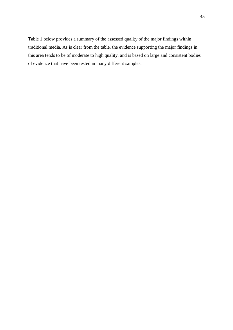Table 1 below provides a summary of the assessed quality of the major findings within traditional media. As is clear from the table, the evidence supporting the major findings in this area tends to be of moderate to high quality, and is based on large and consistent bodies of evidence that have been tested in many different samples.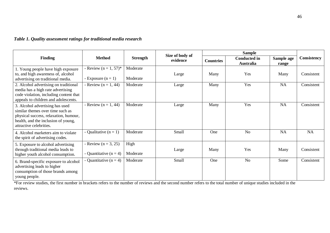|  |  | Table 1. Quality assessment ratings for traditional media research |  |  |  |  |
|--|--|--------------------------------------------------------------------|--|--|--|--|
|--|--|--------------------------------------------------------------------|--|--|--|--|

|                                                                                                                                                                                |                                                        |                      | Size of body of |                  |                                         |                     |             |
|--------------------------------------------------------------------------------------------------------------------------------------------------------------------------------|--------------------------------------------------------|----------------------|-----------------|------------------|-----------------------------------------|---------------------|-------------|
| <b>Finding</b>                                                                                                                                                                 | <b>Method</b>                                          | <b>Strength</b>      | evidence        | <b>Countries</b> | <b>Conducted in</b><br><b>Australia</b> | Sample age<br>range | Consistency |
| 1. Young people have high exposure<br>to, and high awareness of, alcohol<br>advertising on traditional media.                                                                  | - Review ( $n = 1, 57$ )*<br>- Exposure $(n = 1)$      | Moderate<br>Moderate | Large           | Many             | Yes                                     | Many                | Consistent  |
| 2. Alcohol advertising on traditional<br>media has a high rate advertising<br>code violation, including content that<br>appeals to children and adolescents.                   | - Review $(n = 1, 44)$                                 | Moderate             | Large           | Many             | Yes                                     | <b>NA</b>           | Consistent  |
| 3. Alcohol advertising has used<br>similar themes over time such as<br>physical success, relaxation, humour,<br>health, and the inclusion of young,<br>attractive celebrities. | - Review $(n = 1, 44)$                                 | Moderate             | Large           | Many             | Yes                                     | NA                  | Consistent  |
| 4. Alcohol marketers aim to violate<br>the spirit of advertising codes.                                                                                                        | - Qualitative $(n = 1)$                                | Moderate             | Small           | One              | N <sub>o</sub>                          | NA                  | NA          |
| 5. Exposure to alcohol advertising<br>through traditional media leads to<br>higher youth alcohol consumption.                                                                  | - Review ( $n = 3, 25$ )<br>- Quantitative ( $n = 4$ ) | High<br>Moderate     | Large           | Many             | Yes                                     | Many                | Consistent  |
| 6. Brand-specific exposure to alcohol<br>advertising leads to higher<br>consumption of those brands among<br>young people.                                                     | - Quantitative ( $n = 4$ )                             | Moderate             | <b>Small</b>    | One              | N <sub>o</sub>                          | Some                | Consistent  |

\*For review studies, the first number in brackets refers to the number of reviews and the second number refers to the total number of unique studies included in the reviews.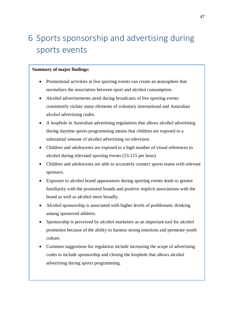# 6 Sports sponsorship and advertising during sports events

#### **Summary of major findings:**

- Promotional activities at live sporting events can create an atmosphere that normalises the association between sport and alcohol consumption.
- Alcohol advertisements aired during broadcasts of live sporting events consistently violate many elements of voluntary international and Australian alcohol advertising codes.
- A loophole in Australian advertising regulations that allows alcohol advertising during daytime sports programming means that children are exposed to a substantial amount of alcohol advertising on television.
- Children and adolescents are exposed to a high number of visual references to alcohol during televised sporting events (53-215 per hour).
- Children and adolescents are able to accurately connect sports teams with relevant sponsors.
- Exposure to alcohol brand appearances during sporting events leads to greater familiarity with the promoted brands and positive implicit associations with the brand as well as alcohol more broadly.
- Alcohol sponsorship is associated with higher levels of problematic drinking among sponsored athletes.
- Sponsorship is perceived by alcohol marketers as an important tool for alcohol promotion because of the ability to harness strong emotions and permeate youth culture.
- Common suggestions for regulation include increasing the scope of advertising codes to include sponsorship and closing the loophole that allows alcohol advertising during sports programming.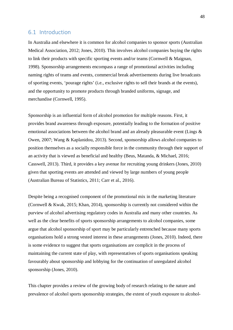### 6.1 Introduction

In Australia and elsewhere it is common for alcohol companies to sponsor sports (Australian Medical Association, 2012; Jones, 2010). This involves alcohol companies buying the rights to link their products with specific sporting events and/or teams (Cornwell & Maignan, 1998). Sponsorship arrangements encompass a range of promotional activities including naming rights of teams and events, commercial break advertisements during live broadcasts of sporting events, 'pourage rights' (i.e., exclusive rights to sell their brands at the events), and the opportunity to promote products through branded uniforms, signage, and merchandise (Cornwell, 1995).

Sponsorship is an influential form of alcohol promotion for multiple reasons. First, it provides brand awareness through exposure, potentially leading to the formation of positive emotional associations between the alcohol brand and an already pleasurable event (Lings & Owen, 2007; Wang & Kaplanidou, 2013). Second, sponsorship allows alcohol companies to position themselves as a socially responsible force in the community through their support of an activity that is viewed as beneficial and healthy (Beus, Matanda, & Michael, 2016; Casswell, 2013). Third, it provides a key avenue for recruiting young drinkers (Jones, 2010) given that sporting events are attended and viewed by large numbers of young people (Australian Bureau of Statistics, 2011; Carr et al., 2016).

Despite being a recognised component of the promotional mix in the marketing literature (Cornwell & Kwak, 2015; Khan, 2014), sponsorship is currently not considered within the purview of alcohol advertising regulatory codes in Australia and many other countries. As well as the clear benefits of sports sponsorship arrangements to alcohol companies, some argue that alcohol sponsorship of sport may be particularly entrenched because many sports organisations hold a strong vested interest in these arrangements (Jones, 2010). Indeed, there is some evidence to suggest that sports organisations are complicit in the process of maintaining the current state of play, with representatives of sports organisations speaking favourably about sponsorship and lobbying for the continuation of unregulated alcohol sponsorship (Jones, 2010).

This chapter provides a review of the growing body of research relating to the nature and prevalence of alcohol sports sponsorship strategies, the extent of youth exposure to alcohol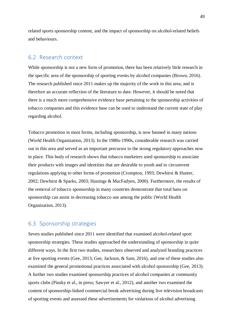related sports sponsorship content, and the impact of sponsorship on alcohol-related beliefs and behaviours.

## 6.2 Research context

While sponsorship is not a new form of promotion, there has been relatively little research in the specific area of the sponsorship of sporting events by alcohol companies (Brown, 2016). The research published since 2011 makes up the majority of the work in this area, and is therefore an accurate reflection of the literature to date. However, it should be noted that there is a much more comprehensive evidence base pertaining to the sponsorship activities of tobacco companies and this evidence base can be used to understand the current state of play regarding alcohol.

Tobacco promotion in most forms, including sponsorship, is now banned in many nations (World Health Organization, 2013). In the 1980s-1990s, considerable research was carried out in this area and served as an important precursor to the strong regulatory approaches now in place. This body of research shows that tobacco marketers used sponsorship to associate their products with images and identities that are desirable to youth and to circumvent regulations applying to other forms of promotion (Crompton, 1993; Dewhirst & Hunter, 2002; Dewhirst & Sparks, 2003; Hastings & MacFadyen, 2000). Furthermore, the results of the removal of tobacco sponsorship in many countries demonstrate that total bans on sponsorship can assist in decreasing tobacco use among the public (World Health Organization, 2013).

## 6.3 Sponsorship strategies

Seven studies published since 2011 were identified that examined alcohol-related sport sponsorship strategies. These studies approached the understanding of sponsorship in quite different ways. In the first two studies, researchers observed and analysed branding practices at live sporting events (Gee, 2013; Gee, Jackson, & Sam, 2016), and one of these studies also examined the general promotional practices associated with alcohol sponsorship (Gee, 2013). A further two studies examined sponsorship practices of alcohol companies at community sports clubs (Pinsky et al., in press; Sawyer et al., 2012), and another two examined the content of sponsorship-linked commercial break advertising during live television broadcasts of sporting events and assessed these advertisements for violations of alcohol advertising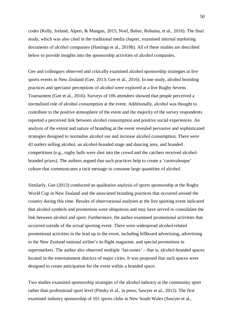codes (Kelly, Ireland, Alpert, & Mangan, 2015; Noel, Babor, Robaina, et al., 2016). The final study, which was also cited in the traditional media chapter, examined internal marketing documents of alcohol companies (Hastings et al., 2010b). All of these studies are described below to provide insights into the sponsorship activities of alcohol companies.

Gee and colleagues observed and critically examined alcohol sponsorship strategies at live sports events in New Zealand (Gee, 2013; Gee et al., 2016). In one study, alcohol branding practices and spectator perceptions of alcohol were explored at a live Rugby Sevens Tournament (Gee et al., 2016). Surveys of 106 attendees showed that people perceived a normalised role of alcohol consumption at the event. Additionally, alcohol was thought to contribute to the positive atmosphere of the event and the majority of the survey respondents reported a perceived link between alcohol consumption and positive social experiences. An analysis of the extent and nature of branding at the event revealed pervasive and sophisticated strategies designed to normalise alcohol use and increase alcohol consumption. There were 43 outlets selling alcohol, an alcohol-branded stage and dancing area, and branded competitions (e.g., rugby balls were shot into the crowd and the catchers received alcoholbranded prizes). The authors argued that such practices help to create a 'carnivalesque' culture that communicates a tacit message to consume large quantities of alcohol.

Similarly, Gee (2013) conducted an qualitative analysis of sports sponsorship at the Rugby World Cup in New Zealand and the associated branding practices that occurred around the country during this time. Results of observational analyses at the live sporting event indicated that alcohol symbols and promotions were ubiquitous and may have served to consolidate the link between alcohol and sport. Furthermore, the author examined promotional activities that occurred outside of the actual sporting event. There were widespread alcohol-related promotional activities in the lead up to the event, including billboard advertising, advertising in the New Zealand national airline's in-flight magazine, and special promotions in supermarkets. The author also observed multiple 'fan-zones' – that is, alcohol-branded spaces located in the entertainment districts of major cities. It was proposed that such spaces were designed to create anticipation for the event within a branded space.

Two studies examined sponsorship strategies of the alcohol industry at the community sport rather than professional sport level (Pinsky et al., in press; Sawyer et al., 2012). The first examined industry sponsorship of 101 sports clubs in New South Wales (Sawyer et al.,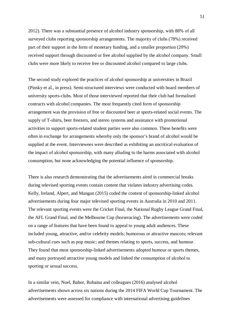2012). There was a substantial presence of alcohol industry sponsorship, with 88% of all surveyed clubs reporting sponsorship arrangements. The majority of clubs (78%) received part of their support in the form of monetary funding, and a smaller proportion (20%) received support through discounted or free alcohol supplied by the alcohol company. Small clubs were more likely to receive free or discounted alcohol compared to large clubs.

The second study explored the practices of alcohol sponsorship at universities in Brazil (Pinsky et al., in press). Semi-structured interviews were conducted with board members of university sports-clubs. Most of those interviewed reported that their club had formalised contracts with alcohol companies. The most frequently cited form of sponsorship arrangement was the provision of free or discounted beer at sports-related social events. The supply of T-shirts, beer freezers, and stereo systems and assistance with promotional activities to support sports-related student parties were also common. These benefits were often in exchange for arrangements whereby only the sponsor's brand of alcohol would be supplied at the event. Interviewees were described as exhibiting an uncritical evaluation of the impact of alcohol sponsorship, with many alluding to the harms associated with alcohol consumption, but none acknowledging the potential influence of sponsorship.

There is also research demonstrating that the advertisements aired in commercial breaks during televised sporting events contain content that violates industry advertising codes. Kelly, Ireland, Alpert, and Mangan (2015) coded the content of sponsorship-linked alcohol advertisements during four major televised sporting events in Australia in 2010 and 2011. The relevant sporting events were the Cricket Final, the National Rugby League Grand Final, the AFL Grand Final, and the Melbourne Cup (horseracing). The advertisements were coded on a range of features that have been found to appeal to young adult audiences. These included young, attractive, and/or celebrity models; humorous or attractive mascots; relevant sub-cultural cues such as pop music; and themes relating to sports, success, and humour. They found that most sponsorship-linked advertisements adopted humour or sports themes, and many portrayed attractive young models and linked the consumption of alcohol to sporting or sexual success.

In a similar vein, Noel, Babor, Robaina and colleagues (2016) analysed alcohol advertisements shown across six nations during the 2014 FIFA World Cup Tournament. The advertisements were assessed for compliance with international advertising guidelines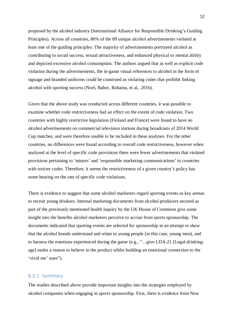proposed by the alcohol industry (International Alliance for Responsible Drinking's Guiding Principles). Across all countries, 86% of the 89 unique alcohol advertisements violated at least one of the guiding principles. The majority of advertisements portrayed alcohol as contributing to social success, sexual attractiveness, and enhanced physical or mental ability and depicted excessive alcohol consumption. The authors argued that as well as explicit code violation during the advertisements, the in-game visual references to alcohol in the form of signage and branded uniforms could be construed as violating codes that prohibit linking alcohol with sporting success (Noel, Babor, Robaina, et al., 2016).

Given that the above study was conducted across different countries, it was possible to examine whether code restrictiveness had an effect on the extent of code violation. Two countries with highly restrictive legislation (Finland and France) were found to have no alcohol advertisements on commercial television stations during broadcasts of 2014 World Cup matches, and were therefore unable to be included in these analyses. For the other countries, no differences were found according to overall code restrictiveness, however when analysed at the level of specific code provisions there were fewer advertisements that violated provisions pertaining to 'minors' and 'responsible marketing communications' in countries with stricter codes. Therefore, it seems the restrictiveness of a given country's policy has some bearing on the rate of specific code violations.

There is evidence to suggest that some alcohol marketers regard sporting events as key arenas to recruit young drinkers. Internal marketing documents from alcohol producers secured as part of the previously mentioned health inquiry by the UK House of Commons give some insight into the benefits alcohol marketers perceive to accrue from sports sponsorship. The documents indicated that sporting events are selected for sponsorship in an attempt to show that the alcohol brands understand and relate to young people (in this case, young men), and to harness the emotions experienced during the game (e.g., "…give LDA-21 [Legal-drinkingage] males a reason to believe in the product whilst building an emotional connection to the 'vivid me' state").

#### 6.3.1 Summary

The studies described above provide important insights into the strategies employed by alcohol companies when engaging in sports sponsorship. First, there is evidence from New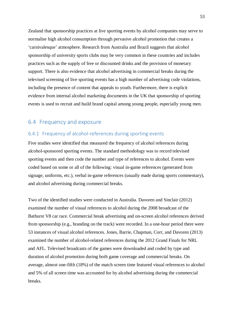Zealand that sponsorship practices at live sporting events by alcohol companies may serve to normalise high alcohol consumption through pervasive alcohol promotion that creates a 'carnivalesque' atmosphere. Research from Australia and Brazil suggests that alcohol sponsorship of university sports clubs may be very common in these countries and includes practices such as the supply of free or discounted drinks and the provision of monetary support. There is also evidence that alcohol advertising in commercial breaks during the televised screening of live sporting events has a high number of advertising code violations, including the presence of content that appeals to youth. Furthermore, there is explicit evidence from internal alcohol marketing documents in the UK that sponsorship of sporting events is used to recruit and build brand capital among young people, especially young men.

# 6.4 Frequency and exposure

#### 6.4.1 Frequency of alcohol-references during sporting events

Five studies were identified that measured the frequency of alcohol references during alcohol-sponsored sporting events. The standard methodology was to record televised sporting events and then code the number and type of references to alcohol. Events were coded based on some or all of the following: visual in-game references (generated from signage, uniforms, etc.), verbal in-game references (usually made during sports commentary), and alcohol advertising during commercial breaks.

Two of the identified studies were conducted in Australia. Davoren and Sinclair (2012) examined the number of visual references to alcohol during the 2008 broadcast of the Bathurst V8 car race. Commercial break advertising and on-screen alcohol references derived from sponsorship (e.g., branding on the track) were recorded. In a one-hour period there were 53 instances of visual alcohol references. Jones, Barrie, Chapman, Corr, and Davoren (2013) examined the number of alcohol-related references during the 2012 Grand Finals for NRL and AFL. Televised broadcasts of the games were downloaded and coded by type and duration of alcohol promotion during both game coverage and commercial breaks. On average, almost one-fifth (18%) of the match screen time featured visual references to alcohol and 5% of all screen time was accounted for by alcohol advertising during the commercial breaks.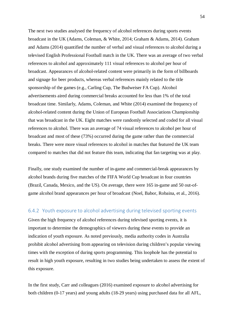The next two studies analysed the frequency of alcohol references during sports events broadcast in the UK (Adams, Coleman, & White, 2014; Graham & Adams, 2014). Graham and Adams (2014) quantified the number of verbal and visual references to alcohol during a televised English Professional Football match in the UK. There was an average of two verbal references to alcohol and approximately 111 visual references to alcohol per hour of broadcast. Appearances of alcohol-related content were primarily in the form of billboards and signage for beer products, whereas verbal references mainly related to the title sponsorship of the games (e.g., Carling Cup, The Budweiser FA Cup). Alcohol advertisements aired during commercial breaks accounted for less than 1% of the total broadcast time. Similarly, Adams, Coleman, and White (2014) examined the frequency of alcohol-related content during the Union of European Football Associations Championship that was broadcast in the UK. Eight matches were randomly selected and coded for all visual references to alcohol. There was an average of 74 visual references to alcohol per hour of broadcast and most of these (73%) occurred during the game rather than the commercial breaks. There were more visual references to alcohol in matches that featured the UK team compared to matches that did not feature this team, indicating that fan targeting was at play.

Finally, one study examined the number of in-game and commercial-break appearances by alcohol brands during five matches of the FIFA World Cup broadcast in four countries (Brazil, Canada, Mexico, and the US). On average, there were 165 in-game and 50 out-ofgame alcohol brand appearances per hour of broadcast (Noel, Babor, Robaina, et al., 2016).

#### 6.4.2 Youth exposure to alcohol advertising during televised sporting events

Given the high frequency of alcohol references during televised sporting events, it is important to determine the demographics of viewers during these events to provide an indication of youth exposure. As noted previously, media authority codes in Australia prohibit alcohol advertising from appearing on television during children's popular viewing times with the exception of during sports programming. This loophole has the potential to result in high youth exposure, resulting in two studies being undertaken to assess the extent of this exposure.

In the first study, Carr and colleagues (2016) examined exposure to alcohol advertising for both children (0-17 years) and young adults (18-29 years) using purchased data for all AFL,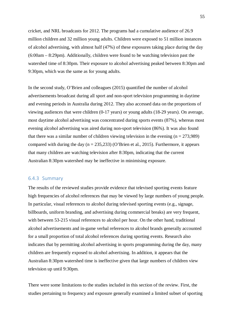cricket, and NRL broadcasts for 2012. The programs had a cumulative audience of 26.9 million children and 32 million young adults. Children were exposed to 51 million instances of alcohol advertising, with almost half (47%) of these exposures taking place during the day (6:00am – 8:29pm). Additionally, children were found to be watching television past the watershed time of 8:30pm. Their exposure to alcohol advertising peaked between 8:30pm and 9:30pm, which was the same as for young adults.

In the second study, O'Brien and colleagues (2015) quantified the number of alcohol advertisements broadcast during all sport and non-sport television programming in daytime and evening periods in Australia during 2012. They also accessed data on the proportions of viewing audiences that were children (0-17 years) or young adults (18-29 years). On average, most daytime alcohol advertising was concentrated during sports events (87%), whereas most evening alcohol advertising was aired during non-sport television (86%). It was also found that there was a similar number of children viewing television in the evening  $(n = 273,989)$ compared with during the day ( $n = 235,233$ ) (O'Brien et al., 2015). Furthermore, it appears that many children are watching television after 8:30pm, indicating that the current Australian 8:30pm watershed may be ineffective in minimising exposure.

#### 6.4.3 Summary

The results of the reviewed studies provide evidence that televised sporting events feature high frequencies of alcohol references that may be viewed by large numbers of young people. In particular, visual references to alcohol during televised sporting events (e.g., signage, billboards, uniform branding, and advertising during commercial breaks) are very frequent, with between 53-215 visual references to alcohol per hour. On the other hand, traditional alcohol advertisements and in-game verbal references to alcohol brands generally accounted for a small proportion of total alcohol references during sporting events. Research also indicates that by permitting alcohol advertising in sports programming during the day, many children are frequently exposed to alcohol advertising. In addition, it appears that the Australian 8:30pm watershed time is ineffective given that large numbers of children view television up until 9:30pm.

There were some limitations to the studies included in this section of the review. First, the studies pertaining to frequency and exposure generally examined a limited subset of sporting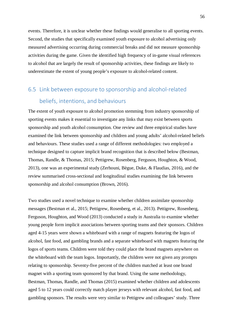events. Therefore, it is unclear whether these findings would generalise to all sporting events. Second, the studies that specifically examined youth exposure to alcohol advertising only measured advertising occurring during commercial breaks and did not measure sponsorship activities during the game. Given the identified high frequency of in-game visual references to alcohol that are largely the result of sponsorship activities, these findings are likely to underestimate the extent of young people's exposure to alcohol-related content.

# 6.5 Link between exposure to sponsorship and alcohol-related beliefs, intentions, and behaviours

The extent of youth exposure to alcohol promotion stemming from industry sponsorship of sporting events makes it essential to investigate any links that may exist between sports sponsorship and youth alcohol consumption. One review and three empirical studies have examined the link between sponsorship and children and young adults' alcohol-related beliefs and behaviours. These studies used a range of different methodologies: two employed a technique designed to capture implicit brand recognition that is described below (Bestman, Thomas, Randle, & Thomas, 2015; Pettigrew, Rosenberg, Ferguson, Houghton, & Wood, 2013), one was an experimental study (Zerhouni, Bègue, Duke, & Flaudias, 2016), and the review summarised cross-sectional and longitudinal studies examining the link between sponsorship and alcohol consumption (Brown, 2016).

Two studies used a novel technique to examine whether children assimilate sponsorship messages (Bestman et al., 2015; Pettigrew, Rosenberg, et al., 2013). Pettigrew, Rosenberg, Ferguson, Houghton, and Wood (2013) conducted a study in Australia to examine whether young people form implicit associations between sporting teams and their sponsors. Children aged 4-15 years were shown a whiteboard with a range of magnets featuring the logos of alcohol, fast food, and gambling brands and a separate whiteboard with magnets featuring the logos of sports teams. Children were told they could place the brand magnets anywhere on the whiteboard with the team logos. Importantly, the children were not given any prompts relating to sponsorship. Seventy-five percent of the children matched at least one brand magnet with a sporting team sponsored by that brand. Using the same methodology, Bestman, Thomas, Randle, and Thomas (2015) examined whether children and adolescents aged 5 to 12 years could correctly match player jerseys with relevant alcohol, fast food, and gambling sponsors. The results were very similar to Pettigrew and colleagues' study. Three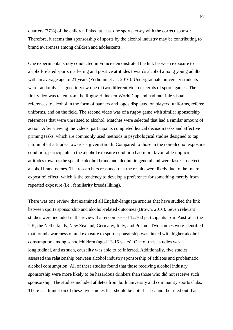quarters (77%) of the children linked at least one sports jersey with the correct sponsor. Therefore, it seems that sponsorship of sports by the alcohol industry may be contributing to brand awareness among children and adolescents.

One experimental study conducted in France demonstrated the link between exposure to alcohol-related sports marketing and positive attitudes towards alcohol among young adults with an average age of 21 years (Zerhouni et al., 2016). Undergraduate university students were randomly assigned to view one of two different video excerpts of sports games. The first video was taken from the Rugby Heineken World Cup and had multiple visual references to alcohol in the form of banners and logos displayed on players' uniforms, referee uniforms, and on the field. The second video was of a rugby game with similar sponsorship references that were unrelated to alcohol. Matches were selected that had a similar amount of action. After viewing the videos, participants completed lexical decision tasks and affective priming tasks, which are commonly used methods in psychological studies designed to tap into implicit attitudes towards a given stimuli. Compared to those in the non-alcohol exposure condition, participants in the alcohol exposure condition had more favourable implicit attitudes towards the specific alcohol brand and alcohol in general and were faster to detect alcohol brand names. The researchers reasoned that the results were likely due to the 'mere exposure' effect, which is the tendency to develop a preference for something merely from repeated exposure (i.e., familiarity breeds liking).

There was one review that examined all English-language articles that have studied the link between sports sponsorship and alcohol-related outcomes (Brown, 2016). Seven relevant studies were included in the review that encompassed 12,760 participants from Australia, the UK, the Netherlands, New Zealand, Germany, Italy, and Poland. Two studies were identified that found awareness of and exposure to sports sponsorship was linked with higher alcohol consumption among schoolchildren (aged 13-15 years). One of these studies was longitudinal, and as such, causality was able to be inferred. Additionally, five studies assessed the relationship between alcohol industry sponsorship of athletes and problematic alcohol consumption. All of these studies found that those receiving alcohol industry sponsorship were more likely to be hazardous drinkers than those who did not receive such sponsorship. The studies included athletes from both university and community sports clubs. There is a limitation of these five studies that should be noted – it cannot be ruled out that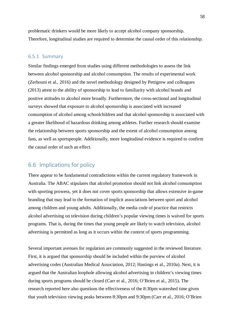problematic drinkers would be more likely to accept alcohol company sponsorship. Therefore, longitudinal studies are required to determine the causal order of this relationship.

#### 6.5.1 Summary

Similar findings emerged from studies using different methodologies to assess the link between alcohol sponsorship and alcohol consumption. The results of experimental work (Zerhouni et al., 2016) and the novel methodology designed by Pettigrew and colleagues (2013) attest to the ability of sponsorship to lead to familiarity with alcohol brands and positive attitudes to alcohol more broadly. Furthermore, the cross-sectional and longitudinal surveys showed that exposure to alcohol sponsorship is associated with increased consumption of alcohol among schoolchildren and that alcohol sponsorship is associated with a greater likelihood of hazardous drinking among athletes. Further research should examine the relationship between sports sponsorship and the extent of alcohol consumption among fans, as well as sportspeople. Additionally, more longitudinal evidence is required to confirm the causal order of such an effect.

# 6.6 Implications for policy

There appear to be fundamental contradictions within the current regulatory framework in Australia. The ABAC stipulates that alcohol promotion should not link alcohol consumption with sporting prowess, yet it does not cover sports sponsorship that allows extensive in-game branding that may lead to the formation of implicit associations between sport and alcohol among children and young adults. Additionally, the media code of practice that restricts alcohol advertising on television during children's popular viewing times is waived for sports programs. That is, during the times that young people are likely to watch television, alcohol advertising is permitted as long as it occurs within the context of sports programming.

Several important avenues for regulation are commonly suggested in the reviewed literature. First, it is argued that sponsorship should be included within the purview of alcohol advertising codes (Australian Medical Association, 2012; Hastings et al., 2010a). Next, it is argued that the Australian loophole allowing alcohol advertising in children's viewing times during sports programs should be closed (Carr et al., 2016; O'Brien et al., 2015). The research reported here also questions the effectiveness of the 8:30pm watershed time given that youth television viewing peaks between 8:30pm and 9:30pm (Carr et al., 2016; O'Brien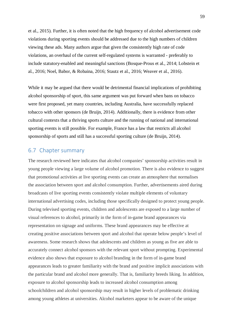et al., 2015). Further, it is often noted that the high frequency of alcohol advertisement code violations during sporting events should be addressed due to the high numbers of children viewing these ads. Many authors argue that given the consistently high rate of code violations, an overhaul of the current self-regulated systems is warranted - preferably to include statutory-enabled and meaningful sanctions (Bosque-Prous et al., 2014; Lobstein et al., 2016; Noel, Babor, & Robaina, 2016; Stautz et al., 2016; Weaver et al., 2016).

While it may be argued that there would be detrimental financial implications of prohibiting alcohol sponsorship of sport, this same argument was put forward when bans on tobacco were first proposed, yet many countries, including Australia, have successfully replaced tobacco with other sponsors (de Bruijn, 2014). Additionally, there is evidence from other cultural contexts that a thriving sports culture and the running of national and international sporting events is still possible. For example, France has a law that restricts all alcohol sponsorship of sports and still has a successful sporting culture (de Bruijn, 2014).

## 6.7 Chapter summary

The research reviewed here indicates that alcohol companies' sponsorship activities result in young people viewing a large volume of alcohol promotion. There is also evidence to suggest that promotional activities at live sporting events can create an atmosphere that normalises the association between sport and alcohol consumption. Further, advertisements aired during broadcasts of live sporting events consistently violate multiple elements of voluntary international advertising codes, including those specifically designed to protect young people. During televised sporting events, children and adolescents are exposed to a large number of visual references to alcohol, primarily in the form of in-game brand appearances via representation on signage and uniforms. These brand appearances may be effective at creating positive associations between sport and alcohol that operate below people's level of awareness. Some research shows that adolescents and children as young as five are able to accurately connect alcohol sponsors with the relevant sport without prompting. Experimental evidence also shows that exposure to alcohol branding in the form of in-game brand appearances leads to greater familiarity with the brand and positive implicit associations with the particular brand and alcohol more generally. That is, familiarity breeds liking. In addition, exposure to alcohol sponsorship leads to increased alcohol consumption among schoolchildren and alcohol sponsorship may result in higher levels of problematic drinking among young athletes at universities. Alcohol marketers appear to be aware of the unique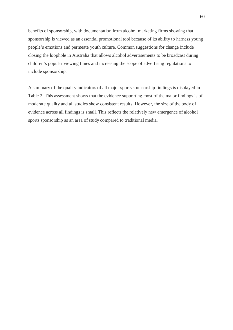benefits of sponsorship, with documentation from alcohol marketing firms showing that sponsorship is viewed as an essential promotional tool because of its ability to harness young people's emotions and permeate youth culture. Common suggestions for change include closing the loophole in Australia that allows alcohol advertisements to be broadcast during children's popular viewing times and increasing the scope of advertising regulations to include sponsorship.

A summary of the quality indicators of all major sports sponsorship findings is displayed in Table 2. This assessment shows that the evidence supporting most of the major findings is of moderate quality and all studies show consistent results. However, the size of the body of evidence across all findings is small. This reflects the relatively new emergence of alcohol sports sponsorship as an area of study compared to traditional media.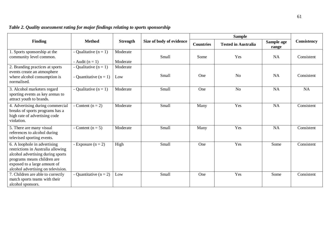| Table 2. Quality assessment rating for major findings relating to sports sponsorship |  |  |  |  |  |  |  |  |  |  |
|--------------------------------------------------------------------------------------|--|--|--|--|--|--|--|--|--|--|
|--------------------------------------------------------------------------------------|--|--|--|--|--|--|--|--|--|--|

|                                                                                                                                                                                                              | <b>Method</b>                                     | <b>Strength</b>      | Size of body of evidence |                  |                            |                     |                    |
|--------------------------------------------------------------------------------------------------------------------------------------------------------------------------------------------------------------|---------------------------------------------------|----------------------|--------------------------|------------------|----------------------------|---------------------|--------------------|
| <b>Finding</b>                                                                                                                                                                                               |                                                   |                      |                          | <b>Countries</b> | <b>Tested in Australia</b> | Sample age<br>range | <b>Consistency</b> |
| 1. Sports sponsorship at the<br>community level common.                                                                                                                                                      | - Qualitative $(n = 1)$<br>- Audit $(n = 1)$      | Moderate<br>Moderate | Small                    | Some             | Yes                        | <b>NA</b>           | Consistent         |
| 2. Branding practices at sports<br>events create an atmosphere<br>where alcohol consumption is<br>normalised.                                                                                                | Qualitative $(n = 1)$<br>- Quantitative $(n = 1)$ | Moderate<br>Low      | Small                    | One              | N <sub>o</sub>             | <b>NA</b>           | Consistent         |
| 3. Alcohol marketers regard<br>sporting events as key arenas to<br>attract youth to brands.                                                                                                                  | - Qualitative $(n = 1)$                           | Moderate             | Small                    | One              | N <sub>o</sub>             | <b>NA</b>           | <b>NA</b>          |
| 4. Advertising during commercial<br>breaks of sports programs has a<br>high rate of advertising code<br>violation.                                                                                           | - Content $(n = 2)$                               | Moderate             | Small                    | Many             | Yes                        | <b>NA</b>           | Consistent         |
| 5. There are many visual<br>references to alcohol during<br>televised sporting events.                                                                                                                       | - Content $(n = 5)$                               | Moderate             | Small                    | Many             | Yes                        | <b>NA</b>           | Consistent         |
| 6. A loophole in advertising<br>restrictions in Australia allowing<br>alcohol advertising during sports<br>programs means children are<br>exposed to a large amount of<br>alcohol advertising on television. | - Exposure $(n = 2)$                              | High                 | Small                    | One              | Yes                        | Some                | Consistent         |
| 7. Children are able to correctly<br>match sports teams with their<br>alcohol sponsors.                                                                                                                      | Quantitative $(n = 2)$                            | Low                  | Small                    | One              | Yes                        | Some                | Consistent         |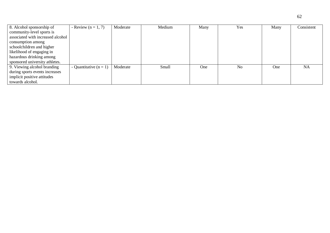| 8. Alcohol sponsorship of         | - Review $(n = 1, 7)$    | Moderate | Medium | Many | Yes            | Many | Consistent |
|-----------------------------------|--------------------------|----------|--------|------|----------------|------|------------|
| community-level sports is         |                          |          |        |      |                |      |            |
| associated with increased alcohol |                          |          |        |      |                |      |            |
| consumption among                 |                          |          |        |      |                |      |            |
| schoolchildren and higher         |                          |          |        |      |                |      |            |
| likelihood of engaging in         |                          |          |        |      |                |      |            |
| hazardous drinking among          |                          |          |        |      |                |      |            |
| sponsored university athletes.    |                          |          |        |      |                |      |            |
| 9. Viewing alcohol branding       | - Quantitative $(n = 1)$ | Moderate | Small  | One  | N <sub>o</sub> | One  | <b>NA</b>  |
| during sports events increases    |                          |          |        |      |                |      |            |
| implicit positive attitudes       |                          |          |        |      |                |      |            |
| towards alcohol.                  |                          |          |        |      |                |      |            |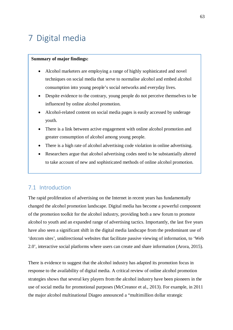# 7 Digital media

#### **Summary of major findings:**

- Alcohol marketers are employing a range of highly sophisticated and novel techniques on social media that serve to normalise alcohol and embed alcohol consumption into young people's social networks and everyday lives.
- Despite evidence to the contrary, young people do not perceive themselves to be influenced by online alcohol promotion.
- Alcohol-related content on social media pages is easily accessed by underage youth.
- There is a link between active engagement with online alcohol promotion and greater consumption of alcohol among young people.
- There is a high rate of alcohol advertising code violation in online advertising.
- Researchers argue that alcohol advertising codes need to be substantially altered to take account of new and sophisticated methods of online alcohol promotion.

# 7.1 Introduction

The rapid proliferation of advertising on the Internet in recent years has fundamentally changed the alcohol promotion landscape. Digital media has become a powerful component of the promotion toolkit for the alcohol industry, providing both a new forum to promote alcohol to youth and an expanded range of advertising tactics. Importantly, the last five years have also seen a significant shift in the digital media landscape from the predominant use of 'dotcom sites', unidirectional websites that facilitate passive viewing of information, to 'Web 2.0', interactive social platforms where users can create and share information (Arora, 2015).

There is evidence to suggest that the alcohol industry has adapted its promotion focus in response to the availability of digital media. A critical review of online alcohol promotion strategies shows that several key players from the alcohol industry have been pioneers in the use of social media for promotional purposes (McCreanor et al., 2013). For example, in 2011 the major alcohol multinational Diageo announced a "multimillion dollar strategic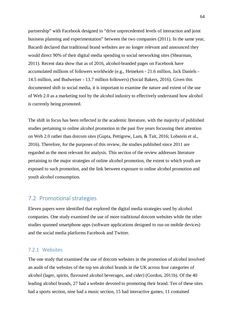partnership" with Facebook designed to "drive unprecedented levels of interaction and joint business planning and experimentation" between the two companies (2011). In the same year, Bacardi declared that traditional brand websites are no longer relevant and announced they would direct 90% of their digital media spending to social networking sites (Shearman, 2011). Recent data show that as of 2016, alcohol-branded pages on Facebook have accumulated millions of followers worldwide (e.g., Heineken - 21.6 million, Jack Daniels - 14.5 million, and Budweiser - 13.7 million followers) (Social Bakers, 2016). Given this documented shift to social media, it is important to examine the nature and extent of the use of Web 2.0 as a marketing tool by the alcohol industry to effectively understand how alcohol is currently being promoted.

The shift in focus has been reflected in the academic literature, with the majority of published studies pertaining to online alcohol promotion in the past five years focussing their attention on Web 2.0 rather than dotcom sites (Gupta, Pettigrew, Lam, & Tait, 2016; Lobstein et al., 2016). Therefore, for the purposes of this review, the studies published since 2011 are regarded as the most relevant for analysis. This section of the review addresses literature pertaining to the major strategies of online alcohol promotion, the extent to which youth are exposed to such promotion, and the link between exposure to online alcohol promotion and youth alcohol consumption.

## 7.2 Promotional strategies

Eleven papers were identified that explored the digital media strategies used by alcohol companies. One study examined the use of more traditional dotcom websites while the other studies spanned smartphone apps (software applications designed to run on mobile devices) and the social media platforms Facebook and Twitter.

#### 7.2.1 Websites

The one study that examined the use of dotcom websites in the promotion of alcohol involved an audit of the websites of the top ten alcohol brands in the UK across four categories of alcohol (lager, spirits, flavoured alcohol beverages, and cider) (Gordon, 2011b). Of the 40 leading alcohol brands, 27 had a website devoted to promoting their brand. Ten of these sites had a sports section, nine had a music section, 15 had interactive games, 11 contained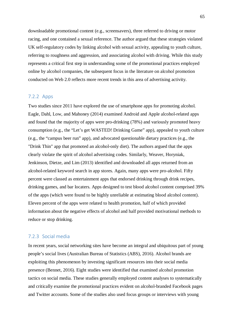downloadable promotional content (e.g., screensavers), three referred to driving or motor racing, and one contained a sexual reference. The author argued that these strategies violated UK self-regulatory codes by linking alcohol with sexual activity, appealing to youth culture, referring to roughness and aggression, and associating alcohol with driving. While this study represents a critical first step in understanding some of the promotional practices employed online by alcohol companies, the subsequent focus in the literature on alcohol promotion conducted on Web 2.0 reflects more recent trends in this area of advertising activity.

### 7.2.2 Apps

Two studies since 2011 have explored the use of smartphone apps for promoting alcohol. Eagle, Dahl, Low, and Mahoney (2014) examined Android and Apple alcohol-related apps and found that the majority of apps were pro-drinking (78%) and variously promoted heavy consumption (e.g., the "Let's get WASTED! Drinking Game" app), appealed to youth culture (e.g., the "campus beer run" app), and advocated questionable dietary practices (e.g., the "Drink Thin" app that promoted an alcohol-only diet). The authors argued that the apps clearly violate the spirit of alcohol advertising codes. Similarly, Weaver, Horyniak, Jenkinson, Dietze, and Lim (2013) identified and downloaded all apps returned from an alcohol-related keyword search in app stores. Again, many apps were pro-alcohol. Fifty percent were classed as entertainment apps that endorsed drinking through drink recipes, drinking games, and bar locaters. Apps designed to test blood alcohol content comprised 39% of the apps (which were found to be highly unreliable at estimating blood alcohol content). Eleven percent of the apps were related to health promotion, half of which provided information about the negative effects of alcohol and half provided motivational methods to reduce or stop drinking.

#### 7.2.3 Social media

In recent years, social networking sites have become an integral and ubiquitous part of young people's social lives (Australian Bureau of Statistics (ABS), 2016). Alcohol brands are exploiting this phenomenon by investing significant resources into their social media presence (Bennet, 2016). Eight studies were identified that examined alcohol promotion tactics on social media. These studies generally employed content analyses to systematically and critically examine the promotional practices evident on alcohol-branded Facebook pages and Twitter accounts. Some of the studies also used focus groups or interviews with young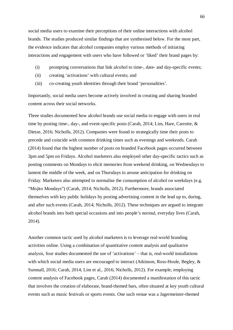social media users to examine their perceptions of their online interactions with alcohol brands. The studies produced similar findings that are synthesised below. For the most part, the evidence indicates that alcohol companies employ various methods of initiating interactions and engagement with users who have followed or 'liked' their brand pages by:

- (i) prompting conversations that link alcohol to time-, date- and day-specific events;
- (ii) creating 'activations' with cultural events; and
- (iii) co-creating youth identities through their brand 'personalities'.

Importantly, social media users become actively involved in creating and sharing branded content across their social networks.

Three studies documented how alcohol brands use social media to engage with users in real time by posting time-, day-, and event-specific posts (Carah, 2014; Lim, Hare, Carrotte, & Dietze, 2016; Nicholls, 2012). Companies were found to strategically time their posts to precede and coincide with common drinking times such as evenings and weekends. Carah (2014) found that the highest number of posts on branded Facebook pages occurred between 3pm and 5pm on Fridays. Alcohol marketers also employed other day-specific tactics such as posting comments on Mondays to elicit memories from weekend drinking, on Wednesdays to lament the middle of the week, and on Thursdays to arouse anticipation for drinking on Friday. Marketers also attempted to normalise the consumption of alcohol on weekdays (e.g. "Mojito Mondays") (Carah, 2014; Nicholls, 2012). Furthermore, brands associated themselves with key public holidays by posting advertising content in the lead up to, during, and after such events (Carah, 2014; Nicholls, 2012). These techniques are argued to integrate alcohol brands into both special occasions and into people's normal, everyday lives (Carah, 2014).

Another common tactic used by alcohol marketers is to leverage real-world branding activities online. Using a combination of quantitative content analysis and qualitative analysis, four studies documented the use of 'activations' – that is, real-world installations with which social media users are encouraged to interact (Atkinson, Ross-Houle, Begley, & Sumnall, 2016; Carah, 2014; Lim et al., 2016; Nicholls, 2012). For example, employing content analysis of Facebook pages, Carah (2014) documented a manifestation of this tactic that involves the creation of elaborate, brand-themed bars, often situated at key youth cultural events such as music festivals or sports events. One such venue was a Jagermeister-themed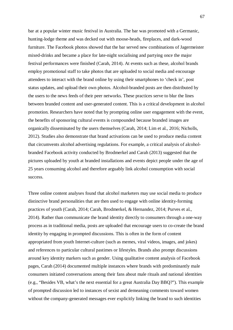bar at a popular winter music festival in Australia. The bar was promoted with a Germanic, hunting-lodge theme and was decked out with moose-heads, fireplaces, and dark-wood furniture. The Facebook photos showed that the bar served new combinations of Jagermeister mixed-drinks and became a place for late-night socialising and partying once the major festival performances were finished (Carah, 2014). At events such as these, alcohol brands employ promotional staff to take photos that are uploaded to social media and encourage attendees to interact with the brand online by using their smartphones to 'check in', post status updates, and upload their own photos. Alcohol-branded posts are then distributed by the users to the news feeds of their peer networks. These practices serve to blur the lines between branded content and user-generated content. This is a critical development in alcohol promotion. Researchers have noted that by prompting online user engagement with the event, the benefits of sponsoring cultural events is compounded because branded images are organically disseminated by the users themselves (Carah, 2014; Lim et al., 2016; Nicholls, 2012). Studies also demonstrate that brand activations can be used to produce media content that circumvents alcohol advertising regulations. For example, a critical analysis of alcoholbranded Facebook activity conducted by Brodmerkel and Carah (2013) suggested that the pictures uploaded by youth at branded installations and events depict people under the age of 25 years consuming alcohol and therefore arguably link alcohol consumption with social success.

Three online content analyses found that alcohol marketers may use social media to produce distinctive brand personalities that are then used to engage with online identity-forming practices of youth (Carah, 2014; Carah, Brodmerkel, & Hernandez, 2014; Purves et al., 2014). Rather than communicate the brand identity directly to consumers through a one-way process as in traditional media, posts are uploaded that encourage users to co-create the brand identity by engaging in prompted discussions. This is often in the form of content appropriated from youth Internet-culture (such as memes, viral videos, images, and jokes) and references to particular cultural pastimes or lifestyles. Brands also prompt discussions around key identity markers such as gender. Using qualitative content analysis of Facebook pages, Carah (2014) documented multiple instances where brands with predominantly male consumers initiated conversations among their fans about male rituals and national identities (e.g., "Besides VB, what's the next essential for a great Australia Day BBQ?"). This example of prompted discussion led to instances of sexist and demeaning comments toward women without the company-generated messages ever explicitly linking the brand to such identities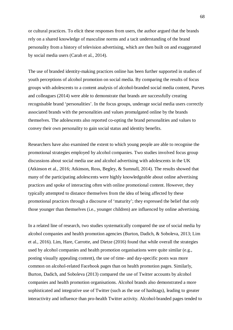or cultural practices. To elicit these responses from users, the author argued that the brands rely on a shared knowledge of masculine norms and a tacit understanding of the brand personality from a history of television advertising, which are then built on and exaggerated by social media users (Carah et al., 2014).

The use of branded identity-making practices online has been further supported in studies of youth perceptions of alcohol promotion on social media. By comparing the results of focus groups with adolescents to a content analysis of alcohol-branded social media content, Purves and colleagues (2014) were able to demonstrate that brands are successfully creating recognisable brand 'personalities'. In the focus groups, underage social media users correctly associated brands with the personalities and values promulgated online by the brands themselves. The adolescents also reported co-opting the brand personalities and values to convey their own personality to gain social status and identity benefits.

Researchers have also examined the extent to which young people are able to recognise the promotional strategies employed by alcohol companies. Two studies involved focus group discussions about social media use and alcohol advertising with adolescents in the UK (Atkinson et al., 2016; Atkinson, Ross, Begley, & Sumnall, 2014). The results showed that many of the participating adolescents were highly knowledgeable about online advertising practices and spoke of interacting often with online promotional content. However, they typically attempted to distance themselves from the idea of being affected by these promotional practices through a discourse of 'maturity'; they expressed the belief that only those younger than themselves (i.e., younger children) are influenced by online advertising.

In a related line of research, two studies systematically compared the use of social media by alcohol companies and health promotion agencies (Burton, Dadich, & Soboleva, 2013; Lim et al., 2016). Lim, Hare, Carrotte, and Dietze (2016) found that while overall the strategies used by alcohol companies and health promotion organisations were quite similar (e.g., posting visually appealing content), the use of time- and day-specific posts was more common on alcohol-related Facebook pages than on health promotion pages. Similarly, Burton, Dadich, and Soboleva (2013) compared the use of Twitter accounts by alcohol companies and health promotion organisations. Alcohol brands also demonstrated a more sophisticated and integrative use of Twitter (such as the use of hashtags), leading to greater interactivity and influence than pro-health Twitter activity. Alcohol-branded pages tended to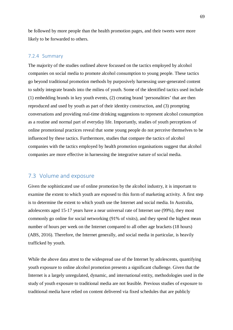be followed by more people than the health promotion pages, and their tweets were more likely to be forwarded to others.

#### 7.2.4 Summary

The majority of the studies outlined above focussed on the tactics employed by alcohol companies on social media to promote alcohol consumption to young people. These tactics go beyond traditional promotion methods by purposively harnessing user-generated content to subtly integrate brands into the milieu of youth. Some of the identified tactics used include (1) embedding brands in key youth events, (2) creating brand 'personalities' that are then reproduced and used by youth as part of their identity construction, and (3) prompting conversations and providing real-time drinking suggestions to represent alcohol consumption as a routine and normal part of everyday life. Importantly, studies of youth perceptions of online promotional practices reveal that some young people do not perceive themselves to be influenced by these tactics. Furthermore, studies that compare the tactics of alcohol companies with the tactics employed by health promotion organisations suggest that alcohol companies are more effective in harnessing the integrative nature of social media.

## 7.3 Volume and exposure

Given the sophisticated use of online promotion by the alcohol industry, it is important to examine the extent to which youth are exposed to this form of marketing activity. A first step is to determine the extent to which youth use the Internet and social media. In Australia, adolescents aged 15-17 years have a near universal rate of Internet use (99%), they most commonly go online for social networking (91% of visits), and they spend the highest mean number of hours per week on the Internet compared to all other age brackets (18 hours) (ABS, 2016). Therefore, the Internet generally, and social media in particular, is heavily trafficked by youth.

While the above data attest to the widespread use of the Internet by adolescents, quantifying youth exposure to online alcohol promotion presents a significant challenge. Given that the Internet is a largely unregulated, dynamic, and international entity, methodologies used in the study of youth exposure to traditional media are not feasible. Previous studies of exposure to traditional media have relied on content delivered via fixed schedules that are publicly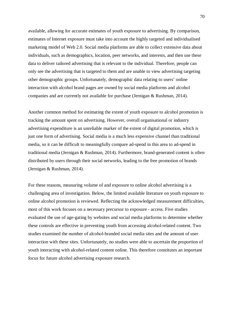available, allowing for accurate estimates of youth exposure to advertising. By comparison, estimates of Internet exposure must take into account the highly targeted and individualised marketing model of Web 2.0. Social media platforms are able to collect extensive data about individuals, such as demographics, location, peer networks, and interests, and then use these data to deliver tailored advertising that is relevant to the individual. Therefore, people can only see the advertising that is targeted to them and are unable to view advertising targeting other demographic groups. Unfortunately, demographic data relating to users' online interaction with alcohol brand pages are owned by social media platforms and alcohol companies and are currently not available for purchase (Jernigan & Rushman, 2014).

Another common method for estimating the extent of youth exposure to alcohol promotion is tracking the amount spent on advertising. However, overall organisational or industry advertising expenditure is an unreliable marker of the extent of digital promotion, which is just one form of advertising. Social media is a much less expensive channel than traditional media, so it can be difficult to meaningfully compare ad-spend in this area to ad-spend in traditional media (Jernigan & Rushman, 2014). Furthermore, brand-generated content is often distributed by users through their social networks, leading to the free promotion of brands (Jernigan & Rushman, 2014).

For these reasons, measuring volume of and exposure to online alcohol advertising is a challenging area of investigation. Below, the limited available literature on youth exposure to online alcohol promotion is reviewed. Reflecting the acknowledged measurement difficulties, most of this work focuses on a necessary precursor to exposure - access. Five studies evaluated the use of age-gating by websites and social media platforms to determine whether these controls are effective in preventing youth from accessing alcohol-related content. Two studies examined the number of alcohol-branded social media sites and the amount of user interaction with these sites. Unfortunately, no studies were able to ascertain the proportion of youth interacting with alcohol-related content online. This therefore constitutes an important focus for future alcohol advertising exposure research.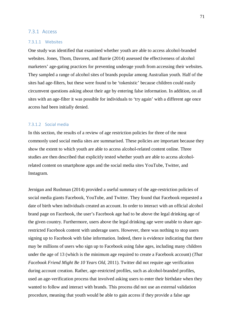#### 7.3.1 Access

#### 7.3.1.1 Websites

One study was identified that examined whether youth are able to access alcohol-branded websites. Jones, Thom, Davoren, and Barrie (2014) assessed the effectiveness of alcohol marketers' age-gating practices for preventing underage youth from accessing their websites. They sampled a range of alcohol sites of brands popular among Australian youth. Half of the sites had age-filters, but these were found to be 'tokenistic' because children could easily circumvent questions asking about their age by entering false information. In addition, on all sites with an age-filter it was possible for individuals to 'try again' with a different age once access had been initially denied.

#### 7.3.1.2 Social media

In this section, the results of a review of age restriction policies for three of the most commonly used social media sites are summarised. These policies are important because they show the extent to which youth are able to access alcohol-related content online. Three studies are then described that explicitly tested whether youth are able to access alcoholrelated content on smartphone apps and the social media sites YouTube, Twitter, and Instagram.

Jernigan and Rushman (2014) provided a useful summary of the age-restriction policies of social media giants Facebook, YouTube, and Twitter. They found that Facebook requested a date of birth when individuals created an account. In order to interact with an official alcohol brand page on Facebook, the user's Facebook age had to be above the legal drinking age of the given country. Furthermore, users above the legal drinking age were unable to share agerestricted Facebook content with underage users. However, there was nothing to stop users signing up to Facebook with false information. Indeed, there is evidence indicating that there may be millions of users who sign up to Facebook using false ages, including many children under the age of 13 (which is the minimum age required to create a Facebook account) (*That Facebook Friend Might Be 10 Years Old*, 2011). Twitter did not require age verification during account creation. Rather, age-restricted profiles, such as alcohol-branded profiles, used an age-verification process that involved asking users to enter their birthdate when they wanted to follow and interact with brands. This process did not use an external validation procedure, meaning that youth would be able to gain access if they provide a false age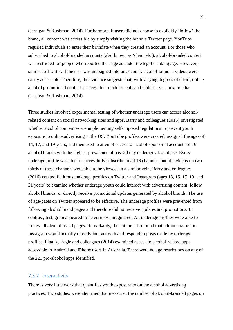(Jernigan & Rushman, 2014). Furthermore, if users did not choose to explicitly 'follow' the brand, all content was accessible by simply visiting the brand's Twitter page. YouTube required individuals to enter their birthdate when they created an account. For those who subscribed to alcohol-branded accounts (also known as 'channels'), alcohol-branded content was restricted for people who reported their age as under the legal drinking age. However, similar to Twitter, if the user was not signed into an account, alcohol-branded videos were easily accessible. Therefore, the evidence suggests that, with varying degrees of effort, online alcohol promotional content is accessible to adolescents and children via social media (Jernigan & Rushman, 2014).

Three studies involved experimental testing of whether underage users can access alcoholrelated content on social networking sites and apps. Barry and colleagues (2015) investigated whether alcohol companies are implementing self-imposed regulations to prevent youth exposure to online advertising in the US. YouTube profiles were created, assigned the ages of 14, 17, and 19 years, and then used to attempt access to alcohol-sponsored accounts of 16 alcohol brands with the highest prevalence of past 30 day underage alcohol use. Every underage profile was able to successfully subscribe to all 16 channels, and the videos on twothirds of these channels were able to be viewed. In a similar vein, Barry and colleagues (2016) created fictitious underage profiles on Twitter and Instagram (ages 13, 15, 17, 19, and 21 years) to examine whether underage youth could interact with advertising content, follow alcohol brands, or directly receive promotional updates generated by alcohol brands. The use of age-gates on Twitter appeared to be effective. The underage profiles were prevented from following alcohol brand pages and therefore did not receive updates and promotions. In contrast, Instagram appeared to be entirely unregulated. All underage profiles were able to follow all alcohol brand pages. Remarkably, the authors also found that administrators on Instagram would actually directly interact with and respond to posts made by underage profiles. Finally, Eagle and colleagues (2014) examined access to alcohol-related apps accessible to Android and iPhone users in Australia. There were no age restrictions on any of the 221 pro-alcohol apps identified.

#### 7.3.2 Interactivity

There is very little work that quantifies youth exposure to online alcohol advertising practices. Two studies were identified that measured the number of alcohol-branded pages on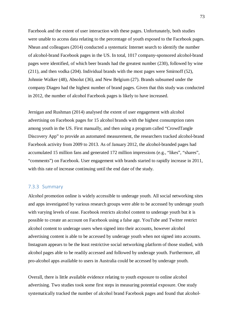Facebook and the extent of user interaction with these pages. Unfortunately, both studies were unable to access data relating to the percentage of youth exposed to the Facebook pages. Nhean and colleagues (2014) conducted a systematic Internet search to identify the number of alcohol-brand Facebook pages in the US. In total, 1017 company-sponsored alcohol-brand pages were identified, of which beer brands had the greatest number (230), followed by wine (211), and then vodka (204). Individual brands with the most pages were Smirnoff (52), Johnnie Walker (48), Absolut (36), and New Belgium (27). Brands subsumed under the company Diageo had the highest number of brand pages. Given that this study was conducted in 2012, the number of alcohol Facebook pages is likely to have increased.

Jernigan and Rushman (2014) analysed the extent of user engagement with alcohol advertising on Facebook pages for 15 alcohol brands with the highest consumption rates among youth in the US. First manually, and then using a program called "CrowdTangle Discovery App" to provide an automated measurement, the researchers tracked alcohol-brand Facebook activity from 2009 to 2013. As of January 2012, the alcohol-branded pages had accumulated 15 million fans and generated 172 million impressions (e.g., "likes", "shares", "comments") on Facebook. User engagement with brands started to rapidly increase in 2011, with this rate of increase continuing until the end date of the study.

#### 7.3.3 Summary

Alcohol promotion online is widely accessible to underage youth. All social networking sites and apps investigated by various research groups were able to be accessed by underage youth with varying levels of ease. Facebook restricts alcohol content to underage youth but it is possible to create an account on Facebook using a false age. YouTube and Twitter restrict alcohol content to underage users when signed into their accounts, however alcohol advertising content is able to be accessed by underage youth when not signed into accounts. Instagram appears to be the least restrictive social networking platform of those studied, with alcohol pages able to be readily accessed and followed by underage youth. Furthermore, all pro-alcohol apps available to users in Australia could be accessed by underage youth.

Overall, there is little available evidence relating to youth exposure to online alcohol advertising. Two studies took some first steps in measuring potential exposure. One study systematically tracked the number of alcohol brand Facebook pages and found that alcohol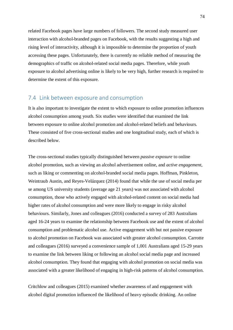related Facebook pages have large numbers of followers. The second study measured user interaction with alcohol-branded pages on Facebook, with the results suggesting a high and rising level of interactivity, although it is impossible to determine the proportion of youth accessing these pages. Unfortunately, there is currently no reliable method of measuring the demographics of traffic on alcohol-related social media pages. Therefore, while youth exposure to alcohol advertising online is likely to be very high, further research is required to determine the extent of this exposure.

## 7.4 Link between exposure and consumption

It is also important to investigate the extent to which exposure to online promotion influences alcohol consumption among youth. Six studies were identified that examined the link between exposure to online alcohol promotion and alcohol-related beliefs and behaviours. These consisted of five cross-sectional studies and one longitudinal study, each of which is described below.

The cross-sectional studies typically distinguished between *passive exposure* to online alcohol promotion, such as viewing an alcohol advertisement online, and *active engagement*, such as liking or commenting on alcohol-branded social media pages. Hoffman, Pinkleton, Weintraub Austin, and Reyes-Velázquez (2014) found that while the use of social media per se among US university students (average age 21 years) was not associated with alcohol consumption, those who actively engaged with alcohol-related content on social media had higher rates of alcohol consumption and were more likely to engage in risky alcohol behaviours. Similarly, Jones and colleagues (2016) conducted a survey of 283 Australians aged 16-24 years to examine the relationship between Facebook use and the extent of alcohol consumption and problematic alcohol use. Active engagement with but not passive exposure to alcohol promotion on Facebook was associated with greater alcohol consumption. Carrotte and colleagues (2016) surveyed a convenience sample of 1,001 Australians aged 15-29 years to examine the link between liking or following an alcohol social media page and increased alcohol consumption. They found that engaging with alcohol promotion on social media was associated with a greater likelihood of engaging in high-risk patterns of alcohol consumption.

Critchlow and colleagues (2015) examined whether awareness of and engagement with alcohol digital promotion influenced the likelihood of heavy episodic drinking. An online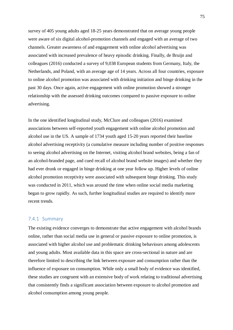survey of 405 young adults aged 18-25 years demonstrated that on average young people were aware of six digital alcohol-promotion channels and engaged with an average of two channels. Greater awareness of and engagement with online alcohol advertising was associated with increased prevalence of heavy episodic drinking. Finally, de Bruijn and colleagues (2016) conducted a survey of 9,038 European students from Germany, Italy, the Netherlands, and Poland, with an average age of 14 years. Across all four countries, exposure to online alcohol promotion was associated with drinking initiation and binge drinking in the past 30 days. Once again, active engagement with online promotion showed a stronger relationship with the assessed drinking outcomes compared to passive exposure to online advertising.

In the one identified longitudinal study, McClure and colleagues (2016) examined associations between self-reported youth engagement with online alcohol promotion and alcohol use in the US. A sample of 1734 youth aged 15-20 years reported their baseline alcohol advertising receptivity (a cumulative measure including number of positive responses to seeing alcohol advertising on the Internet, visiting alcohol brand websites, being a fan of an alcohol-branded page, and cued recall of alcohol brand website images) and whether they had ever drunk or engaged in binge drinking at one year follow up. Higher levels of online alcohol promotion receptivity were associated with subsequent binge drinking. This study was conducted in 2011, which was around the time when online social media marketing began to grow rapidly. As such, further longitudinal studies are required to identify more recent trends.

#### 7.4.1 Summary

The existing evidence converges to demonstrate that active engagement with alcohol brands online, rather than social media use in general or passive exposure to online promotion, is associated with higher alcohol use and problematic drinking behaviours among adolescents and young adults. Most available data in this space are cross-sectional in nature and are therefore limited to describing the link between exposure and consumption rather than the influence of exposure on consumption. While only a small body of evidence was identified, these studies are congruent with an extensive body of work relating to traditional advertising that consistently finds a significant association between exposure to alcohol promotion and alcohol consumption among young people.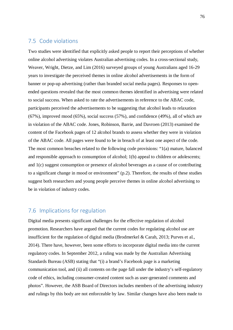#### 7.5 Code violations

Two studies were identified that explicitly asked people to report their perceptions of whether online alcohol advertising violates Australian advertising codes. In a cross-sectional study, Weaver, Wright, Dietze, and Lim (2016) surveyed groups of young Australians aged 16-29 years to investigate the perceived themes in online alcohol advertisements in the form of banner or pop-up advertising (rather than branded social media pages). Responses to openended questions revealed that the most common themes identified in advertising were related to social success. When asked to rate the advertisements in reference to the ABAC code, participants perceived the advertisements to be suggesting that alcohol leads to relaxation (67%), improved mood (65%), social success (57%), and confidence (49%), all of which are in violation of the ABAC code. Jones, Robinson, Barrie, and Davroen (2013) examined the content of the Facebook pages of 12 alcohol brands to assess whether they were in violation of the ABAC code. All pages were found to be in breach of at least one aspect of the code. The most common breaches related to the following code provisions: "1(a) mature, balanced and responsible approach to consumption of alcohol; 1(b) appeal to children or adolescents; and 1(c) suggest consumption or presence of alcohol beverages as a cause of or contributing to a significant change in mood or environment" (p.2). Therefore, the results of these studies suggest both researchers and young people perceive themes in online alcohol advertising to be in violation of industry codes.

### 7.6 Implications for regulation

Digital media presents significant challenges for the effective regulation of alcohol promotion. Researchers have argued that the current codes for regulating alcohol use are insufficient for the regulation of digital media (Brodmerkel & Carah, 2013; Purves et al., 2014). There have, however, been some efforts to incorporate digital media into the current regulatory codes. In September 2012, a ruling was made by the Australian Advertising Standards Bureau (ASB) stating that "(i) a brand's Facebook page is a marketing communication tool, and (ii) all contents on the page fall under the industry's self-regulatory code of ethics, including consumer-created content such as user-generated comments and photos". However, the ASB Board of Directors includes members of the advertising industry and rulings by this body are not enforceable by law. Similar changes have also been made to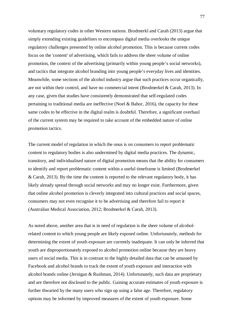voluntary regulatory codes in other Western nations. Brodmerkl and Carah (2013) argue that simply extending existing guidelines to encompass digital media overlooks the unique regulatory challenges presented by online alcohol promotion. This is because current codes focus on the 'content' of advertising, which fails to address the sheer volume of online promotion, the context of the advertising (primarily within young people's social networks), and tactics that integrate alcohol branding into young people's everyday lives and identities. Meanwhile, some sections of the alcohol industry argue that such practices occur organically, are not within their control, and have no commercial intent (Brodmerkel & Carah, 2013). In any case, given that studies have consistently demonstrated that self-regulated codes pertaining to traditional media are ineffective (Noel & Babor, 2016), the capacity for these same codes to be effective in the digital realm is doubtful. Therefore, a significant overhaul of the current system may be required to take account of the embedded nature of online promotion tactics.

The current model of regulation in which the onus is on consumers to report problematic content to regulatory bodies is also undermined by digital media practices. The dynamic, transitory, and individualised nature of digital promotion means that the ability for consumers to identify and report problematic content within a useful timeframe is limited (Brodmerkel & Carah, 2013). By the time the content is reported to the relevant regulatory body, it has likely already spread through social networks and may no longer exist. Furthermore, given that online alcohol promotion is cleverly integrated into cultural practices and social spaces, consumers may not even recognise it to be advertising and therefore fail to report it (Australian Medical Association, 2012; Brodmerkel & Carah, 2013).

As noted above, another area that is in need of regulation is the sheer volume of alcoholrelated content to which young people are likely exposed online. Unfortunately, methods for determining the extent of youth exposure are currently inadequate. It can only be inferred that youth are disproportionately exposed to alcohol promotion online because they are heavy users of social media. This is in contrast to the highly detailed data that can be amassed by Facebook and alcohol brands to track the extent of youth exposure and interaction with alcohol brands online (Jernigan & Rushman, 2014). Unfortunately, such data are proprietary and are therefore not disclosed to the public. Gaining accurate estimates of youth exposure is further thwarted by the many users who sign up using a false age. Therefore, regulatory options may be informed by improved measures of the extent of youth exposure. Some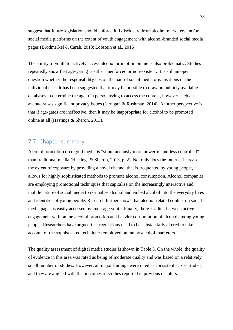suggest that future legislation should enforce full disclosure from alcohol marketers and/or social media platforms on the extent of youth engagement with alcohol-branded social media pages (Brodmerkel & Carah, 2013; Lobstein et al., 2016).

The ability of youth to actively access alcohol promotion online is also problematic. Studies repeatedly show that age-gating is either unenforced or non-existent. It is still an open question whether the responsibility lies on the part of social media organisations or the individual user. It has been suggested that it may be possible to draw on publicly available databases to determine the age of a person trying to access the content, however such an avenue raises significant privacy issues (Jernigan & Rushman, 2014). Another perspective is that if age-gates are ineffective, then it may be inappropriate for alcohol to be promoted online at all (Hastings & Sheron, 2013).

#### 7.7 Chapter summary

Alcohol promotion on digital media is "simultaneously more powerful and less controlled" than traditional media (Hastings & Sheron, 2013, p. 2). Not only does the Internet increase the extent of exposure by providing a novel channel that is frequented by young people, it allows for highly sophisticated methods to promote alcohol consumption. Alcohol companies are employing promotional techniques that capitalise on the increasingly interactive and mobile nature of social media to normalise alcohol and embed alcohol into the everyday lives and identities of young people. Research further shows that alcohol-related content on social media pages is easily accessed by underage youth. Finally, there is a link between active engagement with online alcohol promotion and heavier consumption of alcohol among young people. Researchers have argued that regulations need to be substantially altered to take account of the sophisticated techniques employed online by alcohol marketers.

The quality assessment of digital media studies is shown in Table 3. On the whole, the quality of evidence in this area was rated as being of moderate quality and was based on a relatively small number of studies. However, all major findings were rated as consistent across studies, and they are aligned with the outcomes of studies reported in previous chapters.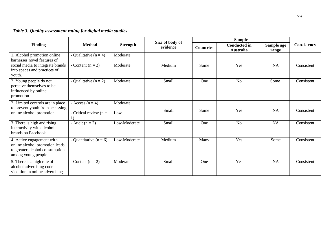|  |  |  |  |  | Table 3. Quality assessment rating for digital media studies |
|--|--|--|--|--|--------------------------------------------------------------|
|--|--|--|--|--|--------------------------------------------------------------|

|                                                                                                                      | <b>Method</b>                                         | <b>Strength</b> | Size of body of |                  |                                         |                     |             |
|----------------------------------------------------------------------------------------------------------------------|-------------------------------------------------------|-----------------|-----------------|------------------|-----------------------------------------|---------------------|-------------|
| <b>Finding</b>                                                                                                       |                                                       |                 | evidence        | <b>Countries</b> | <b>Conducted in</b><br><b>Australia</b> | Sample age<br>range | Consistency |
| 1. Alcohol promotion online<br>harnesses novel features of                                                           | - Qualitative $(n = 4)$                               | Moderate        |                 |                  |                                         |                     |             |
| social media to integrate brands<br>into spaces and practices of<br>youth.                                           | - Content $(n = 2)$                                   | Moderate        | Medium          | Some             | Yes                                     | <b>NA</b>           | Consistent  |
| 2. Young people do not<br>perceive themselves to be<br>influenced by online<br>promotion.                            | - Qualitative $(n = 2)$                               | Moderate        | Small           | One              | No                                      | Some                | Consistent  |
| 2. Limited controls are in place<br>to prevent youth from accessing<br>online alcohol promotion.                     | - Access $(n = 4)$<br>- Critical review ( $n =$<br>1) | Moderate<br>Low | Small           | Some             | Yes                                     | <b>NA</b>           | Consistent  |
| 3. There is high and rising<br>interactivity with alcohol<br>brands on Facebook.                                     | - Audit ( $n = 2$ )                                   | Low-Moderate    | Small           | One              | N <sub>o</sub>                          | <b>NA</b>           | Consistent  |
| 4. Active engagement with<br>online alcohol promotion leads<br>to greater alcohol consumption<br>among young people. | - Quantitative ( $n = 6$ )                            | Low-Moderate    | Medium          | Many             | Yes                                     | Some                | Consistent  |
| 5. There is a high rate of<br>alcohol advertising code<br>violation in online advertising.                           | - Content $(n = 2)$                                   | Moderate        | Small           | One              | Yes                                     | <b>NA</b>           | Consistent  |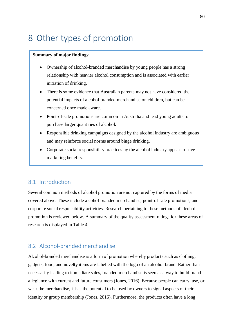# 8 Other types of promotion

#### **Summary of major findings:**

- Ownership of alcohol-branded merchandise by young people has a strong relationship with heavier alcohol consumption and is associated with earlier initiation of drinking.
- There is some evidence that Australian parents may not have considered the potential impacts of alcohol-branded merchandise on children, but can be concerned once made aware.
- Point-of-sale promotions are common in Australia and lead young adults to purchase larger quantities of alcohol.
- Responsible drinking campaigns designed by the alcohol industry are ambiguous and may reinforce social norms around binge drinking.
- Corporate social responsibility practices by the alcohol industry appear to have marketing benefits.

#### 8.1 Introduction

Several common methods of alcohol promotion are not captured by the forms of media covered above. These include alcohol-branded merchandise, point-of-sale promotions, and corporate social responsibility activities. Research pertaining to these methods of alcohol promotion is reviewed below. A summary of the quality assessment ratings for these areas of research is displayed in Table 4.

#### 8.2 Alcohol-branded merchandise

Alcohol-branded merchandise is a form of promotion whereby products such as clothing, gadgets, food, and novelty items are labelled with the logo of an alcohol brand. Rather than necessarily leading to immediate sales, branded merchandise is seen as a way to build brand allegiance with current and future consumers (Jones, 2016). Because people can carry, use, or wear the merchandise, it has the potential to be used by owners to signal aspects of their identity or group membership (Jones, 2016). Furthermore, the products often have a long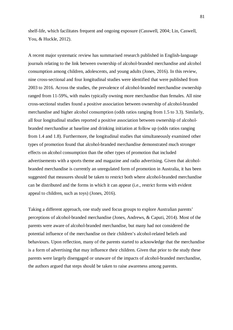shelf-life, which facilitates frequent and ongoing exposure (Casswell, 2004; Lin, Caswell, You, & Huckle, 2012).

A recent major systematic review has summarised research published in English-language journals relating to the link between ownership of alcohol-branded merchandise and alcohol consumption among children, adolescents, and young adults (Jones, 2016). In this review, nine cross-sectional and four longitudinal studies were identified that were published from 2003 to 2016. Across the studies, the prevalence of alcohol-branded merchandise ownership ranged from 11-59%, with males typically owning more merchandise than females. All nine cross-sectional studies found a positive association between ownership of alcohol-branded merchandise and higher alcohol consumption (odds ratios ranging from 1.5 to 3.3). Similarly, all four longitudinal studies reported a positive association between ownership of alcoholbranded merchandise at baseline and drinking initiation at follow up (odds ratios ranging from 1.4 and 1.8). Furthermore, the longitudinal studies that simultaneously examined other types of promotion found that alcohol-branded merchandise demonstrated much stronger effects on alcohol consumption than the other types of promotion that included advertisements with a sports theme and magazine and radio advertising. Given that alcoholbranded merchandise is currently an unregulated form of promotion in Australia, it has been suggested that measures should be taken to restrict both where alcohol-branded merchandise can be distributed and the forms in which it can appear (i.e., restrict forms with evident appeal to children, such as toys) (Jones, 2016).

Taking a different approach, one study used focus groups to explore Australian parents' perceptions of alcohol-branded merchandise (Jones, Andrews, & Caputi, 2014). Most of the parents were aware of alcohol-branded merchandise, but many had not considered the potential influence of the merchandise on their children's alcohol-related beliefs and behaviours. Upon reflection, many of the parents started to acknowledge that the merchandise is a form of advertising that may influence their children. Given that prior to the study these parents were largely disengaged or unaware of the impacts of alcohol-branded merchandise, the authors argued that steps should be taken to raise awareness among parents.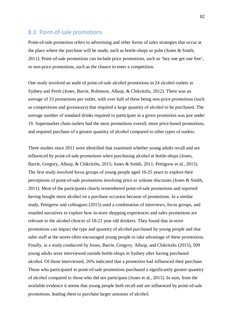### 8.3 Point-of-sale promotions

Point-of-sale promotion refers to advertising and other forms of sales strategies that occur at the place where the purchase will be made, such as bottle-shops or pubs (Jones & Smith, 2011). Point-of-sale promotions can include price promotions, such as 'buy one get one free', or non-price promotions, such as the chance to enter a competition.

One study involved an audit of point-of-sale alcohol promotions in 24 alcohol outlets in Sydney and Perth (Jones, Barrie, Robinson, Allsop, & Chikritzhs, 2012). There was an average of 33 promotions per outlet, with over half of these being non-price promotions (such as competitions and giveaways) that required a large quantity of alcohol to be purchased. The average number of standard drinks required to participate in a given promotion was just under 19. Supermarket chain outlets had the most promotions overall, more price-based promotions, and required purchase of a greater quantity of alcohol compared to other types of outlets.

Three studies since 2011 were identified that examined whether young adults recall and are influenced by point-of-sale promotions when purchasing alcohol at bottle-shops (Jones, Barrie, Gregory, Allsop, & Chikritzhs, 2015; Jones & Smith, 2011; Pettigrew et al., 2015). The first study involved focus groups of young people aged 16-25 years to explore their perceptions of point-of-sale promotions involving price or volume discounts (Jones & Smith, 2011). Most of the participants clearly remembered point-of-sale promotions and reported having bought more alcohol on a purchase occasion because of promotions. In a similar study, Pettigrew and colleagues (2015) used a combination of interviews, focus groups, and emailed narratives to explore how in-store shopping experiences and sales promotions are relevant to the alcohol choices of 18-21 year old drinkers. They found that in-store promotions can impact the type and quantity of alcohol purchased by young people and that sales staff at the stores often encouraged young people to take advantage of these promotions. Finally, in a study conducted by Jones, Barrie, Gregory, Allsop, and Chikritzhs (2015), 509 young adults were interviewed outside bottle-shops in Sydney after having purchased alcohol. Of those interviewed, 26% indicated that a promotion had influenced their purchase. Those who participated in point-of-sale promotions purchased a significantly greater quantity of alcohol compared to those who did not participate (Jones et al., 2015). In sum, from the available evidence it seems that young people both recall and are influenced by point-of-sale promotions, leading them to purchase larger amounts of alcohol.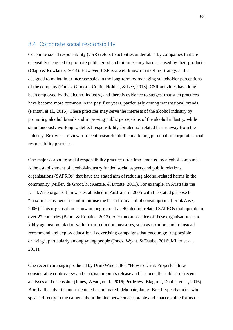#### 8.4 Corporate social responsibility

Corporate social responsibility (CSR) refers to activities undertaken by companies that are ostensibly designed to promote public good and minimise any harms caused by their products (Clapp & Rowlands, 2014). However, CSR is a well-known marketing strategy and is designed to maintain or increase sales in the long-term by managing stakeholder perceptions of the company (Fooks, Gilmore, Collin, Holden, & Lee, 2013). CSR activities have long been employed by the alcohol industry, and there is evidence to suggest that such practices have become more common in the past five years, particularly among transnational brands (Pantani et al., 2016). These practices may serve the interests of the alcohol industry by promoting alcohol brands and improving public perceptions of the alcohol industry, while simultaneously working to deflect responsibility for alcohol-related harms away from the industry. Below is a review of recent research into the marketing potential of corporate social responsibility practices.

One major corporate social responsibility practice often implemented by alcohol companies is the establishment of alcohol-industry funded social aspects and public relations organisations (SAPROs) that have the stated aim of reducing alcohol-related harms in the community (Miller, de Groot, McKenzie, & Droste, 2011). For example, in Australia the DrinkWise organisation was established in Australia in 2005 with the stated purpose to "maximise any benefits and minimise the harm from alcohol consumption" (DrinkWise, 2006). This organisation is now among more than 40 alcohol-related SAPROs that operate in over 27 countries (Babor & Robaina, 2013). A common practice of these organisations is to lobby against population-wide harm-reduction measures, such as taxation, and to instead recommend and deploy educational advertising campaigns that encourage 'responsible drinking', particularly among young people (Jones, Wyatt, & Daube, 2016; Miller et al., 2011).

One recent campaign produced by DrinkWise called "How to Drink Properly" drew considerable controversy and criticism upon its release and has been the subject of recent analyses and discussion (Jones, Wyatt, et al., 2016; Pettigrew, Biagioni, Daube, et al., 2016). Briefly, the advertisement depicted an animated, debonair, James Bond-type character who speaks directly to the camera about the line between acceptable and unacceptable forms of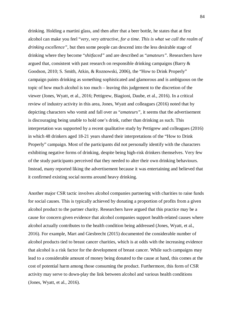drinking. Holding a martini glass, and then after that a beer bottle, he states that at first alcohol can make you feel "*very, very attractive, for a time. This is what we call the realm of drinking excellence"*, but then some people can descend into the less desirable stage of drinking where they become "*shitfaced"* and are described as "*amateurs"*. Researchers have argued that, consistent with past research on responsible drinking campaigns (Barry & Goodson, 2010; S. Smith, Atkin, & Roznowski, 2006), the "How to Drink Properly" campaign paints drinking as something sophisticated and glamorous and is ambiguous on the topic of how much alcohol is too much – leaving this judgement to the discretion of the viewer (Jones, Wyatt, et al., 2016; Pettigrew, Biagioni, Daube, et al., 2016). In a critical review of industry activity in this area, Jones, Wyatt and colleagues (2016) noted that by depicting characters who vomit and fall over as "*amateurs"*, it seems that the advertisement is discouraging being unable to hold one's drink, rather than drinking as such. This interpretation was supported by a recent qualitative study by Pettigrew and colleagues (2016) in which 48 drinkers aged 18-21 years shared their interpretations of the "How to Drink Properly" campaign. Most of the participants did not personally identify with the characters exhibiting negative forms of drinking, despite being high-risk drinkers themselves. Very few of the study participants perceived that they needed to alter their own drinking behaviours. Instead, many reported liking the advertisement because it was entertaining and believed that it confirmed existing social norms around heavy drinking.

Another major CSR tactic involves alcohol companies partnering with charities to raise funds for social causes. This is typically achieved by donating a proportion of profits from a given alcohol product to the partner charity. Researchers have argued that this practice may be a cause for concern given evidence that alcohol companies support health-related causes where alcohol actually contributes to the health condition being addressed (Jones, Wyatt, et al., 2016). For example, Mart and Giesbrecht (2015) documented the considerable number of alcohol products tied to breast cancer charities, which is at odds with the increasing evidence that alcohol is a risk factor for the development of breast cancer. While such campaigns may lead to a considerable amount of money being donated to the cause at hand, this comes at the cost of potential harm among those consuming the product. Furthermore, this form of CSR activity may serve to down-play the link between alcohol and various health conditions (Jones, Wyatt, et al., 2016).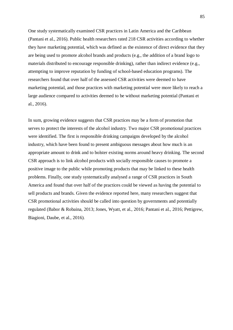One study systematically examined CSR practices in Latin America and the Caribbean (Pantani et al., 2016). Public health researchers rated 218 CSR activities according to whether they have marketing potential, which was defined as the existence of direct evidence that they are being used to promote alcohol brands and products (e.g., the addition of a brand logo to materials distributed to encourage responsible drinking), rather than indirect evidence (e.g., attempting to improve reputation by funding of school-based education programs). The researchers found that over half of the assessed CSR activities were deemed to have marketing potential, and those practices with marketing potential were more likely to reach a large audience compared to activities deemed to be without marketing potential (Pantani et al., 2016).

In sum, growing evidence suggests that CSR practices may be a form of promotion that serves to protect the interests of the alcohol industry. Two major CSR promotional practices were identified. The first is responsible drinking campaigns developed by the alcohol industry, which have been found to present ambiguous messages about how much is an appropriate amount to drink and to bolster existing norms around heavy drinking. The second CSR approach is to link alcohol products with socially responsible causes to promote a positive image to the public while promoting products that may be linked to these health problems. Finally, one study systematically analysed a range of CSR practices in South America and found that over half of the practices could be viewed as having the potential to sell products and brands. Given the evidence reported here, many researchers suggest that CSR promotional activities should be called into question by governments and potentially regulated (Babor & Robaina, 2013; Jones, Wyatt, et al., 2016; Pantani et al., 2016; Pettigrew, Biagioni, Daube, et al., 2016).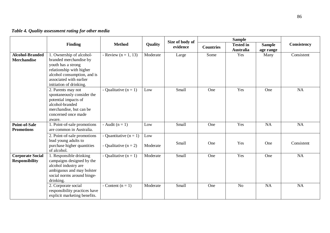|  | Table 4. Quality assessment rating for other media |  |  |
|--|----------------------------------------------------|--|--|
|  |                                                    |  |  |

|                                                  | Finding                                                                                                                                                                                                                                            | <b>Method</b>                                         |                 | Size of body of<br>evidence | <b>Sample</b>    |                                      |                            |                    |
|--------------------------------------------------|----------------------------------------------------------------------------------------------------------------------------------------------------------------------------------------------------------------------------------------------------|-------------------------------------------------------|-----------------|-----------------------------|------------------|--------------------------------------|----------------------------|--------------------|
|                                                  |                                                                                                                                                                                                                                                    |                                                       | Quality         |                             | <b>Countries</b> | <b>Tested in</b><br><b>Australia</b> | <b>Sample</b><br>age range | <b>Consistency</b> |
| <b>Alcohol-Branded</b><br><b>Merchandise</b>     | $\overline{\overline{\mathsf{I}}\cdot\overline{\mathsf{O}}}$ wnership of alcohol-<br>branded merchandise by<br>youth has a strong<br>relationship with higher<br>alcohol consumption, and is<br>associated with earlier<br>initiation of drinking. | - Review $(n = 1, 13)$                                | Moderate        | Large                       | Some             | Yes                                  | Many                       | Consistent         |
|                                                  | 2. Parents may not<br>spontaneously consider the<br>potential impacts of<br>alcohol-branded<br>merchandise, but can be<br>concerned once made<br>aware.                                                                                            | - Qualitative $(n = 1)$                               | Low             | Small                       | One              | Yes                                  | One                        | <b>NA</b>          |
| <b>Point-of-Sale</b><br><b>Promotions</b>        | 1. Point-of-sale promotions<br>are common in Australia.                                                                                                                                                                                            | - Audit $(n = 1)$                                     | Low             | Small                       | One              | Yes                                  | NA                         | <b>NA</b>          |
|                                                  | 2. Point-of-sale promotions<br>lead young adults to<br>purchase higher quantities<br>of alcohol.                                                                                                                                                   | - Quantitative $(n = 1)$<br>- Qualitative ( $n = 2$ ) | Low<br>Moderate | Small                       | One              | Yes                                  | One                        | Consistent         |
| <b>Corporate Social</b><br><b>Responsibility</b> | 1. Responsible drinking<br>campaigns designed by the<br>alcohol industry are<br>ambiguous and may bolster<br>social norms around binge-<br>drinking.                                                                                               | - Qualitative $(n = 1)$                               | Moderate        | Small                       | One              | Yes                                  | One                        | <b>NA</b>          |
|                                                  | 2. Corporate social<br>responsibility practices have<br>explicit marketing benefits.                                                                                                                                                               | - Content $(n = 1)$                                   | Moderate        | Small                       | One              | N <sub>o</sub>                       | <b>NA</b>                  | <b>NA</b>          |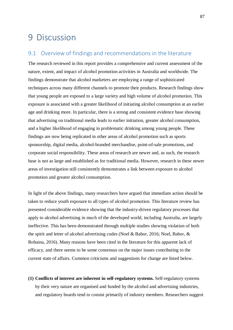# 9 Discussion

#### 9.1 Overview of findings and recommendations in the literature

The research reviewed in this report provides a comprehensive and current assessment of the nature, extent, and impact of alcohol promotion activities in Australia and worldwide. The findings demonstrate that alcohol marketers are employing a range of sophisticated techniques across many different channels to promote their products. Research findings show that young people are exposed to a large variety and high volume of alcohol promotion. This exposure is associated with a greater likelihood of initiating alcohol consumption at an earlier age and drinking more. In particular, there is a strong and consistent evidence base showing that advertising on traditional media leads to earlier initiation, greater alcohol consumption, and a higher likelihood of engaging in problematic drinking among young people. These findings are now being replicated in other areas of alcohol promotion such as sports sponsorship, digital media, alcohol-branded merchandise, point-of-sale promotions, and corporate social responsibility. These areas of research are newer and, as such, the research base is not as large and established as for traditional media. However, research in these newer areas of investigation still consistently demonstrates a link between exposure to alcohol promotion and greater alcohol consumption.

In light of the above findings, many researchers have argued that immediate action should be taken to reduce youth exposure to all types of alcohol promotion. This literature review has presented considerable evidence showing that the industry-driven regulatory processes that apply to alcohol advertising in much of the developed world, including Australia, are largely ineffective. This has been demonstrated through multiple studies showing violation of both the spirit and letter of alcohol advertising codes (Noel & Babor, 2016; Noel, Babor, & Robaina, 2016). Many reasons have been cited in the literature for this apparent lack of efficacy, and there seems to be some consensus on the major issues contributing to the current state of affairs. Common criticisms and suggestions for change are listed below.

**(1) Conflicts of interest are inherent in self-regulatory systems.** Self-regulatory systems by their very nature are organised and funded by the alcohol and advertising industries, and regulatory boards tend to consist primarily of industry members. Researchers suggest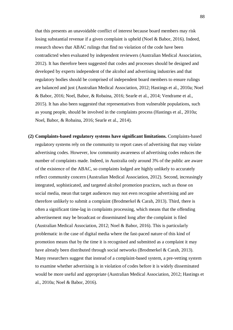that this presents an unavoidable conflict of interest because board members may risk losing substantial revenue if a given complaint is upheld (Noel & Babor, 2016). Indeed, research shows that ABAC rulings that find no violation of the code have been contradicted when evaluated by independent reviewers (Australian Medical Association, 2012). It has therefore been suggested that codes and processes should be designed and developed by experts independent of the alcohol and advertising industries and that regulatory bodies should be comprised of independent board members to ensure rulings are balanced and just (Australian Medical Association, 2012; Hastings et al., 2010a; Noel & Babor, 2016; Noel, Babor, & Robaina, 2016; Searle et al., 2014; Vendrame et al., 2015). It has also been suggested that representatives from vulnerable populations, such as young people, should be involved in the complaints process (Hastings et al., 2010a; Noel, Babor, & Robaina, 2016; Searle et al., 2014).

**(2) Complaints-based regulatory systems have significant limitations.** Complaints-based regulatory systems rely on the community to report cases of advertising that may violate advertising codes. However, low community awareness of advertising codes reduces the number of complaints made. Indeed, in Australia only around 3% of the public are aware of the existence of the ABAC, so complaints lodged are highly unlikely to accurately reflect community concern (Australian Medical Association, 2012). Second, increasingly integrated, sophisticated, and targeted alcohol promotion practices, such as those on social media, mean that target audiences may not even recognise advertising and are therefore unlikely to submit a complaint (Brodmerkel & Carah, 2013). Third, there is often a significant time-lag in complaints processing, which means that the offending advertisement may be broadcast or disseminated long after the complaint is filed (Australian Medical Association, 2012; Noel & Babor, 2016). This is particularly problematic in the case of digital media where the fast-paced nature of this kind of promotion means that by the time it is recognised and submitted as a complaint it may have already been distributed through social networks (Brodmerkel & Carah, 2013). Many researchers suggest that instead of a complaint-based system, a pre-vetting system to examine whether advertising is in violation of codes before it is widely disseminated would be more useful and appropriate (Australian Medical Association, 2012; Hastings et al., 2010a; Noel & Babor, 2016).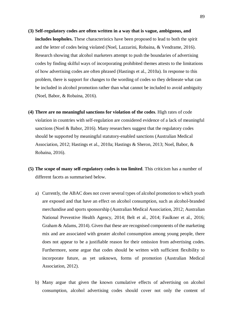- **(3) Self-regulatory codes are often written in a way that is vague, ambiguous, and includes loopholes.** These characteristics have been proposed to lead to both the spirit and the letter of codes being violated (Noel, Lazzarini, Robaina, & Vendrame, 2016). Research showing that alcohol marketers attempt to push the boundaries of advertising codes by finding skilful ways of incorporating prohibited themes attests to the limitations of how advertising codes are often phrased (Hastings et al., 2010a). In response to this problem, there is support for changes to the wording of codes so they delineate what can be included in alcohol promotion rather than what cannot be included to avoid ambiguity (Noel, Babor, & Robaina, 2016).
- **(4) There are no meaningful sanctions for violation of the codes**. High rates of code violation in countries with self-regulation are considered evidence of a lack of meaningful sanctions (Noel & Babor, 2016). Many researchers suggest that the regulatory codes should be supported by meaningful statutory-enabled sanctions (Australian Medical Association, 2012; Hastings et al., 2010a; Hastings & Sheron, 2013; Noel, Babor, & Robaina, 2016).
- **(5) The scope of many self-regulatory codes is too limited**. This criticism has a number of different facets as summarised below.
	- a) Currently, the ABAC does not cover several types of alcohol promotion to which youth are exposed and that have an effect on alcohol consumption, such as alcohol-branded merchandise and sports sponsorship (Australian Medical Association, 2012; Australian National Preventive Health Agency, 2014; Belt et al., 2014; Faulkner et al., 2016; Graham & Adams, 2014). Given that these are recognised components of the marketing mix and are associated with greater alcohol consumption among young people, there does not appear to be a justifiable reason for their omission from advertising codes. Furthermore, some argue that codes should be written with sufficient flexibility to incorporate future, as yet unknown, forms of promotion (Australian Medical Association, 2012).
	- b) Many argue that given the known cumulative effects of advertising on alcohol consumption, alcohol advertising codes should cover not only the content of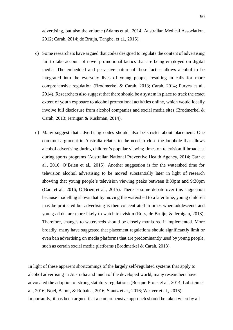advertising, but also the volume (Adams et al., 2014; Australian Medical Association, 2012; Carah, 2014; de Bruijn, Tanghe, et al., 2016).

- c) Some researchers have argued that codes designed to regulate the content of advertising fail to take account of novel promotional tactics that are being employed on digital media. The embedded and pervasive nature of these tactics allows alcohol to be integrated into the everyday lives of young people, resulting in calls for more comprehensive regulation (Brodmerkel & Carah, 2013; Carah, 2014; Purves et al., 2014). Researchers also suggest that there should be a system in place to track the exact extent of youth exposure to alcohol promotional activities online, which would ideally involve full disclosure from alcohol companies and social media sites (Brodmerkel & Carah, 2013; Jernigan & Rushman, 2014).
- d) Many suggest that advertising codes should also be stricter about placement. One common argument in Australia relates to the need to close the loophole that allows alcohol advertising during children's popular viewing times on television if broadcast during sports programs (Australian National Preventive Health Agency, 2014; Carr et al., 2016; O'Brien et al., 2015). Another suggestion is for the watershed time for television alcohol advertising to be moved substantially later in light of research showing that young people's television viewing peaks between 8:30pm and 9:30pm (Carr et al., 2016; O'Brien et al., 2015). There is some debate over this suggestion because modelling shows that by moving the watershed to a later time, young children may be protected but advertising is then concentrated in times when adolescents and young adults are more likely to watch television (Ross, de Bruijn, & Jernigan, 2013). Therefore, changes to watersheds should be closely monitored if implemented. More broadly, many have suggested that placement regulations should significantly limit or even ban advertising on media platforms that are predominantly used by young people, such as certain social media platforms (Brodmerkel & Carah, 2013).

In light of these apparent shortcomings of the largely self-regulated systems that apply to alcohol advertising in Australia and much of the developed world, many researchers have advocated the adoption of strong statutory regulations (Bosque-Prous et al., 2014; Lobstein et al., 2016; Noel, Babor, & Robaina, 2016; Stautz et al., 2016; Weaver et al., 2016). Importantly, it has been argued that a comprehensive approach should be taken whereby all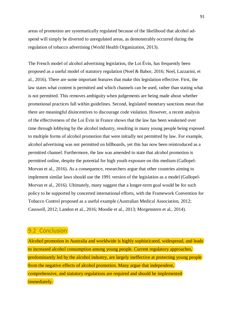areas of promotion are systematically regulated because of the likelihood that alcohol adspend will simply be diverted to unregulated areas, as demonstrably occurred during the regulation of tobacco advertising (World Health Organization, 2013).

The French model of alcohol advertising legislation, the Loi Évin, has frequently been proposed as a useful model of statutory regulation (Noel & Babor, 2016; Noel, Lazzarini, et al., 2016). There are some important features that make this legislation effective. First, the law states what content is permitted and which channels can be used, rather than stating what is not permitted. This removes ambiguity when judgements are being made about whether promotional practices fall within guidelines. Second, legislated monetary sanctions mean that there are meaningful disincentives to discourage code violation. However, a recent analysis of the effectiveness of the Loi Évin in France shows that the law has been weakened over time through lobbying by the alcohol industry, resulting in many young people being exposed to multiple forms of alcohol promotion that were initially not permitted by law. For example, alcohol advertising was not permitted on billboards, yet this has now been reintroduced as a permitted channel. Furthermore, the law was amended to state that alcohol promotion is permitted online, despite the potential for high youth exposure on this medium (Gallopel-Morvan et al., 2016). As a consequence, researchers argue that other countries aiming to implement similar laws should use the 1991 version of the legislation as a model (Gallopel-Morvan et al., 2016). Ultimately, many suggest that a longer-term goal would be for such policy to be supported by concerted international efforts, with the Framework Convention for Tobacco Control proposed as a useful example (Australian Medical Association, 2012; Casswell, 2012; Landon et al., 2016; Moodie et al., 2013; Morgenstern et al., 2014).

#### 9.2 Conclusion

Alcohol promotion in Australia and worldwide is highly sophisticated, widespread, and leads to increased alcohol consumption among young people. Current regulatory approaches, predominantly led by the alcohol industry, are largely ineffective at protecting young people from the negative effects of alcohol promotion. Many argue that independent, comprehensive, and statutory regulations are required and should be implemented immediately.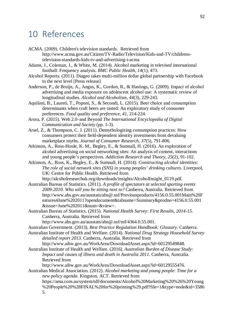# 10 References

- ACMA. (2009). Children's television standards. Retrieved from http://www.acma.gov.au/Citizen/TV-Radio/Television/Kids-and-TV/childrenstelevision-standards-kids-tv-and-advertising-i-acma
- Adams, J., Coleman, J., & White, M. (2014). Alcohol marketing in televised international football: Frequency analysis. *BMC Public Health, 14*(1), 473.
- Alcohol Reports. (2011). Diageo takes multi-million dollar global partnership with Facebook to the next level [Press release]
- Anderson, P., de Bruijn, A., Angus, K., Gordon, R., & Hastings, G. (2009). Impact of alcohol advertising and media exposure on adolescent alcohol use: A systematic review of longitudinal studies. *Alcohol and Alcoholism, 44*(3), 229-243.
- Aquilani, B., Laureti, T., Poponi, S., & Secondi, L. (2015). Beer choice and consumption determinants when craft beers are tasted: An exploratory study of consumer preferences. *Food quality and preference, 41*, 214-224.
- Arora, P. (2015). Web 2.0–and Beyond *The International Encyclopedia of Digital Communication and Society* (pp. 1-3).
- Arsel, Z., & Thompson, C. J. (2011). Demythologizing consumption practices: How consumers protect their field-dependent identity investments from devaluing marketplace myths. *Journal of Consumer Research, 37*(5), 791-806.
- Atkinson, A., Ross-Houle, K. M., Begley, E., & Sumnall, H. (2016). An exploration of alcohol advertising on social networking sites: An analysis of content, interactions and young people's perspectives. *Addiction Research and Theory, 25*(2), 91-102.
- Atkinson, A., Ross, K., Begley, E., & Sumnall, H. (2014). *Constructing alcohol identities: The role of social network sites (SNS) in young peoples' drinking cultures*. Liverpool, UK: Centre for Public Health. Retrieved from http://alcoholresearchuk.org/downloads/insights/AlcoholInsight\_0119.pdf.
- Australian Bureau of Statistics. (2011). *A profile of spectators at selected sporting events 2009-2010. Who will you be sitting next to?* Canberra, Australia. Retrieved from http://www.abs.gov.au/ausstats/abs@.nsf/Previousproducts/4156.0.55.001Main%20F eatures4June%202011?opendocument&tabname=Summary&prodno=4156.0.55.001 &issue=June%202011&num=&view=.
- Australian Bureau of Statistics. (2015). *National Health Survey: First Results, 2014-15*. Canberra, Australia. Retrieved from
	- http://www.abs.gov.au/ausstats/abs@.nsf/mf/4364.0.55.001.
- Australian Government. (2013). *Best Practice Regulation Handbook: Glossary*. Canberra.

Australian Institute of Health and Welfare. (2014). *National Drug Strategy Household Survey detailed report 2013*. Canberra, Australia. Retrieved from http://www.aihw.gov.au/WorkArea/DownloadAsset.aspx?id=60129549848.

Australian Institute of Health and Welfare. (2016). *Australian Burden of Disease Study: Impact and causes of illness and death in Australia 2011.* Canberra, Australia. Retrieved from

http://www.aihw.gov.au/WorkArea/DownloadAsset.aspx?id=60129555476.

Australian Medical Association. (2012). *Alcohol marketing and young people: Time for a new policy agenda*. Kingston, ACT. Retrieved from https://ama.com.au/system/tdf/documents/Alcohol%20Marketing%20%26%20Young %20People%20%28FINAL%20for%20printing%29.pdf?file=1&type=node&id=3586 5.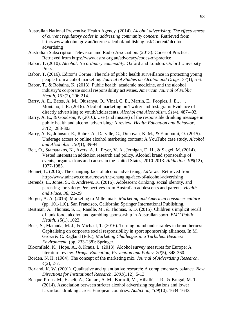- Australian National Preventive Health Agency. (2014). *Alcohol advertising: The effectiveness of current regulatory codes in addressing community concern*. Retrieved from http://www.alcohol.gov.au/internet/alcohol/publishing.nsf/Content/alcoholadvertising
- Australian Subscription Television and Radio Association. (2013). Codes of Practice. Retrieved from https://www.astra.org.au/advocacy/codes-of-practice
- Babor, T. (2010). *Alcohol: No ordinary commodity*. Oxford and London: Oxford University Press.
- Babor, T. (2016). Editor's Corner: The role of public health surveillance in protecting young people from alcohol marketing. *Journal of Studies on Alcohol and Drugs, 77*(1), 5-6.
- Babor, T., & Robaina, K. (2013). Public health, academic medicine, and the alcohol industry's corporate social responsibility activities. *American Journal of Public Health, 103*(2), 206-214.
- Barry, A. E., Bates, A. M., Olusanya, O., Vinal, C. E., Martin, E., Peoples, J. E., . . . Montano, J. R. (2016). Alcohol marketing on Twitter and Instagram: Evidence of directly advertising to youth/adolescents. *Alcohol and Alcoholism, 51*(4), 487-492.
- Barry, A. E., & Goodson, P. (2010). Use (and misuse) of the responsible drinking message in public health and alcohol advertising: A review. *Health Education and Behavior, 37*(2), 288-303.
- Barry, A. E., Johnson, E., Rabre, A., Darville, G., Donovan, K. M., & Efunbumi, O. (2015). Underage access to online alcohol marketing content: A YouTube case study. *Alcohol and Alcoholism, 50*(1), 89-94.
- Belt, O., Stamatakos, K., Ayers, A. J., Fryer, V. A., Jernigan, D. H., & Siegel, M. (2014). Vested interests in addiction research and policy. Alcohol brand sponsorship of events, organizations and causes in the United States, 2010-2013. *Addiction, 109*(12), 1977-1985.
- Bennet, L. (2016). The changing face of alcohol advertising. *AdNews*. Retrieved from http://www.adnews.com.au/news/the-changing-face-of-alcohol-advertising
- Berends, L., Jones, S., & Andrews, K. (2016). Adolescent drinking, social identity, and parenting for safety: Perspectives from Australian adolescents and parents. *Health and Place, 38*, 22-29.
- Berger, A. A. (2016). Marketing to Millennials. *Marketing and American consumer culture* (pp. 101-110). San Francisco, California: Springer International Publishing.
- Bestman, A., Thomas, S. L., Randle, M., & Thomas, S. D. (2015). Children's implicit recall of junk food, alcohol and gambling sponsorship in Australian sport. *BMC Public Health, 15*(1), 1022.
- Beus, S., Matanda, M. J., & Michael, T. (2016). Turning brand undesirables in brand heroes: Capitalising on corporate social responsibility in sport sponsorship alliances. In M. Groza & C. Ragland (Eds.), *Marketing Challenges in a Turbulent Business Environment.* (pp. 233-238): Springer.
- Bloomfield, K., Hope, A., & Kraus, L. (2013). Alcohol survey measures for Europe: A literature review. *Drugs: Education, Prevention and Policy, 20*(5), 348-360.
- Borden, N. H. (1964). The concept of the marketing mix. *Journal of Advertising Research, 4*(2), 2-7.
- Borland, K. W. (2001). Qualitative and quantitative research: A complementary balance. *New Directions for Institutional Research, 2001*(112), 5-13.
- Bosque-Prous, M., Espelt, A., Guitart, A. M., Bartroli, M., Villalbi, J. R., & Brugal, M. T. (2014). Association between stricter alcohol advertising regulations and lower hazardous drinking across European countries. *Addiction, 109*(10), 1634-1643.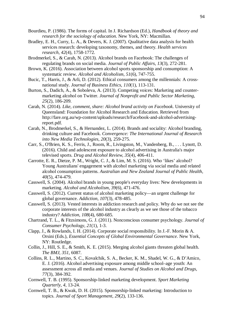- Bourdieu, P. (1986). The forms of capital. In J. Richardson (Ed.), *Handbook of theory and research for the sociology of education.* New York, NY: Macmillan.
- Bradley, E. H., Curry, L. A., & Devers, K. J. (2007). Qualitative data analysis for health services research: developing taxonomy, themes, and theory. *Health services research, 42*(4), 1758-1772.
- Brodmerkel, S., & Carah, N. (2013). Alcohol brands on Facebook: The challenges of regulating brands on social media. *Journal of Public Affairs, 13*(3), 272-281.
- Brown, K. (2016). Association between alcohol sports sponsorship and consumption: A systematic review. *Alcohol and Alcoholism, 51*(6), 747-755.
- Bucic, T., Harris, J., & Arli, D. (2012). Ethical consumers among the millennials: A crossnational study. *Journal of Business Ethics, 110*(1), 113-131.
- Burton, S., Dadich, A., & Soboleva, A. (2013). Competing voices: Marketing and countermarketing alcohol on Twitter. *Journal of Nonprofit and Public Sector Marketing, 25*(2), 186-209.
- Carah, N. (2014). *Like, comment, share: Alcohol brand activity on Facebook*. University of Queensland: Foundation for Alcohol Research and Education. Retrieved from http://fare.org.au/wp-content/uploads/research/Facebook-and-alcohol-advertisingreport.pdf.
- Carah, N., Brodmerkel, S., & Hernandez, L. (2014). Brands and sociality: Alcohol branding, drinking culture and Facebook. *Convergence: The International Journal of Research into New Media Technologies, 20*(3), 259-275.
- Carr, S., O'Brien, K. S., Ferris, J., Room, R., Livingston, M., Vandenberg, B., . . . Lynott, D. (2016). Child and adolescent exposure to alcohol advertising in Australia's major televised sports. *Drug and Alcohol Review, 35*(4), 406-411.
- Carrotte, E. R., Dietze, P. M., Wright, C. J., & Lim, M. S. (2016). Who 'likes' alcohol? Young Australians' engagement with alcohol marketing via social media and related alcohol consumption patterns. *Australian and New Zealand Journal of Public Health, 40*(5), 474-479.
- Casswell, S. (2004). Alcohol brands in young people's everyday lives: New developments in marketing. *Alcohol and Alcoholism, 39*(6), 471-476.
- Casswell, S. (2012). Current status of alcohol marketing policy—an urgent challenge for global governance. *Addiction, 107*(3), 478-485.
- Casswell, S. (2013). Vested interests in addiction research and policy. Why do we not see the corporate interests of the alcohol industry as clearly as we see those of the tobacco industry? *Addiction, 108*(4), 680-685.
- Chartrand, T. L., & Fitzsimons, G. J. (2011). Nonconscious consumer psychology. *Journal of Consumer Psychology, 21*(1), 1-3.
- Clapp, J., & Rowlands, I. H. (2014). Corporate social responsibility. In J.-F. Morin & A. Orsini (Eds.), *Essential Concepts of Global Environmental Governance*. New York, NY: Routledge.
- Collin, J., Hill, S. E., & Smith, K. E. (2015). Merging alcohol giants threaten global health. *The BMJ, 351*, 6087.
- Collins, R. L., Martino, S. C., Kovalchik, S. A., Becker, K. M., Shadel, W. G., & D'Amico, E. J. (2016). Alcohol advertising exposure among middle school–age youth: An assessment across all media and venues. *Journal of Studies on Alcohol and Drugs, 77*(3), 384-392.
- Cornwell, T. B. (1995). Sponsorship-linked marketing development. *Sport Marketing Quarterly, 4*, 13-24.
- Cornwell, T. B., & Kwak, D. H. (2015). Sponsorship-linked marketing: Introduction to topics. *Journal of Sport Management, 29*(2), 133-136.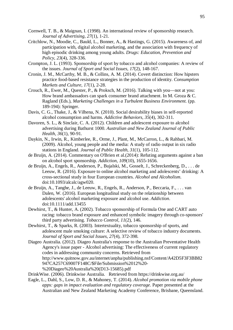- Cornwell, T. B., & Maignan, I. (1998). An international review of sponsorship research. *Journal of Advertising, 27*(1), 1-21.
- Critchlow, N., Moodie, C., Bauld, L., Bonner, A., & Hastings, G. (2015). Awareness of, and participation with, digital alcohol marketing, and the association with frequency of high episodic drinking among young adults. *Drugs: Education, Prevention and Policy, 23*(4), 328-336.
- Crompton, J. L. (1993). Sponsorship of sport by tobacco and alcohol companies: A review of the issues. *Journal of Sport and Social Issues, 17*(2), 148-167.
- Cronin, J. M., McCarthy, M. B., & Collins, A. M. (2014). Covert distinction: How hipsters practice food-based resistance strategies in the production of identity. *Consumption Markets and Culture, 17*(1), 2-28.
- Crouch, R., Ewer, M., Quester, P., & Proksch, M. (2016). Talking with you—not at you: How brand ambassadors can spark consumer brand attachment. In M. Groza & C. Ragland (Eds.), *Marketing Challenges in a Turbulent Business Environment.* (pp. 189-194): Springer.
- Davis, C. G., Thake, J., & Vilhena, N. (2010). Social desirability biases in self-reported alcohol consumption and harms. *Addictive Behaviors, 35*(4), 302-311.
- Davoren, S. L., & Sinclair, C. A. (2012). Children and adolescent exposure to alcohol advertising during Bathurst 1000. *Australian and New Zealand Journal of Public Health, 36*(1), 90-91.
- Daykin, N., Irwin, R., Kimberlee, R., Orme, J., Plant, M., McCarron, L., & Rahbari, M. (2009). Alcohol, young people and the media: A study of radio output in six radio stations in England. *Journal of Public Health, 31*(1), 105-112.
- de Bruijn, A. (2014). Commentary on O'Brien et al.(2014): Refuting arguments against a ban on alcohol sport sponsorship. *Addiction, 109*(10), 1655-1656.
- de Bruijn, A., Engels, R., Anderson, P., Bujalski, M., Gosselt, J., Schreckenberg, D., . . . de Leeuw, R. (2016). Exposure to online alcohol marketing and adolescents' drinking: A cross-sectional study in four European countries. *Alcohol and Alcoholism*. doi:10.1093/alcalc/agw020.
- de Bruijn, A., Tanghe, J., de Leeuw, R., Engels, R., Anderson, P., Beccaria, F., . . . van Dalen, W. (2016). European longitudinal study on the relationship between adolescents' alcohol marketing exposure and alcohol use. *Addiction*. doi:10.1111/add.13455
- Dewhirst, T., & Hunter, A. (2002). Tobacco sponsorship of Formula One and CART auto racing: tobacco brand exposure and enhanced symbolic imagery through co-sponsors' third party advertising. *Tobacco Control, 11*(2), 146.
- Dewhirst, T., & Sparks, R. (2003). Intertextuality, tobacco sponsorship of sports, and adolescent male smoking culture: A selective review of tobacco industry documents. *Journal of Sport and Social Issues, 27*(4), 372-398.
- Diageo Australia. (2012). Diageo Australia's response to the Australian Preventative Health Agency's issue paper - Alcohol advertising: The effectiveness of current regulatory codes in addressing community concerns. Retrieved from http://www.quitnow.gov.au/internet/anpha/publishing.nsf/Content/A42D5F3F3BB82 947CA257C69007F148C/\$File/Submission%2012%20- %20Diageo%20Australia%20(D13-15685).pdf

DrinkWise. (2006). Drinkwise Australia. Retrieved from https://drinkwise.org.au/

Eagle, L., Dahl, S., Low, D. R., & Mahoney, T. (2014). *Alcohol promotion via mobile phone apps: gaps in impact evaluation and regulatory coverage.* Paper presented at the Australian and New Zealand Marketing Academy Conference, Brisbane, Queensland.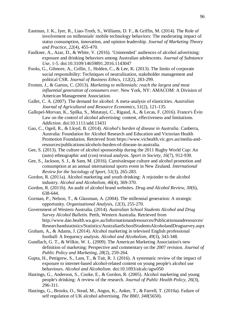- Eastman, J. K., Iyer, R., Liao-Troth, S., Williams, D. F., & Griffin, M. (2014). The Role of involvement on millennials' mobile technology behaviors: The moderating impact of status consumption, innovation, and opinion leadership. *Journal of Marketing Theory and Practice, 22*(4), 455-470.
- Faulkner, A., Azar, D., & White, V. (2016). 'Unintended' audiences of alcohol advertising: exposure and drinking behaviors among Australian adolescents. *Journal of Substance Use*, 1-5. doi:10.3109/14659891.2016.1143047
- Fooks, G., Gilmore, A., Collin, J., Holden, C., & Lee, K. (2013). The limits of corporate social responsibility: Techniques of neutralization, stakeholder management and political CSR. *Journal of Business Ethics, 112*(2), 283-299.
- Fromm, J., & Garton, C. (2013). *Marketing to millennials: reach the largest and most influential generation of consumers ever*. New York, NY: AMACOM: A Division of American Management Association.
- Gallet, C. A. (2007). The demand for alcohol: A meta‐analysis of elasticities. *Australian Journal of Agricultural and Resource Economics, 51*(2), 121-135.
- Gallopel-Morvan, K., Spilka, S., Mutatayi, C., Rigaud, A., & Lecas, F. (2016). France's Évin Law on the control of alcohol advertising: content, effectiveness and limitations. *Addiction*. doi:10.1111/add.13431
- Gao, C., Ogeil, R., & Lloyd, B. (2014). *Alcohol's burden of disease in Australia*. Canberra, Australia: Foundation for Alcohol Research and Education and Victorian Health Promotion Foundation. Retrieved from https://www.vichealth.vic.gov.au/media-andresources/publications/alcohols-burden-of-disease-in-australia.
- Gee, S. (2013). The culture of alcohol sponsorship during the 2011 Rugby World Cup: An (auto) ethnographic and (con) textual analysis. *Sport in Society, 16*(7), 912-930.
- Gee, S., Jackson, S. J., & Sam, M. (2016). Carnivalesque culture and alcohol promotion and consumption at an annual international sports event in New Zealand. *International Review for the Sociology of Sport, 51*(3), 265-283.
- Gordon, R. (2011a). Alcohol marketing and youth drinking: A rejoinder to the alcohol industry. *Alcohol and Alcoholism, 46*(4), 369-370.
- Gordon, R. (2011b). An audit of alcohol brand websites. *Drug and Alcohol Review, 30*(6), 638-644.
- Gorman, P., Nelson, T., & Glassman, A. (2004). The millennial generation: A strategic opportunity. *Organizational Analysis, 12*(3), 255-270.
- Government of Western Australia. (2014). *Australian School Students Alcohol and Drug Survey Alcohol Bulletin*. Perth, Western Australia. Retrieved from http://www.dao.health.wa.gov.au/Informationandresources/Publicationsandresources/ Researchandstatistics/Statistics/AustralianSchoolStudentsAlcoholandDrugsurvey.aspx
- Graham, A., & Adams, J. (2014). Alcohol marketing in televised English professional football: A frequency analysis. *Alcohol and Alcoholism, 49*(3), 343-348.
- Gundlach, G. T., & Wilkie, W. L. (2009). The American Marketing Association's new definition of marketing: Perspective and commentary on the 2007 revision. *Journal of Public Policy and Marketing, 28*(2), 259-264.
- Gupta, H., Pettigrew, S., Lam, T., & Tait, R. J. (2016). A systematic review of the impact of exposure to internet-based alcohol-related content on young people's alcohol use behaviours. *Alcohol and Alcoholism*. doi:10.1093/alcalc/agw050
- Hastings, G., Anderson, S., Cooke, E., & Gordon, R. (2005). Alcohol marketing and young people's drinking: A review of the research. *Journal of Public Health Policy, 26*(3), 296-311.
- Hastings, G., Brooks, O., Stead, M., Angus, K., Anker, T., & Farrell, T. (2010a). Failure of self regulation of UK alcohol advertising. *The BMJ, 340*(5650).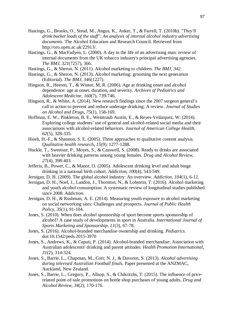- Hastings, G., Brooks, O., Stead, M., Angus, K., Anker, T., & Farrell, T. (2010b). *"They'll drink bucket loads of the stuff": An analysis of internal alcohol industry advertising documents*. The Alcohol Education and Research Council. Retrieved from http://oro.open.ac.uk/22913/.
- Hastings, G., & MacFadyen, L. (2000). A day in the life of an advertising man: review of internal documents from the UK tobacco industry's principal advertising agencies. *The BMJ, 321*(7257), 366.
- Hastings, G., & Sheron, N. (2011). Alcohol marketing to children. *The BMJ, 342*.
- Hastings, G., & Sheron, N. (2013). Alcohol marketing: grooming the next generation (Editorial). *The BMJ, 346*(1227).
- Hingson, R., Heeren, T., & Winter, M. R. (2006). Age at drinking onset and alcohol dependence: age at onset, duration, and severity. *Archives of Pediatrics and Adolescent Medicine, 160*(7), 739-746.
- Hingson, R., & White, A. (2014). New research findings since the 2007 surgeon general's call to action to prevent and reduce underage drinking: A review. *Journal of Studies on Alcohol and Drugs, 75*(1), 158-169.
- Hoffman, E. W., Pinkleton, B. E., Weintraub Austin, E., & Reyes-Velázquez, W. (2014). Exploring college students' use of general and alcohol-related social media and their associations with alcohol-related behaviors. *Journal of American College Health, 62*(5), 328-335.
- Hsieh, H.-F., & Shannon, S. E. (2005). Three approaches to qualitative content analysis. *Qualitative health research, 15*(9), 1277-1288.
- Huckle, T., Sweetsur, P., Moyes, S., & Casswell, S. (2008). Ready to drinks are associated with heavier drinking patterns among young females. *Drug and Alcohol Review, 27*(4), 398-403.
- Jefferis, B., Power, C., & Manor, O. (2005). Adolescent drinking level and adult binge drinking in a national birth cohort. *Addiction, 100*(4), 543-549.
- Jernigan, D. H. (2009). The global alcohol industry: An overview. *Addiction, 104*(1), 6-12.
- Jernigan, D. H., Noel, J., Landon, J., Thornton, N., & Lobstein, T. (2016). Alcohol marketing and youth alcohol consumption: A systematic review of longitudinal studies published since 2008. *Addiction*.
- Jernigan, D. H., & Rushman, A. E. (2014). Measuring youth exposure to alcohol marketing on social networking sites: Challenges and prospects. *Journal of Public Health Policy, 35*(1), 91-104.
- Jones, S. (2010). When does alcohol sponsorship of sport become sports sponsorship of alcohol? A case study of developments in sport in Australia. *International Journal of Sports Marketing and Sponsorship, 11*(3), 67-78.
- Jones, S. (2016). Alcohol-branded merchandise ownership and drinking. *Pediatrics*. doi:10.1542/peds.2015-3970
- Jones, S., Andrews, K., & Caputi, P. (2014). Alcohol-branded merchandise: Association with Australian adolescents' drinking and parent attitudes. *Health Promotion International, 31*(2), 314-324.
- Jones, S., Barrie, L., Chapman, M., Corr, N. J., & Davoren, S. (2013). *Alcohol advertising during televised Australian Football finals.* Paper presented at the ANZMAC, Auckland, New Zealand.
- Jones, S., Barrie, L., Gregory, P., Allsop, S., & Chikritzhs, T. (2015). The influence of price‐ related point‐of‐sale promotions on bottle shop purchases of young adults. *Drug and Alcohol Review, 34*(2), 170-176.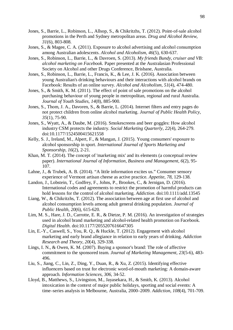- Jones, S., Barrie, L., Robinson, L., Allsop, S., & Chikritzhs, T. (2012). Point‐of‐sale alcohol promotions in the Perth and Sydney metropolitan areas. *Drug and Alcohol Review, 31*(6), 803-808.
- Jones, S., & Magee, C. A. (2011). Exposure to alcohol advertising and alcohol consumption among Australian adolescents. *Alcohol and Alcoholism, 46*(5), 630-637.
- Jones, S., Robinson, L., Barrie, L., & Davroen, S. (2013). *My friends Bundy, cruiser and VB: alcohol marketing on Facebook.* Paper presented at the Australasian Professional Society on Alcohol and other Drugs Conference, Brisbane, Australia.
- Jones, S., Robinson, L., Barrie, L., Francis, K., & Lee, J. K. (2016). Association between young Australian's drinking behaviours and their interactions with alcohol brands on Facebook: Results of an online survey. *Alcohol and Alcoholism, 51*(4), 474-480.
- Jones, S., & Smith, K. M. (2011). The effect of point of sale promotions on the alcohol purchasing behaviour of young people in metropolitan, regional and rural Australia. *Journal of Youth Studies, 14*(8), 885-900.
- Jones, S., Thom, J. A., Davoren, S., & Barrie, L. (2014). Internet filters and entry pages do not protect children from online alcohol marketing. *Journal of Public Health Policy, 35*(1), 75-90.
- Jones, S., Wyatt, A., & Daube, M. (2016). Smokescreens and beer goggles: How alcohol industry CSM protects the industry. *Social Marketing Quarterly, 22*(4), 264-279. doi:10.1177/1524500415621558
- Kelly, S. J., Ireland, M., Alpert, F., & Mangan, J. (2015). Young consumers' exposure to alcohol sponsorship in sport. *International Journal of Sports Marketing and Sponsorship, 16*(2), 2-21.
- Khan, M. T. (2014). The concept of 'marketing mix' and its elements (a conceptual review paper). *International Journal of Information, Business and Management, 6*(2), 95- 107.
- Lahne, J., & Trubek, A. B. (2014). "A little information excites us." Consumer sensory experience of Vermont artisan cheese as active practice. *Appetite, 78*, 129-138.
- Landon, J., Lobstein, T., Godfrey, F., Johns, P., Brookes, C., & Jernigan, D. (2016). International codes and agreements to restrict the promotion of harmful products can hold lessons for the control of alcohol marketing. *Addiction*. doi:10.1111/add.13545
- Liang, W., & Chikritzhs, T. (2012). The association between age at first use of alcohol and alcohol consumption levels among adult general drinking population. *Journal of Public Health, 20*(6), 615-620.
- Lim, M. S., Hare, J. D., Carrotte, E. R., & Dietze, P. M. (2016). An investigation of strategies used in alcohol brand marketing and alcohol-related health promotion on Facebook. *Digital Health*. doi:10.1177/2055207616647305
- Lin, E.-Y., Caswell, S., You, R. Q., & Huckle, T. (2012). Engagement with alcohol marketing and early brand allegiance in relation to early years of drinking. *Addiction Research and Theory, 20*(4), 329-338.
- Lings, I. N., & Owen, K. M. (2007). Buying a sponsor's brand: The role of affective commitment to the sponsored team. *Journal of Marketing Management, 23*(5-6), 483- 496.
- Liu, S., Jiang, C., Lin, Z., Ding, Y., Duan, R., & Xu, Z. (2015). Identifying effective influencers based on trust for electronic word-of-mouth marketing: A domain-aware approach. *Information Sciences, 306*, 34-52.
- Lloyd, B., Matthews, S., Livingston, M., Jayasekara, H., & Smith, K. (2013). Alcohol intoxication in the context of major public holidays, sporting and social events: A time–series analysis in Melbourne, Australia, 2000–2009. *Addiction, 108*(4), 701-709.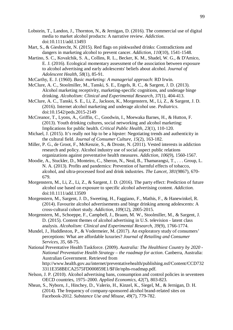- Lobstein, T., Landon, J., Thornton, N., & Jernigan, D. (2016). The commercial use of digital media to market alcohol products: A narrative review. *Addiction*. doi:10.1111/add.13493
- Mart, S., & Giesbrecht, N. (2015). Red flags on pinkwashed drinks: Contradictions and dangers in marketing alcohol to prevent cancer. *Addiction, 110*(10), 1541-1548.
- Martino, S. C., Kovalchik, S. A., Collins, R. L., Becker, K. M., Shadel, W. G., & D'Amico, E. J. (2016). Ecological momentary assessment of the association between exposure to alcohol advertising and early adolescents' beliefs about alcohol. *Journal of Adolescent Health, 58*(1), 85-91.
- McCarthy, E. J. (1960). *Basic marketing: A managerial approach*: RD Irwin.
- McClure, A. C., Stoolmiller, M., Tanski, S. E., Engels, R. C., & Sargent, J. D. (2013). Alcohol marketing receptivity, marketing-specific cognitions, and underage binge drinking. *Alcoholism: Clinical and Experimental Research, 37*(1), 404-413.
- McClure, A. C., Tanski, S. E., Li, Z., Jackson, K., Morgenstern, M., Li, Z., & Sargent, J. D. (2016). Internet alcohol marketing and underage alcohol use. *Pediatrics*. doi:10.1542/peds.2015-2149
- McCreanor, T., Lyons, A., Griffin, C., Goodwin, I., Moewaka Barnes, H., & Hutton, F. (2013). Youth drinking cultures, social networking and alcohol marketing: Implications for public health. *Critical Public Health, 23*(1), 110-120.
- Michael, J. (2015). It's really not hip to be a hipster: Negotiating trends and authenticity in the cultural field. *Journal of Consumer Culture, 15*(2), 163-182.
- Miller, P. G., de Groot, F., McKenzie, S., & Droste, N. (2011). Vested interests in addiction research and policy. Alcohol industry use of social aspect public relations organizations against preventative health measures. *Addiction, 106*(9), 1560-1567.
- Moodie, A., Stuckler, D., Monteiro, C., Sheron, N., Neal, B., Thamarangsi, T., . . . Group, L. N. A. (2013). Profits and pandemics: Prevention of harmful effects of tobacco, alcohol, and ultra-processed food and drink industries. *The Lancet, 381*(9867), 670- 679.
- Morgenstern, M., Li, Z., Li, Z., & Sargent, J. D. (2016). The party effect: Prediction of future alcohol use based on exposure to specific alcohol advertising content. *Addiction*. doi:10.1111/add.13509
- Morgenstern, M., Sargent, J. D., Sweeting, H., Faggiano, F., Mathis, F., & Hanewinkel, R. (2014). Favourite alcohol advertisements and binge drinking among adolescents: A cross‐cultural cohort study. *Addiction, 109*(12), 2005-2015.
- Morgenstern, M., Schoeppe, F., Campbell, J., Braam, M. W., Stoolmiller, M., & Sargent, J. D. (2015). Content themes of alcohol advertising in U.S. television - latent class analysis. *Alcoholism: Clinical and Experimental Research, 39*(9), 1766-1774.
- Mundel, J., Huddleston, P., & Vodermeier, M. (2017). An exploratory study of consumers' perceptions: What are affordable luxuries? *Journal of Retailing and Consumer Services, 35*, 68-75.
- National Preventative Health Taskforce. (2009). *Australia: The Healthiest Country by 2020 - National Preventative Health Strategy – the roadmap for action*. Canberra, Australia: Australian Government. Retrieved from http://www.health.gov.au/internet/preventativehealth/publishing.nsf/Content/CCD732
	- 3311E358BECA2575FD000859E1/\$File/nphs-roadmap.pdf.
- Nelson, J. P. (2010). Alcohol advertising bans, consumption and control policies in seventeen OECD countries, 1975–2000. *Applied Economics, 42*(7), 803-823.
- Nhean, S., Nyborn, J., Hinchey, D., Valerio, H., Kinzel, K., Siegel, M., & Jernigan, D. H. (2014). The frequency of company-sponsored alcohol brand-related sites on Facebook-2012. *Substance Use and Misuse, 49*(7), 779-782.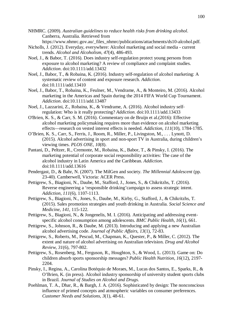NHMRC. (2009). *Australian guidelines to reduce health risks from drinking alcohol*. Canberra, Australia. Retrieved from

- https://www.nhmrc.gov.au/\_files\_nhmrc/publications/attachments/ds10-alcohol.pdf.
- Nicholls, J. (2012). Everyday, everywhere: Alcohol marketing and social media current trends. *Alcohol and Alcoholism, 47*(4), 486-493.
- Noel, J., & Babor, T. (2016). Does industry self-regulation protect young persons from exposure to alcohol marketing? A review of compliance and complaint studies. *Addiction*. doi:10.1111/add.13432
- Noel, J., Babor, T., & Robaina, K. (2016). Industry self-regulation of alcohol marketing: A systematic review of content and exposure research. *Addiction*. doi:10.1111/add.13410
- Noel, J., Babor, T., Robaina, K., Feulner, M., Vendrame, A., & Monteiro, M. (2016). Alcohol marketing in the Americas and Spain during the 2014 FIFA World Cup Tournament. *Addiction*. doi:10.1111/add.13487
- Noel, J., Lazzarini, Z., Robaina, K., & Vendrame, A. (2016). Alcohol industry self‐ regulation: Who is it really protecting? *Addiction*. doi:10.1111/add.13433
- O'Brien, K. S., & Carr, S. M. (2016). Commentary on de Bruijn et al.(2016): Effective alcohol marketing policymaking requires more than evidence on alcohol marketing effects—research on vested interest effects is needed. *Addiction, 111*(10), 1784-1785.
- O'Brien, K. S., Carr, S., Ferris, J., Room, R., Miller, P., Livingston, M., . . . Lynott, D. (2015). Alcohol advertising in sport and non-sport TV in Australia, during children's viewing times. *PLOS ONE, 10*(8).
- Pantani, D., Peltzer, R., Cremonte, M., Robaina, K., Babor, T., & Pinsky, I. (2016). The marketing potential of corporate social responsibility activities: The case of the alcohol industry in Latin America and the Caribbean. *Addiction*. doi:10.1111/add.13616
- Pendergast, D., & Bahr, N. (2007). The MilGen and society. *The Millennial Adolescent* (pp. 23-40). Camberwell, Victoria: ACER Press.
- Pettigrew, S., Biagioni, N., Daube, M., Stafford, J., Jones, S., & Chikritzhs, T. (2016). Reverse engineering a 'responsible drinking'campaign to assess strategic intent. *Addiction, 111*(6), 1107-1113.
- Pettigrew, S., Biagioni, N., Jones, S., Daube, M., Kirby, G., Stafford, J., & Chikritzhs, T. (2015). Sales promotion strategies and youth drinking in Australia. *Social Science and Medicine, 141*, 115-122.
- Pettigrew, S., Biagioni, N., & Jongenelis, M. I. (2016). Anticipating and addressing eventspecific alcohol consumption among adolescents. *BMC Public Health, 16*(1), 661.
- Pettigrew, S., Johnson, R., & Daube, M. (2013). Introducing and applying a new Australian alcohol advertising code. *Journal of Public Affairs, 13*(1), 72-83.
- Pettigrew, S., Roberts, M., Pescud, M., Chapman, K., Quester, P., & Miller, C. (2012). The extent and nature of alcohol advertising on Australian television. *Drug and Alcohol Review, 31*(6), 797-802.
- Pettigrew, S., Rosenberg, M., Ferguson, R., Houghton, S., & Wood, L. (2013). Game on: Do children absorb sports sponsorship messages? *Public Health Nutrition, 16*(12), 2197- 2204.
- Pinsky, I., Regina, A., Carolina Botéquio de Moraes, M., Lucas dos Santos, E., Sparks, R., & O'Brien, K. (in press). Alcohol industry sponsorship of university student sports clubs in Brazil. *Journal of Studies on Alcohol and Drugs*.
- Poehlman, T. A., Dhar, R., & Bargh, J. A. (2016). Sophisticated by design: The nonconscious influence of primed concepts and atmospheric variables on consumer preferences. *Customer Needs and Solutions, 3*(1), 48-61.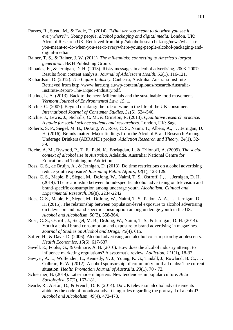- Purves, R., Stead, M., & Eadie, D. (2014). *"What are you meant to do when you see it everywhere?": Young people, alcohol packaging and digital media*. London, UK: Alcohol Research UK. Retrieved from http://alcoholresearchuk.org/news/what-areyou-meant-to-do-when-you-see-it-everywhere-young-people-alcohol-packaging-anddigital-media/.
- Rainer, T. S., & Rainer, J. W. (2011). *The millennials: connecting to America's largest generation*: B&H Publishing Group.
- Rhoades, E., & Jernigan, D. H. (2013). Risky messages in alcohol advertising, 2003–2007: Results from content analysis. *Journal of Adolescent Health, 52*(1), 116-121.
- Richardson, D. (2012). *The Liquor Industry*. Canberra, Australia: Australia Institute Retrieved from http://www.fare.org.au/wp-content/uploads/research/Australia-Institute-Report-The-Liquor-Industry.pdf.
- Ristino, L. A. (2013). Back to the new: Millennials and the sustainable food movement. *Vermont Journal of Environmental Law, 15*, 1.
- Ritchie, C. (2007). Beyond drinking: the role of wine in the life of the UK consumer. *International Journal of Consumer Studies, 31*(5), 534-540.
- Ritchie, J., Lewis, J., Nicholls, C. M., & Ormston, R. (2013). *Qualitative research practice: A guide for social science students and researchers*. London, UK: Sage.
- Roberts, S. P., Siegel, M. B., DeJong, W., Ross, C. S., Naimi, T., Albers, A., . . . Jernigan, D. H. (2016). Brands matter: Major findings from the Alcohol Brand Research Among Underage Drinkers (ABRAND) project. *Addiction Research and Theory, 24*(1), 32- 39.
- Roche, A. M., Bywood, P., T, F., Pidd, K., Borlagdan, J., & Trifonoff, A. (2009). *The social context of alcohol use in Australia*. Adelaide, Australia: National Centre for Education and Training on Addiction.
- Ross, C. S., de Bruijn, A., & Jernigan, D. (2013). Do time restrictions on alcohol advertising reduce youth exposure? *Journal of Public Affairs, 13*(1), 123-129.
- Ross, C. S., Maple, E., Siegel, M., DeJong, W., Naimi, T. S., Ostroff, J., . . . Jernigan, D. H. (2014). The relationship between brand‐specific alcohol advertising on television and brand‐specific consumption among underage youth. *Alcoholism: Clinical and Experimental Research, 38*(8), 2234-2242.
- Ross, C. S., Maple, E., Siegel, M., DeJong, W., Naimi, T. S., Padon, A. A., . . . Jernigan, D. H. (2015). The relationship between population-level exposure to alcohol advertising on television and brand-specific consumption among underage youth in the US. *Alcohol and Alcoholism, 50*(3), 358-364.
- Ross, C. S., Ostroff, J., Siegel, M. B., DeJong, W., Naimi, T. S., & Jernigan, D. H. (2014). Youth alcohol brand consumption and exposure to brand advertising in magazines. *Journal of Studies on Alcohol and Drugs, 75*(4), 615.
- Saffer, H., & Dave, D. (2006). Alcohol advertising and alcohol consumption by adolescents. *Health Economics, 15*(6), 617-637.
- Savell, E., Fooks, G., & Gilmore, A. B. (2016). How does the alcohol industry attempt to influence marketing regulations? A systematic review. *Addiction, 111*(1), 18-32.
- Sawyer, A. L., Wolfenden, L., Kennedy, V. J., Young, K. G., Tindall, J., Rowland, B. C., ... Colbran, R. W. (2012). Alcohol sponsorship of community football clubs: The current situation. *Health Promotion Journal of Australia, 23*(1), 70 - 72.
- Schiermer, B. (2014). Late-modern hipsters: New tendencies in popular culture. *Acta Sociologica, 57*(2), 167-181.
- Searle, R., Alston, D., & French, D. P. (2014). Do UK television alcohol advertisements abide by the code of broadcast advertising rules regarding the portrayal of alcohol? *Alcohol and Alcoholism, 49*(4), 472-478.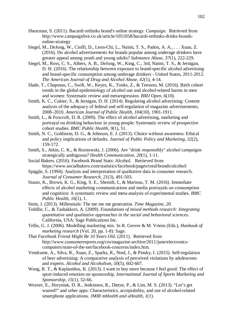- Shearman, S. (2011). Bacardi rethinks brand's online strategy. *Campaign.* Retrieved from http://www.campaignlive.co.uk/article/1051058/bacardi-rethinks-drinks-brandsonline-strategy
- Siegel, M., DeJong, W., Cioffi, D., Leon-Chi, L., Naimi, T. S., Padon, A. A., . . . Xuan, Z. (2016). Do alcohol advertisements for brands popular among underage drinkers have greater appeal among youth and young adults? *Substance Abuse, 37*(1), 222-229.
- Siegel, M., Ross, C. S., Albers, A. B., DeJong, W., King, C., 3rd, Naimi, T. S., & Jernigan, D. H. (2016). The relationship between exposure to brand-specific alcohol advertising and brand-specific consumption among underage drinkers - United States, 2011-2012. *The American Journal of Drug and Alcohol Abuse, 42*(1), 4-14.
- Slade, T., Chapman, C., Swift, W., Keyes, K., Tonks, Z., & Teesson, M. (2016). Birth cohort trends in the global epidemiology of alcohol use and alcohol-related harms in men and women: Systematic review and metaregression. *BMJ Open, 6*(10).
- Smith, K. C., Cukier, S., & Jernigan, D. H. (2014). Regulating alcohol advertising: Content analysis of the adequacy of federal and self-regulation of magazine advertisements, 2008–2010. *American Journal of Public Health, 104*(10), 1901-1911.
- Smith, L., & Foxcroft, D. R. (2009). The effect of alcohol advertising, marketing and portrayal on drinking behaviour in young people: Systematic review of prospective cohort studies. *BMC Public Health, 9*(1), 51.
- Smith, N. C., Goldstein, D. G., & Johnson, E. J. (2013). Choice without awareness: Ethical and policy implications of defaults. *Journal of Public Policy and Marketing, 32*(2), 159-172.
- Smith, S., Atkin, C. K., & Roznowski, J. (2006). Are "drink responsibly" alcohol campaigns strategically ambiguous? *Health Communication, 20*(1), 1-11.
- Social Bakers. (2016). Facebook Brand Stats: Alcohol. Retrieved from https://www.socialbakers.com/statistics/facebook/pages/total/brands/alcohol/
- Spiggle, S. (1994). Analysis and interpretation of qualitative data in consumer research. *Journal of Consumer Research, 21*(3), 491-503.
- Stautz, K., Brown, K. G., King, S. E., Shemilt, I., & Marteau, T. M. (2016). Immediate effects of alcohol marketing communications and media portrayals on consumption and cognition: A systematic review and meta-analysis of experimental studies. *BMC Public Health, 16*(1), 1.
- Stein, J. (2013). Millennials: The me me me generation. *Time Magazine, 20*.
- Teddlie, C., & Tashakkori, A. (2009). *Foundations of mixed methods research: Integrating quantitative and qualitative approaches in the social and behavioral sciences*. California, USA: Sage Publications Inc.
- Tellis, G. J. (2006). Modelling marketing mix. In R. Grover & M. Vriens (Eds.), *Hanbook of marketing research* (Vol. 20, pp. 1-8): Sage.
- *That Facebook Friend Might Be 10 Years Old*. (2011). Retrieved from http://www.consumerreports.org/cro/magazine-archive/2011/june/electronicscomputers/state-of-the-net/facebook-concerns/index.htm.
- Vendrame, A., Silva, R., Xuan, Z., Sparks, R., Noel, J., & Pinsky, I. (2015). Self-regulation of beer advertising: A comparative analysis of perceived violations by adolescents and experts. *Alcohol and Alcoholism, 50*(5), 602-607.
- Wang, R. T., & Kaplanidou, K. (2013). I want to buy more because I feel good: The effect of sport-induced emotion on sponsorship. *International Journal of Sports Marketing and Sponsorship, 15*(1), 52-66.
- Weaver, E., Horyniak, D. R., Jenkinson, R., Dietze, P., & Lim, M. S. (2013). "Let's get wasted!" and other apps: Characteristics, acceptability, and use of alcohol-related smartphone applications. *JMIR mHealth and uHealth, 1*(1).